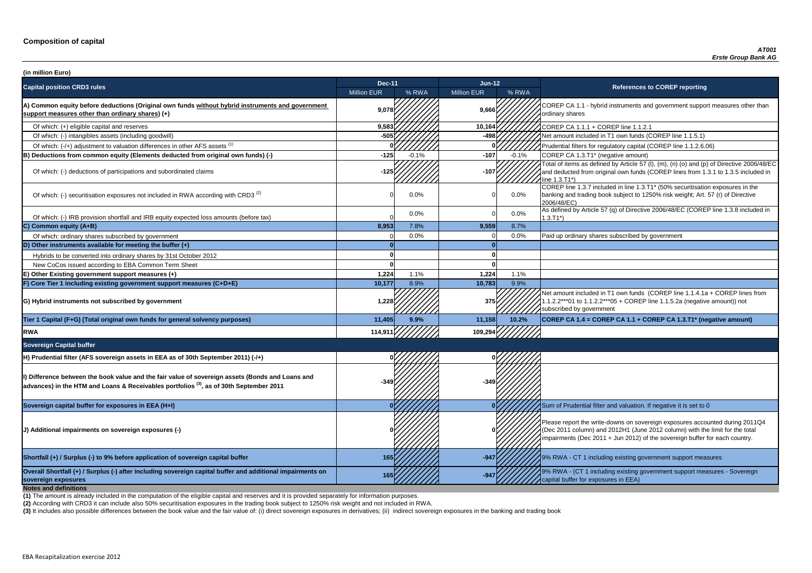**P CA 1.1 - hybrid instruments and government support measures other than** ry shares

of tial filters for regulatory capital (COREP line 1.1.2.6.06)

of items as defined by Article 57 (I), (m), (n) (o) and (p) of Directive 2006/48/EC educted from original own funds (COREP lines from 1.3.1 to 1.3.5 included in  $3.71^*$ 

 $\frac{1}{10}$  line 1.3.7 included in line 1.3.T1\* (50% securitisation exposures in the g and trading book subject to 1250% risk weight; Art. 57 (r) of Directive  $8/EC$ )

ned by Article 57 (q) of Directive 2006/48/EC (COREP line 1.3.8 included in

nount included in T1 own funds (COREP line 1.1.4.1a + COREP lines from  $2***01$  to 1.1.2.2\*\*\*05 + COREP line 1.1.5.2a (negative amount)) not ibed by government

**sovereign exposures <sup>165</sup> -947** 9% RWA - (CT 1 including existing government support measures - Sovereign buffer for exposures in EEA)

| (in million Euro)                                                                                                                                                                                      |                    |         |                    |         |                                                                                                                                                                                   |
|--------------------------------------------------------------------------------------------------------------------------------------------------------------------------------------------------------|--------------------|---------|--------------------|---------|-----------------------------------------------------------------------------------------------------------------------------------------------------------------------------------|
| <b>Capital position CRD3 rules</b>                                                                                                                                                                     | <b>Dec-11</b>      |         | <b>Jun-12</b>      |         | <b>References to COREP reporting</b>                                                                                                                                              |
|                                                                                                                                                                                                        | <b>Million EUR</b> | % RWA   | <b>Million EUR</b> | % RWA   |                                                                                                                                                                                   |
| A) Common equity before deductions (Original own funds without hybrid instruments and government<br>support measures other than ordinary shares) (+)                                                   | 9,078              |         | 9,666              |         | COREP CA 1.1 - hybrid instruments and government suppo<br>ordinary shares                                                                                                         |
| Of which: (+) eligible capital and reserves                                                                                                                                                            | 9,583              |         | 10,164             |         | COREP CA 1.1.1 + COREP line 1.1.2.1                                                                                                                                               |
| Of which: (-) intangibles assets (including goodwill)                                                                                                                                                  | $-505$             |         | -498               |         | Net amount included in T1 own funds (COREP line 1.1.5.1)                                                                                                                          |
| Of which: (-/+) adjustment to valuation differences in other AFS assets <sup>(1)</sup>                                                                                                                 |                    |         |                    |         | Prudential filters for regulatory capital (COREP line 1.1.2.6.                                                                                                                    |
| B) Deductions from common equity (Elements deducted from original own funds) (-)                                                                                                                       | $-125$             | $-0.1%$ | $-107$             | $-0.1%$ | COREP CA 1.3.T1* (negative amount)                                                                                                                                                |
| Of which: (-) deductions of participations and subordinated claims                                                                                                                                     | $-125$             |         | $-107$             |         | Total of items as defined by Article 57 (I), (m), (n) (o) and (p<br>and deducted from original own funds (COREP lines from 1<br>line 1.3.T1*)                                     |
| Of which: (-) securitisation exposures not included in RWA according with CRD3 <sup>(2)</sup>                                                                                                          |                    | 0.0%    |                    | $0.0\%$ | COREP line 1.3.7 included in line 1.3.T1* (50% securitisation<br>banking and trading book subject to 1250% risk weight; Art.<br>2006/48/EC)                                       |
| Of which: (-) IRB provision shortfall and IRB equity expected loss amounts (before tax)                                                                                                                |                    | 0.0%    |                    | $0.0\%$ | As defined by Article 57 (q) of Directive 2006/48/EC (CORE<br>$1.3.T1*)$                                                                                                          |
| C) Common equity (A+B)                                                                                                                                                                                 | 8,953              | 7.8%    | 9,559              | 8.7%    |                                                                                                                                                                                   |
| Of which: ordinary shares subscribed by government                                                                                                                                                     |                    | 0.0%    |                    | 0.0%    | Paid up ordinary shares subscribed by government                                                                                                                                  |
| D) Other instruments available for meeting the buffer $(+)$                                                                                                                                            |                    |         |                    |         |                                                                                                                                                                                   |
| Hybrids to be converted into ordinary shares by 31st October 2012                                                                                                                                      |                    |         |                    |         |                                                                                                                                                                                   |
| New CoCos issued according to EBA Common Term Sheet                                                                                                                                                    |                    |         |                    |         |                                                                                                                                                                                   |
| E) Other Existing government support measures (+)                                                                                                                                                      | 1,224              | 1.1%    | 1,224              | 1.1%    |                                                                                                                                                                                   |
| F) Core Tier 1 including existing government support measures (C+D+E)                                                                                                                                  | 10,177             | 8.9%    | 10,783             | 9.9%    |                                                                                                                                                                                   |
| G) Hybrid instruments not subscribed by government                                                                                                                                                     | 1,228              |         | 375                |         | Net amount included in T1 own funds (COREP line 1.1.4.1a<br>1.1.2.2***01 to 1.1.2.2***05 + COREP line 1.1.5.2a (negativ<br>subscribed by government                               |
| Tier 1 Capital (F+G) (Total original own funds for general solvency purposes)                                                                                                                          | 11,405             | 9.9%    | 11,158             | 10.2%   | COREP CA 1.4 = COREP CA 1.1 + COREP CA 1.3.T1* (ne                                                                                                                                |
| <b>RWA</b>                                                                                                                                                                                             | 114,911            |         | 109,29             |         |                                                                                                                                                                                   |
| <b>Sovereign Capital buffer</b>                                                                                                                                                                        |                    |         |                    |         |                                                                                                                                                                                   |
| H) Prudential filter (AFS sovereign assets in EEA as of 30th September 2011) (-/+)                                                                                                                     |                    |         |                    |         |                                                                                                                                                                                   |
| I) Difference between the book value and the fair value of sovereign assets (Bonds and Loans and<br>advances) in the HTM and Loans & Receivables portfolios <sup>(3)</sup> , as of 30th September 2011 |                    |         |                    |         |                                                                                                                                                                                   |
| Sovereign capital buffer for exposures in EEA (H+I)                                                                                                                                                    |                    |         |                    |         | Sum of Prudential filter and valuation. If negative it is set to                                                                                                                  |
| (J) Additional impairments on sovereign exposures (-)                                                                                                                                                  |                    |         |                    |         | Please report the write-downs on sovereign exposures acco<br>(Dec 2011 column) and 2012H1 (June 2012 column) with th<br>impairments (Dec 2011 + Jun 2012) of the sovereign buffer |
| Shortfall (+) / Surplus (-) to 9% before application of sovereign capital buffer                                                                                                                       | 165                |         | $-947$             |         | 19% RWA - CT 1 including existing government support mea                                                                                                                          |
| Overall Shortfall (+) / Surplus (-) after including sovereign capital buffer and additional impairments on<br>sovereign exposures<br><b>Notes and definitions</b>                                      |                    |         | $-947$             |         | 9% RWA - (CT 1 including existing government support mea<br>capital buffer for exposures in EEA)                                                                                  |

**Tier 1 Capital (F+G) (Total original own funds for general solvency purposes) 11,405 9.9% 11,158 10.2% COREP CA 1.4 = COREP CA 1.1 + COREP CA 1.3.T1\* (negative amount)**

report the write-downs on sovereign exposures accounted during 2011Q4 (011 column) and 2012H1 (June 2012 column) with the limit for the total ments (Dec 2011 + Jun 2012) of the sovereign buffer for each country.

**A** - CT 1 including existing government support measures

**(2)** According with CRD3 it can include also 50% securitisation exposures in the trading book subject to 1250% risk weight and not included in RWA.

(3) It includes also possible differences between the book value and the fair value of: (i) direct sovereign exposures in derivatives; (ii) indirect sovereign exposures in the banking and trading book

**(1)** The amount is already included in the computation of the eligible capital and reserves and it is provided separately for information purposes.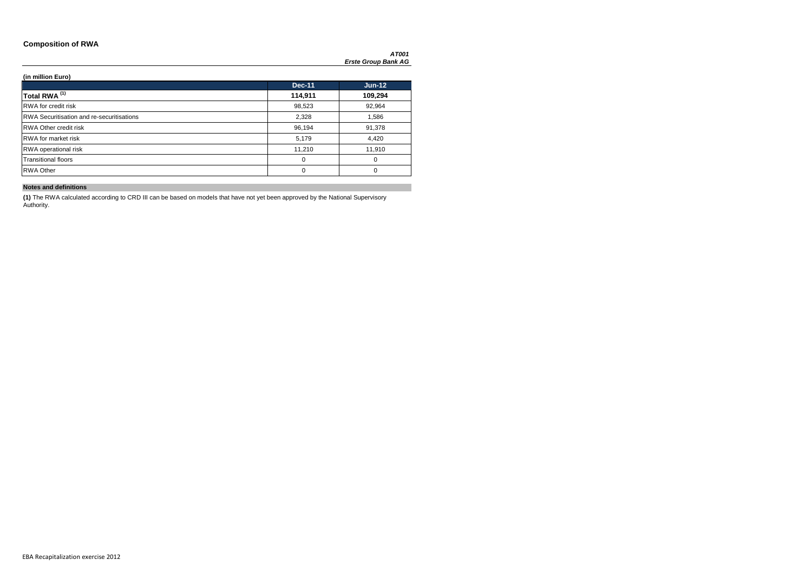### **Composition of RWA**

*AT001 Erste Group Bank AG*

**(in million Euro)**

|                                                  | <b>Dec-11</b> | $Jun-12$ |
|--------------------------------------------------|---------------|----------|
| Total RWA <sup>(1)</sup>                         | 114,911       | 109,294  |
| <b>RWA</b> for credit risk                       | 98,523        | 92,964   |
| <b>RWA Securitisation and re-securitisations</b> | 2,328         | 1,586    |
| <b>RWA Other credit risk</b>                     | 96,194        | 91,378   |
| <b>RWA</b> for market risk                       | 5,179         | 4,420    |
| <b>RWA</b> operational risk                      | 11,210        | 11,910   |
| <b>Transitional floors</b>                       | 0             | 0        |
| <b>RWA Other</b>                                 | 0             | $\Omega$ |

### **Notes and definitions**

**(1)** The RWA calculated according to CRD III can be based on models that have not yet been approved by the National Supervisory Authority.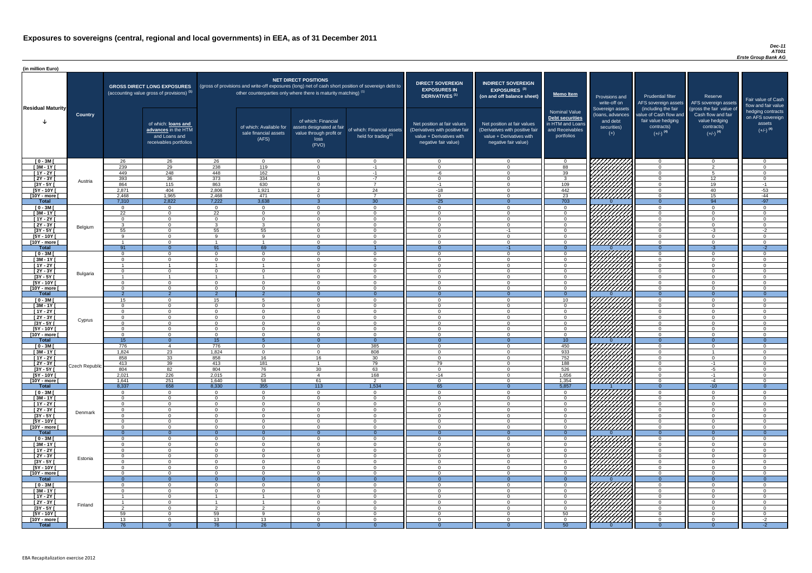#### *Dec-11 AT001 Erste Group Bank AG*

| (in million Euro)               |                |                                  |                                                                                             |                      |                                                                            |                                                                                              |                                                                                                     |                                                                                                                    |                                                                                                                    |                                                                                              |                                                                          |                                                                                                             |                                                                                                         |                                                                           |
|---------------------------------|----------------|----------------------------------|---------------------------------------------------------------------------------------------|----------------------|----------------------------------------------------------------------------|----------------------------------------------------------------------------------------------|-----------------------------------------------------------------------------------------------------|--------------------------------------------------------------------------------------------------------------------|--------------------------------------------------------------------------------------------------------------------|----------------------------------------------------------------------------------------------|--------------------------------------------------------------------------|-------------------------------------------------------------------------------------------------------------|---------------------------------------------------------------------------------------------------------|---------------------------------------------------------------------------|
| <b>Residual Maturity</b>        |                |                                  | <b>GROSS DIRECT LONG EXPOSURES</b><br>(accounting value gross of provisions) <sup>(1)</sup> |                      | other counterparties only where there is maturity matching) <sup>(1)</sup> | <b>NET DIRECT POSITIONS</b>                                                                  | (gross of provisions and write-off exposures (long) net of cash short position of sovereign debt to | <b>DIRECT SOVEREIGN</b><br><b>EXPOSURES IN</b><br>DERIVATIVES <sup>(1)</sup>                                       | <b>INDIRECT SOVEREIGN</b><br><b>EXPOSURES<sup>(3)</sup></b><br>(on and off balance sheet)                          | <b>Memo Item</b>                                                                             | Provisions and<br>write-off on                                           | <b>Prudential filter</b><br>AFS sovereign assets                                                            | Reserve<br>AFS sovereign assets                                                                         | Fair value of Cash<br>flow and fair value                                 |
|                                 | <b>Country</b> |                                  | of which: loans and<br>advances in the HTM<br>and Loans and<br>receivables portfolios       |                      | of which: Available for<br>sale financial assets<br>(AFS)                  | of which: Financial<br>assets designated at fair<br>value through profit or<br>loss<br>(FVO) | of which: Financial assets<br>held for trading $(2)$                                                | Net position at fair values<br>(Derivatives with positive fair<br>value + Derivatives with<br>negative fair value) | Net position at fair values<br>(Derivatives with positive fair<br>value + Derivatives with<br>negative fair value) | <b>Nominal Value</b><br>Debt securities<br>in HTM and Loans<br>and Receivables<br>portfolios | Sovereign assets<br>(Ioans, advances<br>and debt<br>securities)<br>$(+)$ | (including the fair<br>value of Cash flow and<br>fair value hedging<br>contracts)<br>$(+/-)$ <sup>(4)</sup> | (gross the fair value of<br>Cash flow and fair<br>value hedging<br>contracts)<br>$(+/-)$ <sup>(4)</sup> | hedging contracts<br>on AFS sovereign<br>assets<br>$(+/-)$ <sup>(4)</sup> |
| $[0 - 3M]$                      |                | 26<br>239                        | 26<br>29                                                                                    | 26                   | $\overline{0}$                                                             | $\Omega$<br>$\Omega$                                                                         | $\overline{0}$                                                                                      | - റ<br>$\Omega$                                                                                                    | $\Omega$<br>$\Omega$                                                                                               | 88                                                                                           | 777777777                                                                | റ<br>$\Omega$                                                                                               | $\overline{0}$<br>$\overline{2}$                                                                        | $\Omega$                                                                  |
| $[3M - 1Y]$<br>$[1Y - 2Y]$      |                | 449                              | 248                                                                                         | 238<br>448           | 119<br>162                                                                 |                                                                                              | $-1$<br>$-1$                                                                                        | -6                                                                                                                 | $\Omega$                                                                                                           | 39                                                                                           |                                                                          | $\Omega$                                                                                                    | -5                                                                                                      | $\Omega$<br>$\Omega$                                                      |
| [2Y - 3Y [                      | Austria        | 393                              | 36                                                                                          | 373                  | 334                                                                        | $\Omega$                                                                                     | $-7$                                                                                                | $\Omega$                                                                                                           | $\Omega$                                                                                                           | $\mathcal{R}$                                                                                |                                                                          | $\cap$                                                                                                      | 12                                                                                                      | - 0                                                                       |
| $[3Y - 5Y]$                     |                | 864                              | 115                                                                                         | 863                  | 630                                                                        | $\Omega$                                                                                     | $\overline{7}$                                                                                      | $-1$                                                                                                               | $\Omega$                                                                                                           | 109                                                                                          | HHHA<br>HHHHA                                                            | $\Omega$                                                                                                    | 19                                                                                                      | $-1$                                                                      |
| $\sqrt{5Y - 10Y}$               |                | 2,871                            | 404                                                                                         | 2,806                | 1,921                                                                      | $\overline{2}$<br>$\cap$                                                                     | 24<br>$\overline{7}$                                                                                | $-18$<br>$\cap$                                                                                                    | $\Omega$<br>$\Omega$                                                                                               | 442                                                                                          |                                                                          | $\cap$<br>$\cap$                                                                                            | 40                                                                                                      | $-53$                                                                     |
| [10Y - more [<br>Total          |                | 2,468<br>7,310                   | 1,965<br>2,822                                                                              | 2,468<br>7,222       | 471<br>3,638                                                               |                                                                                              | 30                                                                                                  | $-25$                                                                                                              |                                                                                                                    | 23<br>703                                                                                    |                                                                          | $\Omega$                                                                                                    | 15<br>94                                                                                                | $-44$<br>$-97$                                                            |
| $[0 - 3M]$                      |                | $\Omega$                         | $\overline{0}$                                                                              | $\Omega$             | $\overline{0}$                                                             | $\Omega$                                                                                     | $\overline{0}$                                                                                      | $\cap$                                                                                                             | $\Omega$                                                                                                           | $\cap$                                                                                       |                                                                          | $\cap$                                                                                                      | $\overline{0}$                                                                                          | $\Omega$                                                                  |
| $[3M - 1Y]$                     |                | 22                               | $\overline{0}$                                                                              | 22                   | $\overline{0}$                                                             | $\Omega$                                                                                     | $\overline{0}$                                                                                      | $\Omega$                                                                                                           | $\Omega$                                                                                                           | റ                                                                                            |                                                                          | $\Omega$                                                                                                    | $\overline{0}$                                                                                          | $\Omega$                                                                  |
| $[1Y - 2Y]$                     |                | $\Omega$<br>$\mathcal{R}$        | $\overline{0}$<br>$\Omega$                                                                  | $\Omega$             | $\Omega$<br>$\mathbf{3}$                                                   | $\Omega$<br>$\Omega$                                                                         | $\overline{0}$<br>$\overline{0}$                                                                    | $\Omega$<br>$\Omega$                                                                                               | $\Omega$<br>$\Omega$                                                                                               | $\cap$                                                                                       |                                                                          | $\Omega$<br>$\Omega$                                                                                        | $\overline{0}$<br>$\overline{0}$                                                                        | $\Omega$<br>$\Omega$                                                      |
| $[2Y - 3Y]$<br>$[3Y - 5Y]$      | Belgium        | 55                               | $\Omega$                                                                                    | 55                   | 55                                                                         | $\Omega$                                                                                     | $\Omega$                                                                                            | $\cap$                                                                                                             | $-1$                                                                                                               |                                                                                              |                                                                          | $\Omega$                                                                                                    | $-3$                                                                                                    | $-2$                                                                      |
| $[5Y - 10Y]$                    |                | $\circ$                          | $\cap$                                                                                      | $\Omega$             | $\alpha$                                                                   |                                                                                              | $\Omega$                                                                                            | $\Omega$                                                                                                           | $\Omega$                                                                                                           |                                                                                              |                                                                          | $\cap$                                                                                                      | $\Omega$                                                                                                | $\Omega$                                                                  |
| [10Y - more [                   |                |                                  | $\cap$                                                                                      |                      |                                                                            | $\cap$                                                                                       | $\Omega$                                                                                            | $\cap$                                                                                                             | $\Omega$                                                                                                           |                                                                                              | <u> ///////////</u>                                                      | $\cap$                                                                                                      | $\Omega$                                                                                                | $\Omega$                                                                  |
| <b>Total</b>                    |                | 91<br>$\Omega$                   | $\overline{0}$<br>$\Omega$                                                                  | 91<br>$\cap$         | 69<br>$\Omega$                                                             | $\Omega$<br>$\cap$                                                                           | $\Omega$                                                                                            | - 0<br>$\Omega$                                                                                                    | $-1$<br>$\Omega$                                                                                                   | $\Omega$<br>$\cap$                                                                           |                                                                          | $\Omega$<br>$\cap$                                                                                          | $-3$<br>$\Omega$                                                                                        | $-2$<br>$\Omega$                                                          |
| $[0 - 3M]$<br>$[3M - 1Y]$       |                | $\Omega$                         | $\cap$                                                                                      | $\cap$               | $\Omega$                                                                   | $\cap$                                                                                       | $\Omega$                                                                                            | $\cap$                                                                                                             | $\Omega$                                                                                                           | $\cap$                                                                                       |                                                                          | $\cap$                                                                                                      | $\Omega$                                                                                                | $\Omega$                                                                  |
| $[1Y - 2Y]$                     |                |                                  |                                                                                             |                      |                                                                            | $\cap$                                                                                       | $\overline{0}$                                                                                      | $\Omega$                                                                                                           | $\Omega$                                                                                                           | $\Omega$                                                                                     |                                                                          | $\Omega$                                                                                                    | $\Omega$                                                                                                | $\Omega$                                                                  |
| $[2Y - 3Y]$                     | Bulgaria       | $\Omega$                         | $\cap$                                                                                      | $\Omega$             | $\Omega$                                                                   | $\cap$                                                                                       | $\Omega$                                                                                            | $\cap$                                                                                                             | $\Omega$                                                                                                           | $\Omega$                                                                                     | УННА                                                                     | $\Omega$                                                                                                    | $\overline{0}$                                                                                          | $\Omega$                                                                  |
| $[3Y - 5Y]$<br>$[5Y - 10Y]$     |                | $\Omega$                         |                                                                                             | $\Omega$             | $\Omega$                                                                   | $\Omega$                                                                                     | $\Omega$                                                                                            | $\Omega$                                                                                                           | $\Omega$                                                                                                           | $\Omega$                                                                                     |                                                                          | $\Omega$                                                                                                    | $\overline{0}$                                                                                          |                                                                           |
| [10Y - more [                   |                | $\Omega$                         | $\Omega$                                                                                    | $\Omega$             | $\Omega$                                                                   | $\Omega$                                                                                     | $\Omega$                                                                                            | $\Omega$                                                                                                           | $\Omega$                                                                                                           | $\cap$                                                                                       | HHHH                                                                     | $\Omega$                                                                                                    | $\overline{0}$                                                                                          | $\Omega$                                                                  |
| <b>Total</b>                    |                |                                  | $\overline{2}$                                                                              |                      | -2                                                                         |                                                                                              | $\overline{0}$                                                                                      |                                                                                                                    |                                                                                                                    | $\Omega$                                                                                     |                                                                          | $\Omega$                                                                                                    | $\Omega$                                                                                                |                                                                           |
| $[0 - 3M]$                      |                | 15                               | $\Omega$                                                                                    | 15                   | -5                                                                         | $\Omega$                                                                                     | $\Omega$                                                                                            | $\cap$                                                                                                             | $\Omega$                                                                                                           | 10 <sup>°</sup>                                                                              |                                                                          | $\cap$                                                                                                      | $\overline{0}$                                                                                          | ∩                                                                         |
| $\sqrt{3M} - 1Y$<br>$[1Y - 2Y]$ |                | $\overline{0}$<br>$\overline{0}$ | $\Omega$<br>$\Omega$                                                                        | $\Omega$<br>$\Omega$ | $\Omega$<br>$\Omega$                                                       | $\Omega$<br>$\Omega$                                                                         | $\Omega$<br>$\overline{0}$                                                                          | $\Omega$<br>$\Omega$                                                                                               | $\Omega$<br>$\Omega$                                                                                               | $\Omega$<br>$\Omega$                                                                         | <i>V7777777</i> ,                                                        | - 0<br>- 0                                                                                                  | $\Omega$<br>$\overline{0}$                                                                              | $\Omega$<br>$\Omega$                                                      |
| $[2Y - 3Y]$                     |                | $\overline{0}$                   | $\Omega$                                                                                    | $\Omega$             | $\Omega$                                                                   | $\Omega$                                                                                     | $\Omega$                                                                                            | $\Omega$                                                                                                           | $\Omega$                                                                                                           | $\Omega$                                                                                     |                                                                          | $\Omega$                                                                                                    | $\overline{0}$                                                                                          | $\Omega$                                                                  |
| $[3Y - 5Y]$                     | Cyprus         | $\Omega$                         | $\Omega$                                                                                    | $\Omega$             | $\Omega$                                                                   | $\Omega$                                                                                     | $\overline{0}$                                                                                      | - 0                                                                                                                | $\Omega$                                                                                                           | - 0                                                                                          |                                                                          | $\Omega$                                                                                                    | $\overline{0}$                                                                                          | $\Omega$                                                                  |
| $[5Y - 10Y]$                    |                | $\Omega$                         | $\Omega$                                                                                    | $\Omega$             | $\Omega$                                                                   | $\Omega$                                                                                     | $\Omega$                                                                                            | $\Omega$                                                                                                           | $\Omega$                                                                                                           | $\cap$                                                                                       |                                                                          | $\Omega$                                                                                                    | $\overline{0}$                                                                                          | $\Omega$                                                                  |
| [10Y - more [<br><b>Total</b>   |                | $\Omega$<br>15                   | $\Omega$<br>$\overline{0}$                                                                  | $\Omega$<br>15       | $\Omega$                                                                   | $\cap$                                                                                       | $\Omega$<br>$\Omega$                                                                                | $\cap$                                                                                                             | $\Omega$                                                                                                           | $\cap$<br>10                                                                                 | <u> //////////</u>                                                       | $\cap$<br>$\Omega$                                                                                          | $\Omega$                                                                                                | $\cap$                                                                    |
| $[0 - 3M]$                      |                | 776                              | $\overline{4}$                                                                              | 776                  | $\overline{0}$                                                             | $\Omega$                                                                                     | 385                                                                                                 | $\Omega$                                                                                                           | $\Omega$                                                                                                           | 450                                                                                          |                                                                          | $\Omega$                                                                                                    | $\overline{0}$                                                                                          | $\Omega$                                                                  |
| $[3M - 1Y]$                     |                | 1,824                            | 23                                                                                          | 1,824                | $\overline{0}$                                                             | $\Omega$                                                                                     | 808                                                                                                 | $\Omega$                                                                                                           | $\Omega$                                                                                                           | 933                                                                                          |                                                                          | $\Omega$                                                                                                    |                                                                                                         | $\Omega$                                                                  |
| $[1Y - 2Y]$                     |                | 858                              | 33                                                                                          | 858                  | 16                                                                         | 16                                                                                           | 30                                                                                                  | - 0                                                                                                                | $\Omega$<br>$\Omega$                                                                                               | 752                                                                                          |                                                                          | $\Omega$<br>$\Omega$                                                                                        | $\overline{0}$                                                                                          | $\Omega$<br>$\Omega$                                                      |
| [2Y - 3Y [<br>$[3Y - 5Y]$       | Czech Republic | 413<br>804                       | 39<br>82                                                                                    | 413<br>804           | 181<br>76                                                                  | 30                                                                                           | 79<br>63                                                                                            | 79<br>$\Omega$                                                                                                     | $\Omega$                                                                                                           | 188<br>526                                                                                   |                                                                          | $\Omega$                                                                                                    | $-1$<br>$-5$                                                                                            | $\Omega$                                                                  |
| $[5Y - 10Y]$                    |                | 2,021                            | 226                                                                                         | 2,015                | 25                                                                         | $\overline{4}$                                                                               | 168                                                                                                 | $-14$                                                                                                              | $\Omega$                                                                                                           | 1,656                                                                                        |                                                                          | ∩                                                                                                           | $-1$                                                                                                    |                                                                           |
| [10Y - more [                   |                | 1,641                            | 251                                                                                         | 1,640                | 58                                                                         | 61                                                                                           | $\overline{2}$                                                                                      | $\Omega$                                                                                                           | $\Omega$                                                                                                           | 1,354                                                                                        | <u>VIIIIIII)</u>                                                         | $\cap$                                                                                                      | $-4$                                                                                                    |                                                                           |
| <b>Total</b>                    |                | 8,337                            | 658                                                                                         | 8,330                | 355                                                                        | 113<br>$\Omega$                                                                              | 1,534                                                                                               | 65<br>$\Omega$                                                                                                     | $\Omega$<br>$\Omega$                                                                                               | 5,857<br>$\cap$                                                                              |                                                                          | $\Omega$<br>$\Omega$                                                                                        | $-10$<br>$\Omega$                                                                                       | $\Omega$                                                                  |
| $[0 - 3M]$<br>$[3M - 1Y]$       |                | - റ<br>$\Omega$                  | $\Omega$<br>$\Omega$                                                                        | $\Omega$<br>$\Omega$ | $\Omega$<br>$\Omega$                                                       | $\Omega$                                                                                     | $\overline{0}$<br>$\overline{0}$                                                                    | $\Omega$                                                                                                           | $\Omega$                                                                                                           | $\Omega$                                                                                     | 77777777<br>777777777                                                    | $\Omega$                                                                                                    | $\overline{0}$                                                                                          | $\Omega$                                                                  |
| $[1Y - 2Y]$                     |                | $\Omega$                         | $\Omega$                                                                                    | $\Omega$             | $\Omega$                                                                   | $\Omega$                                                                                     | $\overline{0}$                                                                                      | $\Omega$                                                                                                           | $\Omega$                                                                                                           | $\cap$                                                                                       | <u>VIII</u> IIII                                                         | $\Omega$                                                                                                    | $\overline{0}$                                                                                          | $\Omega$                                                                  |
| $[2Y - 3Y]$                     | Denmark        | $\Omega$                         | $\Omega$                                                                                    | $\Omega$             | $\Omega$                                                                   | $\Omega$                                                                                     | $\overline{0}$                                                                                      | $\Omega$                                                                                                           | $\Omega$                                                                                                           | $\Omega$                                                                                     | UMM.                                                                     | $\Omega$                                                                                                    | $\overline{0}$                                                                                          | $\Omega$                                                                  |
| $[3Y - 5Y]$<br>$[5Y - 10Y]$     |                | $\Omega$<br>$\Omega$             | $\Omega$<br>$\Omega$                                                                        | $\Omega$<br>$\Omega$ | $\Omega$<br>$\Omega$                                                       | $\Omega$<br>$\Omega$                                                                         | $\Omega$<br>$\Omega$                                                                                | $\Omega$<br>$\Omega$                                                                                               | $\Omega$<br>$\Omega$                                                                                               | $\Omega$<br>$\Omega$                                                                         | 777777777                                                                | $\Omega$<br>$\Omega$                                                                                        | $\overline{0}$<br>$\overline{0}$                                                                        | $\Omega$<br>$\Omega$                                                      |
| [10Y - more [                   |                | $\Omega$                         | $\Omega$                                                                                    | $\Omega$             | $\Omega$                                                                   | $\Omega$                                                                                     | $\Omega$                                                                                            | $\Omega$                                                                                                           | $\Omega$                                                                                                           | $\cap$                                                                                       | <u>777777777</u>                                                         | $\Omega$                                                                                                    | $\overline{0}$                                                                                          | $\Omega$                                                                  |
| <b>Total</b>                    |                | $\Omega$                         | $\overline{0}$                                                                              |                      | $\Omega$                                                                   | $\Omega$                                                                                     | $\overline{0}$                                                                                      |                                                                                                                    | $\Omega$                                                                                                           | $\Omega$                                                                                     |                                                                          | $\Omega$                                                                                                    | $\overline{0}$                                                                                          | $\Omega$                                                                  |
| $[0 - 3M]$                      |                | $\Omega$                         | $\Omega$                                                                                    | $\Omega$             | $\Omega$                                                                   | $\cap$                                                                                       | $\Omega$                                                                                            | - 0                                                                                                                | $\mathbf{0}$                                                                                                       | $\Omega$                                                                                     | 7777.                                                                    | $\Omega$                                                                                                    | $\overline{0}$                                                                                          |                                                                           |
| $\sqrt{3M} - 1Y$<br>$[1Y - 2Y]$ |                | - 0                              | $\Omega$<br>$\Omega$                                                                        | $\Omega$<br>$\Omega$ | $\Omega$<br>$\Omega$                                                       | ∩<br>$\Omega$                                                                                | $\Omega$<br>$\Omega$                                                                                | $\Omega$<br>$\Omega$                                                                                               | $\Omega$<br>$\Omega$                                                                                               |                                                                                              | 77777777                                                                 | $\Omega$<br>$\Omega$                                                                                        | $\Omega$<br>$\Omega$                                                                                    | $\Omega$                                                                  |
| $[2Y - 3Y]$                     |                | $\overline{0}$<br>- 0            | $\Omega$                                                                                    | $\Omega$             | $\Omega$                                                                   | $\Omega$                                                                                     | $\Omega$                                                                                            | $\Omega$                                                                                                           | $\Omega$                                                                                                           |                                                                                              |                                                                          | - 0                                                                                                         | $\Omega$                                                                                                | $\Omega$                                                                  |
| $[3Y - 5Y]$                     | Estonia        | $\Omega$                         | $\Omega$                                                                                    | $\Omega$             | $\Omega$                                                                   | $\Omega$                                                                                     | $\Omega$                                                                                            | $\Omega$                                                                                                           | $\Omega$                                                                                                           | $\Omega$                                                                                     |                                                                          | $\Omega$                                                                                                    | $\overline{0}$                                                                                          | $\Omega$                                                                  |
| [5Y - 10Y]                      |                | - റ                              | $\Omega$                                                                                    | $\Omega$             | $\Omega$                                                                   | $\Omega$                                                                                     | $\Omega$                                                                                            | $\Omega$                                                                                                           | $\Omega$                                                                                                           | $\cap$                                                                                       |                                                                          | $\Omega$                                                                                                    | $\Omega$                                                                                                | $\Omega$                                                                  |
| [10Y - more [<br><b>Total</b>   |                | - റ                              | $\Omega$<br>$\Omega$                                                                        | $\Omega$             | $\Omega$                                                                   | $\Omega$                                                                                     | $\Omega$                                                                                            | $\cap$                                                                                                             | $\Omega$                                                                                                           | $\Omega$                                                                                     | <u>77777777</u>                                                          | $\Omega$                                                                                                    | $\Omega$                                                                                                | $\Omega$                                                                  |
| $[0 - 3M]$                      |                | $\Omega$                         | $\cap$                                                                                      | $\cap$               | $\Omega$                                                                   |                                                                                              | $\Omega$                                                                                            |                                                                                                                    | $\Omega$                                                                                                           |                                                                                              | VIIIIIIII                                                                |                                                                                                             | $\Omega$                                                                                                |                                                                           |
| $[3M - 1Y]$                     |                | $\overline{0}$                   | $\overline{0}$                                                                              | $\Omega$             | $\overline{0}$                                                             | $\Omega$                                                                                     | $\Omega$                                                                                            | $\Omega$                                                                                                           | $\overline{0}$                                                                                                     | - 0                                                                                          | <b>SANARIA</b>                                                           | $\overline{0}$                                                                                              | $\overline{0}$                                                                                          | - 0                                                                       |
| $[1Y - 2Y]$                     |                |                                  | $\overline{0}$                                                                              |                      | $\overline{\mathbf{1}}$                                                    | $\Omega$                                                                                     | $\overline{0}$                                                                                      | $\Omega$                                                                                                           | $\overline{0}$                                                                                                     | $\Omega$                                                                                     |                                                                          | $\Omega$                                                                                                    | $\overline{0}$                                                                                          | $\Omega$                                                                  |
| [2Y - 3Y [<br>$[3Y - 5Y]$       | Finland        | - 2                              | $\Omega$<br>$\Omega$                                                                        | $\overline{2}$       | $\overline{\mathbf{1}}$<br>$\overline{2}$                                  | $\Omega$<br>$\Omega$                                                                         | $\overline{0}$<br>$\overline{0}$                                                                    | - 0<br>- 0                                                                                                         | $\Omega$<br>$\Omega$                                                                                               | . റ<br>$\Omega$                                                                              |                                                                          | $\Omega$<br>$\Omega$                                                                                        | $\overline{0}$<br>$\overline{0}$                                                                        | $\Omega$<br>$\Omega$                                                      |
| $[5Y - 10Y]$                    |                | 59                               | $\Omega$                                                                                    | 59                   | $\mathsf{Q}$                                                               | $\Omega$                                                                                     | $\Omega$                                                                                            | $\Omega$                                                                                                           | $\Omega$                                                                                                           | 50                                                                                           |                                                                          | $\cap$                                                                                                      | $\Omega$                                                                                                | $\Omega$                                                                  |
| [10Y - more [                   |                | 13                               | $\Omega$                                                                                    | 13                   | 13 <sup>°</sup>                                                            | $\Omega$                                                                                     | $\Omega$                                                                                            | $\Omega$                                                                                                           | $\Omega$                                                                                                           | $\Omega$                                                                                     |                                                                          |                                                                                                             | $\Omega$                                                                                                | $-2$                                                                      |
| <b>Total</b>                    |                | 76                               | $\overline{0}$                                                                              | 76                   | $\overline{26}$                                                            | $\Omega$                                                                                     | $\Omega$                                                                                            |                                                                                                                    |                                                                                                                    | 50                                                                                           |                                                                          |                                                                                                             | $\Omega$                                                                                                | $-2$                                                                      |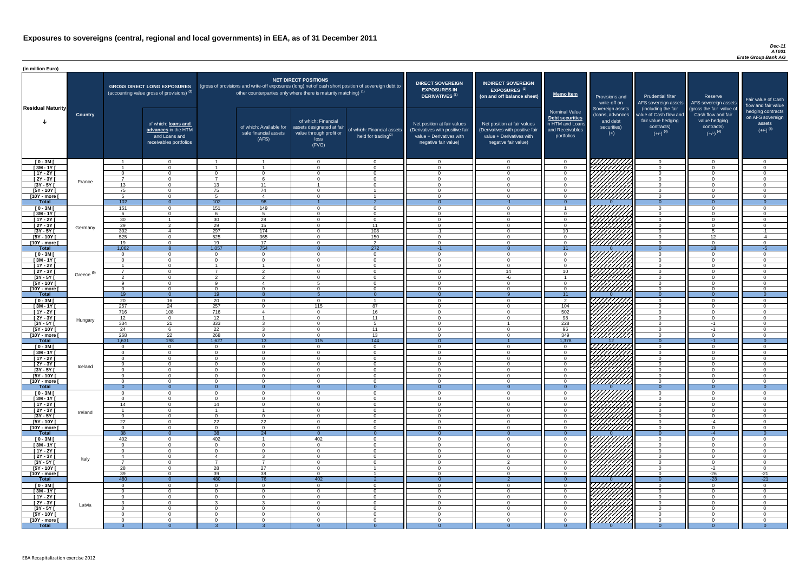#### *Dec-11 AT001 Erste Group Bank AG*

| (in million Euro)             |                       |                                  |                                                                                             |                      |                                                                                                                                                                                   |                                                                                              |                                                      |                                                                                                                    |                                                                                                                    |                                                                                              |                                                                          |                                                                                                             |                                                                                                         |                                                                           |
|-------------------------------|-----------------------|----------------------------------|---------------------------------------------------------------------------------------------|----------------------|-----------------------------------------------------------------------------------------------------------------------------------------------------------------------------------|----------------------------------------------------------------------------------------------|------------------------------------------------------|--------------------------------------------------------------------------------------------------------------------|--------------------------------------------------------------------------------------------------------------------|----------------------------------------------------------------------------------------------|--------------------------------------------------------------------------|-------------------------------------------------------------------------------------------------------------|---------------------------------------------------------------------------------------------------------|---------------------------------------------------------------------------|
| <b>Residual Maturity</b>      |                       |                                  | <b>GROSS DIRECT LONG EXPOSURES</b><br>(accounting value gross of provisions) <sup>(1)</sup> |                      | (gross of provisions and write-off exposures (long) net of cash short position of sovereign debt to<br>other counterparties only where there is maturity matching) <sup>(1)</sup> | <b>NET DIRECT POSITIONS</b>                                                                  |                                                      | <b>DIRECT SOVEREIGN</b><br><b>EXPOSURES IN</b><br>DERIVATIVES <sup>(1)</sup>                                       | <b>INDIRECT SOVEREIGN</b><br><b>EXPOSURES<sup>(3)</sup></b><br>(on and off balance sheet)                          | <b>Memo Item</b>                                                                             | Provisions and<br>write-off on                                           | <b>Prudential filter</b><br>AFS sovereign assets                                                            | Reserve<br>AFS sovereign assets                                                                         | Fair value of Cash<br>flow and fair value                                 |
|                               | <b>Country</b>        |                                  | of which: loans and<br>advances in the HTM<br>and Loans and<br>receivables portfolios       |                      | of which: Available for<br>sale financial assets<br>(AFS)                                                                                                                         | of which: Financial<br>assets designated at fair<br>value through profit or<br>loss<br>(FVO) | of which: Financial assets<br>held for trading $(2)$ | Net position at fair values<br>(Derivatives with positive fair<br>value + Derivatives with<br>negative fair value) | Net position at fair values<br>(Derivatives with positive fair<br>value + Derivatives with<br>negative fair value) | <b>Nominal Value</b><br>Debt securities<br>in HTM and Loans<br>and Receivables<br>portfolios | Sovereign assets<br>(Ioans, advances<br>and debt<br>securities)<br>$(+)$ | (including the fair<br>value of Cash flow and<br>fair value hedging<br>contracts)<br>$(+/-)$ <sup>(4)</sup> | (gross the fair value of<br>Cash flow and fair<br>value hedging<br>contracts)<br>$(+/-)$ <sup>(4)</sup> | hedging contracts<br>on AFS sovereign<br>assets<br>$(+/-)$ <sup>(4)</sup> |
| $[0 - 3M]$                    |                       |                                  | $\overline{0}$                                                                              |                      | - 1                                                                                                                                                                               | $\Omega$                                                                                     | $\overline{0}$                                       | $\Omega$                                                                                                           | $\Omega$                                                                                                           | - 0                                                                                          | 7777777777                                                               | $\overline{0}$                                                                                              | $\overline{0}$                                                                                          | $\overline{0}$                                                            |
| $[3M - 1Y]$<br>$[1Y - 2Y]$    |                       | $\Omega$                         | $\Omega$<br>$\Omega$                                                                        | $\cap$               | $\Omega$                                                                                                                                                                          | $\cap$<br>$\cap$                                                                             | $\Omega$<br>$\overline{0}$                           | $\cap$<br>$\Omega$                                                                                                 | $\Omega$<br>$\Omega$                                                                                               | $\cap$<br>$\cap$                                                                             | 77777777                                                                 | $\cap$<br>$\Omega$                                                                                          | $\Omega$<br>$\Omega$                                                                                    | $\Omega$<br>$\Omega$                                                      |
| $[2Y - 3Y]$                   |                       | $\overline{7}$                   | $\overline{0}$                                                                              | $\overline{7}$       | 6                                                                                                                                                                                 | $\cap$                                                                                       | $\overline{0}$                                       | $\Omega$                                                                                                           | $\Omega$                                                                                                           | $\Omega$                                                                                     |                                                                          | $\overline{0}$                                                                                              | $\overline{0}$                                                                                          | $\Omega$                                                                  |
| $[3Y - 5Y]$                   | France                | 13                               | $\Omega$                                                                                    | 13                   | 11                                                                                                                                                                                |                                                                                              | $\Omega$                                             | $\Omega$                                                                                                           | $\Omega$                                                                                                           | $\Omega$                                                                                     |                                                                          | $\Omega$                                                                                                    | $\Omega$                                                                                                | $\Omega$                                                                  |
| $[5Y - 10Y]$                  |                       | 75                               | $\overline{0}$                                                                              | 75                   | 74                                                                                                                                                                                | $\Omega$                                                                                     |                                                      | $\Omega$                                                                                                           | $\Omega$                                                                                                           | $\Omega$                                                                                     | ШШШ<br>ШШШ                                                               | $\Omega$                                                                                                    | $\Omega$                                                                                                | $\Omega$                                                                  |
| [10Y - more [                 |                       | - 5                              | $\overline{0}$                                                                              | - 5                  | $\overline{4}$<br>98                                                                                                                                                              | $\Omega$                                                                                     |                                                      | $\Omega$                                                                                                           | $\Omega$                                                                                                           | $\Omega$                                                                                     |                                                                          | $\overline{0}$<br>$\overline{0}$                                                                            | $\overline{0}$                                                                                          | $\overline{0}$                                                            |
| <b>Total</b><br>$[0 - 3M]$    |                       | 102<br>151                       | $\overline{0}$<br>$\overline{0}$                                                            | 102<br>151           | 149                                                                                                                                                                               | $\Omega$                                                                                     | $\overline{2}$<br>$\overline{0}$                     | $\Omega$                                                                                                           | $-1$<br>$\Omega$                                                                                                   | $\Omega$                                                                                     |                                                                          | $\cap$                                                                                                      | $\overline{0}$                                                                                          | $\Omega$<br>$\Omega$                                                      |
| $[3M - 1Y]$                   |                       | -6                               | $\overline{0}$                                                                              | 6                    | 5                                                                                                                                                                                 | $\Omega$                                                                                     | $\overline{0}$                                       | - 0                                                                                                                | $\Omega$                                                                                                           | $\cap$                                                                                       |                                                                          | $\Omega$                                                                                                    | $\overline{0}$                                                                                          | $\Omega$                                                                  |
| $[1Y - 2Y]$                   |                       | 30                               |                                                                                             | 30                   | 28                                                                                                                                                                                | $\Omega$                                                                                     | $\overline{0}$                                       | $\Omega$                                                                                                           | $\Omega$                                                                                                           | $\cap$                                                                                       | ШШ                                                                       | $\Omega$                                                                                                    | $\overline{0}$                                                                                          | $\Omega$                                                                  |
| [2Y - 3Y [                    | Germany               | 29                               | $\overline{2}$                                                                              | 29                   | 15                                                                                                                                                                                | $\Omega$                                                                                     | 11                                                   | $\cap$                                                                                                             | $\Omega$                                                                                                           | $\cap$                                                                                       |                                                                          | $\Omega$                                                                                                    | $\Omega$                                                                                                | $\Omega$                                                                  |
| $[3Y - 5Y]$                   |                       | 302                              | $\overline{4}$                                                                              | 297                  | 174                                                                                                                                                                               | $\Omega$                                                                                     | 108                                                  | $-1$                                                                                                               | $\Omega$                                                                                                           | 10 <sup>1</sup>                                                                              |                                                                          | $\Omega$                                                                                                    | 5                                                                                                       | $-1$                                                                      |
| $[5Y - 10Y]$<br>[10Y - more [ |                       | 525<br>19                        | $\Omega$<br>$\Omega$                                                                        | 525<br>19            | 365<br>17                                                                                                                                                                         | $\Omega$<br>$\cap$                                                                           | 150<br>$\overline{2}$                                | $\Omega$<br>$\cap$                                                                                                 | $\Omega$<br>$\cap$                                                                                                 | $\cap$<br>$\cap$                                                                             | HMM.                                                                     | $\cap$<br>$\Omega$                                                                                          | 12<br>$\overline{0}$                                                                                    | $-4$<br>$\Omega$                                                          |
| <b>Total</b>                  |                       | 1,062                            | -8                                                                                          | 1,057                | 754                                                                                                                                                                               | $\Omega$                                                                                     | 272                                                  | $-1$                                                                                                               | $\Omega$                                                                                                           | $\overline{11}$                                                                              |                                                                          | $\Omega$                                                                                                    | $\overline{18}$                                                                                         | $-5$                                                                      |
| $[0 - 3M]$                    |                       | $\Omega$                         | $\Omega$                                                                                    | $\Omega$             | $\Omega$                                                                                                                                                                          | $\cap$                                                                                       | $\overline{0}$                                       | $\cap$                                                                                                             | $\Omega$                                                                                                           | $\cap$                                                                                       |                                                                          | $\cap$                                                                                                      | $\Omega$                                                                                                | $\Omega$                                                                  |
| $[3M - 1Y]$                   |                       | $\Omega$                         | $\Omega$                                                                                    | $\Omega$             | $\Omega$                                                                                                                                                                          | $\cap$                                                                                       | $\Omega$                                             | $\Omega$                                                                                                           | $\Omega$                                                                                                           | $\Omega$                                                                                     |                                                                          | $\Omega$                                                                                                    | $\Omega$                                                                                                | $\Omega$                                                                  |
| $\boxed{1Y - 2Y}$             |                       |                                  | $\Omega$<br>$\Omega$                                                                        |                      | $\mathcal{D}$                                                                                                                                                                     | $\cap$                                                                                       | $\Omega$<br>$\cap$                                   | $\cap$                                                                                                             | $\Omega$<br>14                                                                                                     | $\Omega$<br>10                                                                               | <i>УННН</i> А                                                            | $\Omega$                                                                                                    | $\Omega$<br>$\Omega$                                                                                    | $\Omega$                                                                  |
| $[2Y - 3Y]$<br>$[3Y - 5Y]$    | Greece <sup>(5)</sup> |                                  |                                                                                             |                      |                                                                                                                                                                                   |                                                                                              |                                                      |                                                                                                                    | -h                                                                                                                 |                                                                                              |                                                                          |                                                                                                             |                                                                                                         |                                                                           |
| $[5Y - 10Y]$                  |                       | - Q                              |                                                                                             | $\Omega$             |                                                                                                                                                                                   |                                                                                              | $\Omega$                                             |                                                                                                                    | $\Omega$                                                                                                           |                                                                                              | <i>UMMI</i>                                                              |                                                                                                             | $\Omega$                                                                                                |                                                                           |
| [10Y - more [                 |                       | - 0                              |                                                                                             | $\Omega$             | $\Omega$                                                                                                                                                                          |                                                                                              | $\Omega$                                             |                                                                                                                    | $\Omega$                                                                                                           |                                                                                              | ///////////                                                              | $\cap$                                                                                                      | $\Omega$                                                                                                |                                                                           |
| <b>Total</b>                  |                       | 19                               | $\Omega$                                                                                    | 19                   |                                                                                                                                                                                   |                                                                                              | $\Omega$                                             |                                                                                                                    |                                                                                                                    | 11 <sup>1</sup>                                                                              |                                                                          | $\Omega$                                                                                                    | $\Omega$                                                                                                | $\Omega$                                                                  |
| $[0 - 3M]$<br>$[3M - 1Y]$     |                       | 20<br>257                        | 16<br>24                                                                                    | 20<br>257            | $\Omega$<br>$\Omega$                                                                                                                                                              | $\Omega$<br>115                                                                              | 87                                                   | $\Omega$<br>$\Omega$                                                                                               | $\Omega$<br>$\Omega$                                                                                               | 2<br>104                                                                                     | 7777777<br><u>777777777</u>                                              | $\Omega$<br>$\Omega$                                                                                        | $\Omega$<br>$\Omega$                                                                                    | $\cap$                                                                    |
| $[1Y - 2Y]$                   |                       | 716                              | 108                                                                                         | 716                  | $\Delta$                                                                                                                                                                          | $\Omega$                                                                                     | 16                                                   | $\Omega$                                                                                                           | $\Omega$                                                                                                           | 502                                                                                          |                                                                          | $\Omega$                                                                                                    | $\Omega$                                                                                                | $\Omega$                                                                  |
| $[2Y - 3Y]$                   | Hungary               | 12                               | $\overline{0}$                                                                              | 12                   |                                                                                                                                                                                   | $\Omega$                                                                                     | 11                                                   | $\Omega$                                                                                                           | $\Omega$                                                                                                           | 98                                                                                           | <u>VIIIIIII</u>                                                          | $\Omega$                                                                                                    | $\Omega$                                                                                                | $\cap$                                                                    |
| $[3Y - 5Y]$                   |                       | 334                              | 21                                                                                          | 333                  | $\mathbf{3}$                                                                                                                                                                      | $\Omega$                                                                                     | -5                                                   | $\Omega$                                                                                                           |                                                                                                                    | 228                                                                                          | <u>VIIIIIII</u>                                                          | $\Omega$                                                                                                    | $-1$                                                                                                    | $\Omega$                                                                  |
| $[5Y - 10Y]$<br>[10Y - more [ |                       | 24<br>268                        | -6<br>22                                                                                    | 22<br>268            | $\mathbf{3}$<br>$\overline{0}$                                                                                                                                                    | $\Omega$<br>$\Omega$                                                                         | 11<br>13                                             | $\Omega$<br>- 0                                                                                                    | $\Omega$<br>$\Omega$                                                                                               | 96<br>349                                                                                    | <i>77777777</i><br>///////////                                           | $\Omega$<br>$\overline{0}$                                                                                  | $-1$<br>$\overline{0}$                                                                                  | $\Omega$<br>$\Omega$                                                      |
| <b>Total</b>                  |                       | 1,631                            | 198                                                                                         | 1,627                | 13                                                                                                                                                                                | 115                                                                                          | $144$                                                | - 0                                                                                                                |                                                                                                                    | 1,378                                                                                        | 12 <sup>2</sup>                                                          | $\overline{0}$                                                                                              | $-1$                                                                                                    | $\Omega$                                                                  |
| $[0 - 3M]$                    |                       | $\overline{0}$                   | $\overline{0}$                                                                              | $\overline{0}$       | $\Omega$                                                                                                                                                                          | $\Omega$                                                                                     | $\overline{0}$                                       | $\Omega$                                                                                                           | $\Omega$                                                                                                           | $\Omega$                                                                                     |                                                                          | $\overline{0}$                                                                                              | $\overline{0}$                                                                                          | $\Omega$                                                                  |
| $1$ 3M - 1Y                   |                       | $\overline{0}$                   | $\Omega$                                                                                    | $\Omega$             | $\Omega$                                                                                                                                                                          | $\Omega$                                                                                     | $\Omega$                                             | $\Omega$                                                                                                           | $\Omega$                                                                                                           | $\Omega$                                                                                     | 77777777                                                                 | - 0                                                                                                         | $\overline{0}$                                                                                          | $\Omega$                                                                  |
| $[1Y - 2Y]$<br>$[2Y - 3Y]$    |                       | $\overline{0}$<br>$\overline{0}$ | $\Omega$<br>$\overline{0}$                                                                  | $\Omega$<br>$\Omega$ | $\Omega$<br>$\Omega$                                                                                                                                                              | $\Omega$<br>$\Omega$                                                                         | $\Omega$<br>$\overline{0}$                           | $\Omega$<br>$\Omega$                                                                                               | $\Omega$<br>$\Omega$                                                                                               | $\Omega$<br>- റ                                                                              |                                                                          | $\Omega$<br>- 0                                                                                             | $\overline{0}$<br>$\overline{0}$                                                                        | $\Omega$<br>$\Omega$                                                      |
| $[3Y - 5Y]$                   | Iceland               | $\Omega$                         | $\Omega$                                                                                    | $\Omega$             | $\Omega$                                                                                                                                                                          | - റ                                                                                          | $\Omega$                                             | - റ                                                                                                                | $\Omega$                                                                                                           | - 0                                                                                          | 77777777                                                                 | $\Omega$                                                                                                    | $\overline{0}$                                                                                          | $\Omega$                                                                  |
| $[5Y - 10Y]$                  |                       | $\Omega$                         | $\Omega$                                                                                    | $\Omega$             | $\Omega$                                                                                                                                                                          | $\Omega$                                                                                     | $\Omega$                                             | $\cap$                                                                                                             | $\Omega$                                                                                                           | $\cap$                                                                                       | 7777777                                                                  | $\cap$                                                                                                      | $\Omega$                                                                                                | $\Omega$                                                                  |
| [10Y - more [                 |                       | $\Omega$                         | $\Omega$                                                                                    | - റ                  | $\Omega$                                                                                                                                                                          | - റ                                                                                          | $\Omega$                                             | $\cap$                                                                                                             | $\Omega$                                                                                                           | റ                                                                                            | / <u>////////</u>                                                        | $\Omega$                                                                                                    | $\Omega$                                                                                                | $\Omega$                                                                  |
| <b>Total</b>                  |                       | - റ<br>$\Omega$                  | $\overline{0}$<br>$\Omega$                                                                  | $\Omega$<br>$\Omega$ | - 0<br>$\Omega$                                                                                                                                                                   | $\cap$                                                                                       | $\overline{0}$                                       | $\Omega$                                                                                                           | - 0<br>$\Omega$                                                                                                    | $\Omega$<br>$\cap$                                                                           |                                                                          | $\Omega$<br>$\Omega$                                                                                        | $\overline{0}$                                                                                          | $\overline{0}$<br>$\Omega$                                                |
| $[0 - 3M]$<br>$[3M - 1Y]$     |                       | $\Omega$                         | $\Omega$                                                                                    | $\Omega$             | $\Omega$                                                                                                                                                                          | $\Omega$                                                                                     | $\Omega$<br>$\overline{0}$                           | $\Omega$                                                                                                           | $\Omega$                                                                                                           | റ                                                                                            |                                                                          | $\Omega$                                                                                                    | $\overline{0}$<br>$\overline{0}$                                                                        | $\Omega$                                                                  |
| $[1Y - 2Y]$                   |                       | 14                               | $\Omega$                                                                                    | 14                   | $\Omega$                                                                                                                                                                          | $\Omega$                                                                                     | $\Omega$                                             | $\Omega$                                                                                                           | $\Omega$                                                                                                           | $\Omega$                                                                                     |                                                                          | $\Omega$                                                                                                    | $\overline{0}$                                                                                          | $\Omega$                                                                  |
| $[2Y - 3Y]$                   | Ireland               |                                  | $\Omega$                                                                                    |                      |                                                                                                                                                                                   | $\cap$                                                                                       | $\Omega$                                             | $\Omega$                                                                                                           | $\Omega$                                                                                                           |                                                                                              |                                                                          | $\cap$                                                                                                      | $\Omega$                                                                                                |                                                                           |
| $[3Y - 5Y]$                   |                       | $\Omega$                         | $\Omega$<br>$\cap$                                                                          | $\Omega$             | $\Omega$                                                                                                                                                                          | $\Omega$                                                                                     | $\Omega$                                             | $\cap$                                                                                                             | $\Omega$                                                                                                           |                                                                                              |                                                                          | ∩                                                                                                           | $\Omega$                                                                                                |                                                                           |
| $[5Y - 10Y]$<br>[10Y - more [ |                       | 22<br>$\Omega$                   | $\cap$                                                                                      | 22<br>$\Omega$       | 22<br>$\Omega$                                                                                                                                                                    | $\Omega$<br>$\Omega$                                                                         | $\Omega$<br>$\Omega$                                 | $\Omega$                                                                                                           | $\Omega$<br>$\Omega$                                                                                               |                                                                                              |                                                                          | $\cap$                                                                                                      | $-4$<br>$\Omega$                                                                                        |                                                                           |
| <b>Total</b>                  |                       | 38                               | $\Omega$                                                                                    | 38                   | $\overline{24}$                                                                                                                                                                   | $\Omega$                                                                                     | $\Omega$                                             |                                                                                                                    | $\Omega$                                                                                                           | $\Omega$                                                                                     |                                                                          | $\Omega$                                                                                                    | $-4$                                                                                                    | $\theta$                                                                  |
| $[0 - 3M]$                    |                       | 402                              | $\Omega$                                                                                    | 402                  |                                                                                                                                                                                   | 402                                                                                          | $\Omega$                                             | $\Omega$                                                                                                           | $\Omega$                                                                                                           |                                                                                              | 777777777                                                                | $\cap$                                                                                                      | $\Omega$                                                                                                |                                                                           |
| $[3M - 1Y]$                   |                       | $\Omega$                         | $\Omega$                                                                                    | $\Omega$             | $\Omega$                                                                                                                                                                          | $\Omega$                                                                                     | $\overline{0}$                                       | $\Omega$                                                                                                           | $\Omega$                                                                                                           | $\Omega$                                                                                     | <u> 77777777</u>                                                         | $\Omega$                                                                                                    | $\Omega$                                                                                                | $\Omega$                                                                  |
| $[1Y - 2Y]$<br>$[2Y - 3Y]$    |                       | $\Omega$<br>-4                   | $\Omega$<br>$\Omega$                                                                        | $\Omega$             | $\Omega$<br>$\mathbf{3}$                                                                                                                                                          | $\Omega$<br>$\Omega$                                                                         | $\Omega$<br>$\Omega$                                 | $\Omega$<br>$\Omega$                                                                                               | $\Omega$<br>$\Omega$                                                                                               | $\cap$                                                                                       | //////////                                                               | $\Omega$<br>$\Omega$                                                                                        | $\Omega$<br>$\Omega$                                                                                    | $\Omega$<br>$\Omega$                                                      |
| $[3Y - 5Y]$                   | Italy                 | –                                | $\Omega$                                                                                    | $\overline{ }$       | $\overline{7}$                                                                                                                                                                    | $\Omega$                                                                                     | $\Omega$                                             | $\Omega$                                                                                                           | $\Omega$                                                                                                           | $\Omega$                                                                                     | 777777777                                                                | $\Omega$                                                                                                    | $\overline{0}$                                                                                          | $\Omega$                                                                  |
| $[5Y - 10Y]$                  |                       | 28                               | $\Omega$                                                                                    | 28                   | 27                                                                                                                                                                                | $\Omega$                                                                                     |                                                      | $\Omega$                                                                                                           | $\Omega$                                                                                                           | $\Omega$                                                                                     | 777777777                                                                | $\Omega$                                                                                                    | $-2$                                                                                                    | $\Omega$                                                                  |
| [10Y - more [                 |                       | 39                               | $\Omega$                                                                                    | 39                   | 38                                                                                                                                                                                | $\Omega$                                                                                     |                                                      | $\Omega$                                                                                                           | $\Omega$                                                                                                           | $\cap$                                                                                       | ////////////                                                             | $\Omega$                                                                                                    | $-26$                                                                                                   | $-21$                                                                     |
| <b>Total</b><br>$[0 - 3M]$    |                       | 480<br>$\Omega$                  | $\overline{0}$<br>$\Omega$                                                                  | 480<br>$\Omega$      | 76<br>$\Omega$                                                                                                                                                                    | 402<br>$\Omega$                                                                              | $\overline{2}$<br>$\Omega$                           | $\Omega$                                                                                                           | - 0<br>$\Omega$                                                                                                    | $\Omega$<br>$\Omega$                                                                         | <i>VIIIIIIII</i>                                                         | $\Omega$<br>$\Omega$                                                                                        | $-28$<br>$\Omega$                                                                                       | $-21$                                                                     |
| $[3M-1Y]$                     |                       | $\overline{0}$                   | - 0                                                                                         | $\Omega$             | $\Omega$                                                                                                                                                                          | $\Omega$                                                                                     | $\Omega$                                             | $\Omega$                                                                                                           | $\Omega$                                                                                                           | $\Omega$                                                                                     |                                                                          | - 0                                                                                                         | $\overline{0}$                                                                                          | $\Omega$                                                                  |
| $[1Y - 2Y]$                   |                       | $\overline{0}$                   | $\Omega$                                                                                    | $\Omega$             | $\Omega$                                                                                                                                                                          | $\Omega$                                                                                     | $\overline{0}$                                       | $\Omega$                                                                                                           | $\Omega$                                                                                                           | $\Omega$                                                                                     | HANG SANG                                                                | $\Omega$                                                                                                    | $\overline{0}$                                                                                          | $\Omega$                                                                  |
| [2Y - 3Y [                    | Latvia                | -3                               | $\Omega$                                                                                    | - 3                  | 3                                                                                                                                                                                 | $\Omega$                                                                                     | $\overline{0}$                                       | $\overline{0}$                                                                                                     | $\Omega$                                                                                                           | - 0                                                                                          |                                                                          | $\overline{0}$                                                                                              | $\overline{0}$                                                                                          | $\Omega$                                                                  |
| $[3Y - 5Y]$                   |                       | $\Omega$                         | $\overline{0}$                                                                              | $\overline{0}$       | $\Omega$                                                                                                                                                                          | $\overline{0}$                                                                               | $\overline{0}$                                       | - 0                                                                                                                | $\Omega$                                                                                                           | $\Omega$                                                                                     |                                                                          | $\overline{0}$                                                                                              | $\overline{0}$                                                                                          | - 0                                                                       |
| $[5Y - 10Y]$<br>[10Y - more [ |                       | $\Omega$<br>$\Omega$             | $\Omega$<br>$\overline{0}$                                                                  | $\Omega$<br>$\Omega$ | $\Omega$<br>$\Omega$                                                                                                                                                              | $\Omega$<br>$\overline{0}$                                                                   | $\overline{0}$<br>$\overline{0}$                     | - 0<br>- 0                                                                                                         | $\Omega$<br>$\Omega$                                                                                               | $\Omega$<br>- റ                                                                              |                                                                          | $\Omega$<br>$\overline{0}$                                                                                  | $\overline{0}$<br>$\overline{0}$                                                                        | $\Omega$<br>$\overline{0}$                                                |
| <b>Total</b>                  |                       |                                  | $\Omega$                                                                                    |                      |                                                                                                                                                                                   |                                                                                              |                                                      |                                                                                                                    |                                                                                                                    |                                                                                              |                                                                          |                                                                                                             |                                                                                                         |                                                                           |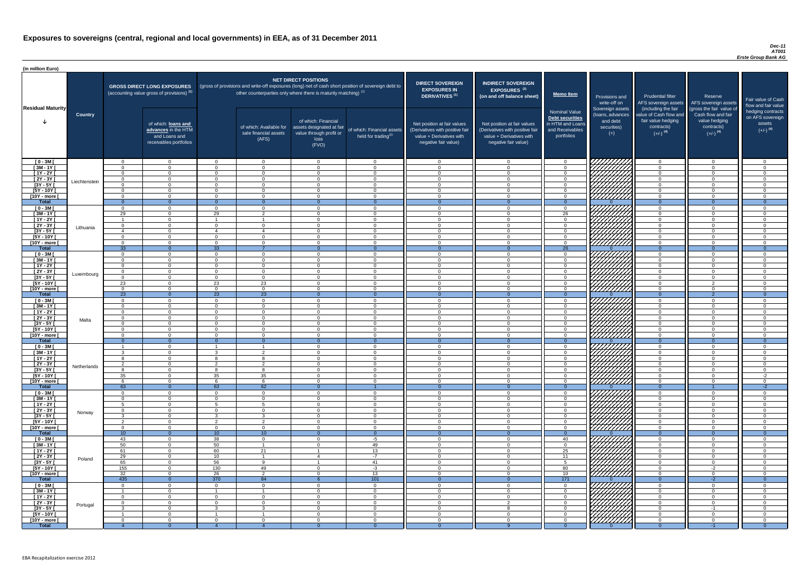#### *Dec-11 AT001 Erste Group Bank AG*

| <b>DIRECT SOVEREIGN</b><br><b>EXPOSURES IN</b><br>DERIVATIVES <sup>(1)</sup><br>Net position at fair values<br>(Derivatives with positive fair<br>value + Derivatives with<br>negative fair value) | <b>INDIRECT SOVEREIGN</b><br><b>EXPOSURES<sup>(3)</sup></b><br>(on and off balance sheet)<br>Net position at fair values<br>(Derivatives with positive fair<br>value + Derivatives with<br>negative fair value) | <b>Memo Item</b><br><b>Nominal Value</b><br>Debt securities<br>in HTM and Loans<br>and Receivables<br>portfolios | Provisions and<br>write-off on<br>Sovereign assets<br>(loans, advances<br>and debt<br>securities)<br>$(+)$ | <b>Prudential filter</b><br>AFS sovereign assets<br>(including the fair<br>value of Cash flow and<br>fair value hedging<br>contracts)<br>$(+/-)$ <sup>(4)</sup> | Reserve<br>AFS sovereign assets<br>(gross the fair value of<br>Cash flow and fair<br>value hedging<br>contracts)<br>$(+/-)$ <sup>(4)</sup> | Fair value of Cash<br>flow and fair value<br>hedging contracts<br>on AFS sovereign<br>assets<br>$(+/-)$ <sup>(4)</sup> |
|----------------------------------------------------------------------------------------------------------------------------------------------------------------------------------------------------|-----------------------------------------------------------------------------------------------------------------------------------------------------------------------------------------------------------------|------------------------------------------------------------------------------------------------------------------|------------------------------------------------------------------------------------------------------------|-----------------------------------------------------------------------------------------------------------------------------------------------------------------|--------------------------------------------------------------------------------------------------------------------------------------------|------------------------------------------------------------------------------------------------------------------------|
|                                                                                                                                                                                                    |                                                                                                                                                                                                                 |                                                                                                                  |                                                                                                            |                                                                                                                                                                 |                                                                                                                                            |                                                                                                                        |
| $\mathbf 0$<br>$\mathbf 0$                                                                                                                                                                         | 0<br>$\pmb{0}$                                                                                                                                                                                                  | $\mathbf 0$<br>$\mathbf 0$                                                                                       |                                                                                                            | $\mathbf 0$<br>$\mathbf 0$                                                                                                                                      | $\mathbf 0$<br>$\mathbf 0$                                                                                                                 | $\mathbf 0$<br>$\mathbf 0$                                                                                             |
| $\mathbf 0$                                                                                                                                                                                        | $\pmb{0}$                                                                                                                                                                                                       | $\mathbf 0$                                                                                                      |                                                                                                            | $\mathbf 0$                                                                                                                                                     | $\mathbf 0$                                                                                                                                | $\mathbf 0$                                                                                                            |
| $\mathbf 0$                                                                                                                                                                                        | $\pmb{0}$                                                                                                                                                                                                       | $\pmb{0}$                                                                                                        |                                                                                                            | $\mathbf 0$                                                                                                                                                     | $\mathbf 0$                                                                                                                                | $\mathbf 0$                                                                                                            |
| $\mathbf 0$                                                                                                                                                                                        | $\mathbf 0$                                                                                                                                                                                                     | $\mathbf 0$                                                                                                      |                                                                                                            | $\mathbf 0$                                                                                                                                                     | $\overline{0}$                                                                                                                             | $\pmb{0}$                                                                                                              |
| $\mathbf 0$                                                                                                                                                                                        | $\mathbf 0$                                                                                                                                                                                                     | $\mathbf 0$                                                                                                      |                                                                                                            | $\mathbf 0$                                                                                                                                                     | $\overline{0}$                                                                                                                             | $\mathbf 0$                                                                                                            |
| $\mathbf 0$<br>$\overline{0}$                                                                                                                                                                      | $\mathbf 0$<br>$\overline{0}$                                                                                                                                                                                   | $\mathbf 0$<br>$\overline{0}$                                                                                    | $\Omega$                                                                                                   | $\mathbf 0$<br>$\overline{0}$                                                                                                                                   | $\mathbf 0$<br>$\overline{0}$                                                                                                              | 0<br>$\overline{0}$                                                                                                    |
| $\mathbf 0$                                                                                                                                                                                        | $\mathbf 0$                                                                                                                                                                                                     | $\mathbf 0$                                                                                                      |                                                                                                            | $\mathbf 0$                                                                                                                                                     | $\mathbf 0$                                                                                                                                | $\mathbf 0$                                                                                                            |
| $\mathbf 0$                                                                                                                                                                                        | $\mathbf 0$                                                                                                                                                                                                     | 26                                                                                                               |                                                                                                            | $\mathbf 0$                                                                                                                                                     | $\mathbf 0$                                                                                                                                | $\mathbf 0$                                                                                                            |
| $\mathbf 0$                                                                                                                                                                                        | $\mathbf 0$                                                                                                                                                                                                     | $\boldsymbol{0}$                                                                                                 |                                                                                                            | $\mathbf 0$                                                                                                                                                     | $\mathbf 0$                                                                                                                                | $\mathbf 0$                                                                                                            |
| $\mathbf 0$                                                                                                                                                                                        | $\mathbf 0$                                                                                                                                                                                                     | $\mathbf 0$                                                                                                      |                                                                                                            | $\mathbf 0$                                                                                                                                                     | $\mathbf 0$                                                                                                                                | $\mathbf 0$                                                                                                            |
| $\mathbf 0$                                                                                                                                                                                        | 0<br>$\mathbf 0$                                                                                                                                                                                                | $\boldsymbol{0}$                                                                                                 |                                                                                                            | $\mathbf 0$<br>$\mathbf 0$                                                                                                                                      | $\overline{0}$<br>$\mathbf 0$                                                                                                              | $\mathbf 0$<br>$\mathbf 0$                                                                                             |
| $\pmb{0}$<br>$\pmb{0}$                                                                                                                                                                             | $\mathbf 0$                                                                                                                                                                                                     | $\pmb{0}$<br>$\mathbf 0$                                                                                         |                                                                                                            | $\mathbf 0$                                                                                                                                                     | $\mathbf 0$                                                                                                                                | $\mathbf 0$                                                                                                            |
| $\overline{0}$                                                                                                                                                                                     | $\overline{0}$                                                                                                                                                                                                  | $\overline{26}$                                                                                                  | $\Omega$                                                                                                   | $\overline{0}$                                                                                                                                                  | $\overline{0}$                                                                                                                             | $\overline{0}$                                                                                                         |
| $\mathbf 0$                                                                                                                                                                                        | $\mathbf 0$                                                                                                                                                                                                     | 0                                                                                                                |                                                                                                            | $\mathbf 0$                                                                                                                                                     | $\mathbf 0$                                                                                                                                | $\mathbf 0$                                                                                                            |
| $\mathbf 0$                                                                                                                                                                                        | $\mathbf 0$                                                                                                                                                                                                     | $\mathbf 0$                                                                                                      |                                                                                                            | $\overline{0}$                                                                                                                                                  | $\overline{0}$                                                                                                                             | $\mathbf 0$                                                                                                            |
| $\mathbf 0$                                                                                                                                                                                        | $\mathbf 0$                                                                                                                                                                                                     | $\mathbf 0$                                                                                                      |                                                                                                            | $\overline{0}$                                                                                                                                                  | $\overline{0}$                                                                                                                             | $\mathbf 0$                                                                                                            |
| $\pmb{0}$<br>$\mathbf{0}$                                                                                                                                                                          | $\pmb{0}$<br>$\Omega$                                                                                                                                                                                           | 0<br>0                                                                                                           |                                                                                                            | $\mathbf 0$<br>$\Omega$                                                                                                                                         | $\pmb{0}$<br>$\Omega$                                                                                                                      | 0<br>$\Omega$                                                                                                          |
| 0                                                                                                                                                                                                  | 0                                                                                                                                                                                                               | 0                                                                                                                |                                                                                                            | 0                                                                                                                                                               | $\overline{2}$                                                                                                                             | 0                                                                                                                      |
| $\mathbf 0$                                                                                                                                                                                        | 0                                                                                                                                                                                                               | 0                                                                                                                |                                                                                                            | 0                                                                                                                                                               | 0                                                                                                                                          | 0                                                                                                                      |
| $\overline{0}$                                                                                                                                                                                     | $\overline{0}$                                                                                                                                                                                                  | $\overline{0}$                                                                                                   | $\overline{0}$                                                                                             | $\overline{0}$                                                                                                                                                  | $\overline{2}$                                                                                                                             | $\overline{0}$                                                                                                         |
| 0                                                                                                                                                                                                  | 0                                                                                                                                                                                                               | $\,0\,$                                                                                                          |                                                                                                            | $\mathbf 0$                                                                                                                                                     | 0                                                                                                                                          | $\mathbf 0$                                                                                                            |
| $\mathbf 0$                                                                                                                                                                                        | 0                                                                                                                                                                                                               | $\pmb{0}$                                                                                                        |                                                                                                            | $\overline{0}$                                                                                                                                                  | $\mathbf 0$                                                                                                                                | $\mathbf 0$                                                                                                            |
| $\mathbf 0$<br>$\mathbf 0$                                                                                                                                                                         | $\mathbf 0$<br>$\mathbf 0$                                                                                                                                                                                      | $\pmb{0}$<br>$\pmb{0}$                                                                                           |                                                                                                            | $\mathbf 0$<br>$\mathbf 0$                                                                                                                                      | $\mathbf 0$<br>$\mathbf 0$                                                                                                                 | $\mathbf 0$<br>$\mathbf 0$                                                                                             |
| $\mathbf 0$                                                                                                                                                                                        | $\mathbf 0$                                                                                                                                                                                                     | $\boldsymbol{0}$                                                                                                 |                                                                                                            | 0                                                                                                                                                               | $\mathbf 0$                                                                                                                                | 0                                                                                                                      |
| 0                                                                                                                                                                                                  | 0                                                                                                                                                                                                               | $\mathbf 0$                                                                                                      |                                                                                                            | $\mathbf 0$                                                                                                                                                     | 0                                                                                                                                          | $\mathbf 0$                                                                                                            |
| $\mathbf 0$                                                                                                                                                                                        | 0                                                                                                                                                                                                               | $\boldsymbol{0}$                                                                                                 |                                                                                                            | $\mathbf 0$                                                                                                                                                     | 0                                                                                                                                          | 0                                                                                                                      |
| $\overline{0}$                                                                                                                                                                                     | $\overline{0}$                                                                                                                                                                                                  | $\boldsymbol{0}$                                                                                                 | $\overline{0}$                                                                                             | $\overline{0}$                                                                                                                                                  | $\overline{0}$                                                                                                                             | $\overline{0}$                                                                                                         |
| 0                                                                                                                                                                                                  | 0                                                                                                                                                                                                               | $\boldsymbol{0}$                                                                                                 |                                                                                                            | 0                                                                                                                                                               | 0                                                                                                                                          | 0                                                                                                                      |
| 0<br>0                                                                                                                                                                                             | 0<br>0                                                                                                                                                                                                          | 0<br>$\boldsymbol{0}$                                                                                            |                                                                                                            | 0<br>0                                                                                                                                                          | 0<br>0                                                                                                                                     | 0<br>0                                                                                                                 |
| 0                                                                                                                                                                                                  | 0                                                                                                                                                                                                               | $\boldsymbol{0}$                                                                                                 |                                                                                                            | $\mathbf 0$                                                                                                                                                     | 0                                                                                                                                          | 0                                                                                                                      |
| 0                                                                                                                                                                                                  | 0                                                                                                                                                                                                               | $\mathbf 0$                                                                                                      |                                                                                                            | $\mathbf 0$                                                                                                                                                     | $\Omega$                                                                                                                                   | 0                                                                                                                      |
| $\mathbf 0$                                                                                                                                                                                        | 0                                                                                                                                                                                                               | $\boldsymbol{0}$                                                                                                 |                                                                                                            | 0                                                                                                                                                               | 0                                                                                                                                          | $-2$                                                                                                                   |
| $\mathbf 0$                                                                                                                                                                                        | 0                                                                                                                                                                                                               | $\pmb{0}$                                                                                                        |                                                                                                            | $\mathbf 0$                                                                                                                                                     | $\mathbf 0$                                                                                                                                | $\mathbf 0$                                                                                                            |
| $\mathbf{0}$<br>$\mathbf 0$                                                                                                                                                                        | $\overline{0}$<br>0                                                                                                                                                                                             | $\overline{0}$<br>0                                                                                              | $\overline{0}$                                                                                             | $\overline{0}$<br>0                                                                                                                                             | 0                                                                                                                                          | $-2$<br>0                                                                                                              |
| $\mathbf 0$                                                                                                                                                                                        | $\mathbf 0$                                                                                                                                                                                                     | $\pmb{0}$                                                                                                        |                                                                                                            | $\overline{0}$                                                                                                                                                  | $\overline{0}$                                                                                                                             | $\mathbf 0$                                                                                                            |
| 0                                                                                                                                                                                                  | $\mathbf 0$                                                                                                                                                                                                     | $\mathbf 0$                                                                                                      |                                                                                                            | $\overline{0}$                                                                                                                                                  | $\overline{0}$                                                                                                                             | 0                                                                                                                      |
| $\mathbf 0$                                                                                                                                                                                        | 0                                                                                                                                                                                                               | $\pmb{0}$                                                                                                        |                                                                                                            | $\overline{0}$                                                                                                                                                  | $\mathbf 0$                                                                                                                                | 0                                                                                                                      |
| $\mathbf 0$                                                                                                                                                                                        | $\mathbf 0$                                                                                                                                                                                                     | $\pmb{0}$                                                                                                        |                                                                                                            | $\mathbf 0$                                                                                                                                                     | $\mathbf 0$                                                                                                                                | $\pmb{0}$                                                                                                              |
| $\mathbf 0$                                                                                                                                                                                        | $\mathbf 0$                                                                                                                                                                                                     | $\pmb{0}$                                                                                                        |                                                                                                            | $\mathbf 0$                                                                                                                                                     | $\mathbf 0$                                                                                                                                | 0                                                                                                                      |
| $\mathbf 0$<br>$\overline{0}$                                                                                                                                                                      | 0<br>$\overline{0}$                                                                                                                                                                                             | $\pmb{0}$<br>$\overline{0}$                                                                                      | $\overline{0}$                                                                                             | $\mathbf 0$<br>$\overline{0}$                                                                                                                                   | $\overline{0}$<br>$\overline{0}$                                                                                                           | $\mathbf 0$<br>$\overline{0}$                                                                                          |
| $\mathbf 0$                                                                                                                                                                                        | 0                                                                                                                                                                                                               | 40                                                                                                               |                                                                                                            | $\mathbf 0$                                                                                                                                                     | 0                                                                                                                                          | 0                                                                                                                      |
| 0                                                                                                                                                                                                  | 0                                                                                                                                                                                                               | $\mathbf 0$                                                                                                      |                                                                                                            | 0                                                                                                                                                               | 0                                                                                                                                          | $\mathbf 0$                                                                                                            |
| $\mathbf 0$                                                                                                                                                                                        | $\mathbf 0$                                                                                                                                                                                                     | $\overline{25}$                                                                                                  |                                                                                                            | $\mathbf 0$                                                                                                                                                     | $\mathbf 0$                                                                                                                                | $\mathbf 0$                                                                                                            |
| $\mathbf 0$                                                                                                                                                                                        | $\mathbf 0$                                                                                                                                                                                                     | $\overline{11}$                                                                                                  |                                                                                                            | $\mathbf 0$                                                                                                                                                     | $\mathbf 0$                                                                                                                                | $\mathbf 0$                                                                                                            |
| $\mathbf 0$                                                                                                                                                                                        | $\mathbf 0$                                                                                                                                                                                                     | $\sqrt{5}$                                                                                                       |                                                                                                            | 0                                                                                                                                                               | $\mathbf 0$                                                                                                                                | 0                                                                                                                      |
| $\mathbf 0$<br>$\mathbf 0$                                                                                                                                                                         | $\mathbf 0$<br>0                                                                                                                                                                                                | 80<br>10                                                                                                         |                                                                                                            | $\overline{0}$<br>$\mathbf 0$                                                                                                                                   | $-2$<br>$\mathbf 0$                                                                                                                        | $\mathbf 0$<br>0                                                                                                       |
| $\mathbf{0}$                                                                                                                                                                                       | $\mathbf{0}$                                                                                                                                                                                                    | 171                                                                                                              | $\overline{0}$                                                                                             | $\overline{0}$                                                                                                                                                  | $-2$                                                                                                                                       | $\mathbf 0$                                                                                                            |
| 0                                                                                                                                                                                                  | 0                                                                                                                                                                                                               | $\mathbf 0$                                                                                                      |                                                                                                            | 0                                                                                                                                                               | 0                                                                                                                                          | 0                                                                                                                      |
| 0                                                                                                                                                                                                  | $\pmb{0}$                                                                                                                                                                                                       | $\pmb{0}$                                                                                                        | 777777777                                                                                                  | $\mathsf 0$                                                                                                                                                     | $\overline{0}$                                                                                                                             | $\mathbf 0$                                                                                                            |
| $\mathbf 0$                                                                                                                                                                                        | $\mathbf 0$                                                                                                                                                                                                     | $\mathbf 0$                                                                                                      |                                                                                                            | $\mathbf 0$                                                                                                                                                     | $\overline{0}$                                                                                                                             | $\mathbf 0$                                                                                                            |
| $\mathbf 0$                                                                                                                                                                                        | $\overline{2}$                                                                                                                                                                                                  | $\mathbf 0$                                                                                                      |                                                                                                            | $\mathbf 0$                                                                                                                                                     | $\overline{0}$                                                                                                                             | $\overline{0}$                                                                                                         |
| $\mathbf 0$                                                                                                                                                                                        | 8                                                                                                                                                                                                               | $\mathbf 0$                                                                                                      |                                                                                                            | $\overline{0}$                                                                                                                                                  | $-1$                                                                                                                                       | $\overline{0}$                                                                                                         |
| $\overline{0}$<br>$\overline{0}$                                                                                                                                                                   | $\overline{0}$<br>$\mathbf 0$                                                                                                                                                                                   | $\mathbf 0$<br>$\mathbf 0$                                                                                       |                                                                                                            | $\overline{0}$<br>$\overline{0}$                                                                                                                                | $\overline{0}$<br>$\mathbf 0$                                                                                                              | $\overline{0}$<br>$\mathbf 0$                                                                                          |
| $\overline{0}$                                                                                                                                                                                     | $\overline{9}$                                                                                                                                                                                                  | $\overline{0}$                                                                                                   | $\overline{0}$                                                                                             | $\overline{0}$                                                                                                                                                  | $-1$                                                                                                                                       | $\overline{0}$                                                                                                         |
|                                                                                                                                                                                                    |                                                                                                                                                                                                                 |                                                                                                                  |                                                                                                            |                                                                                                                                                                 |                                                                                                                                            |                                                                                                                        |

| (in million Euro)             |                |                      |                                                                                             |                                      |                                                           |                                                                                                           |                                                                                                     |                                                                                                                    |                                                                                                                    |                                                                                              |                                                                          |                                                                                                             |                                                                                                         |                                          |
|-------------------------------|----------------|----------------------|---------------------------------------------------------------------------------------------|--------------------------------------|-----------------------------------------------------------|-----------------------------------------------------------------------------------------------------------|-----------------------------------------------------------------------------------------------------|--------------------------------------------------------------------------------------------------------------------|--------------------------------------------------------------------------------------------------------------------|----------------------------------------------------------------------------------------------|--------------------------------------------------------------------------|-------------------------------------------------------------------------------------------------------------|---------------------------------------------------------------------------------------------------------|------------------------------------------|
| <b>Residual Maturity</b>      |                |                      | <b>GROSS DIRECT LONG EXPOSURES</b><br>(accounting value gross of provisions) <sup>(1)</sup> |                                      |                                                           | <b>NET DIRECT POSITIONS</b><br>other counterparties only where there is maturity matching) <sup>(1)</sup> | (gross of provisions and write-off exposures (long) net of cash short position of sovereign debt to | <b>DIRECT SOVEREIGN</b><br><b>EXPOSURES IN</b><br><b>DERIVATIVES (1)</b>                                           | <b>INDIRECT SOVEREIGN</b><br><b>EXPOSURES<sup>(3)</sup></b><br>(on and off balance sheet)                          | <b>Memo Item</b>                                                                             | Provisions and<br>write-off on                                           | <b>Prudential filter</b><br>AFS sovereign assets                                                            | Reserve<br>AFS sovereign assets                                                                         | Fair value<br>flow and f                 |
|                               | <b>Country</b> |                      | of which: loans and<br>advances in the HTM<br>and Loans and<br>receivables portfolios       |                                      | of which: Available for<br>sale financial assets<br>(AFS) | of which: Financial<br>assets designated at fair<br>value through profit or<br>loss<br>(FVO)              | of which: Financial assets<br>held for trading $(2)$                                                | Net position at fair values<br>(Derivatives with positive fair<br>value + Derivatives with<br>negative fair value) | Net position at fair values<br>(Derivatives with positive fair<br>value + Derivatives with<br>negative fair value) | <b>Nominal Value</b><br>Debt securities<br>in HTM and Loans<br>and Receivables<br>portfolios | Sovereign assets<br>(Ioans, advances<br>and debt<br>securities)<br>$(+)$ | (including the fair<br>value of Cash flow and<br>fair value hedging<br>contracts)<br>$(+/-)$ <sup>(4)</sup> | (gross the fair value of<br>Cash flow and fair<br>value hedging<br>contracts)<br>$(+/-)$ <sup>(4)</sup> | hedging c<br>on AFS so<br>ass<br>$(+/-)$ |
| $[0 - 3M]$                    |                | $\Omega$             | $\Omega$                                                                                    | - റ                                  | $\Omega$                                                  | $\Omega$                                                                                                  | $\overline{0}$                                                                                      | $\Omega$                                                                                                           | $\cap$                                                                                                             | $\overline{0}$                                                                               | HANARA<br>HANARA                                                         | $\Omega$                                                                                                    | $\overline{0}$                                                                                          |                                          |
| $\sqrt{3M-1Y}$                |                | $\cap$               | $\Omega$                                                                                    | $\Omega$                             | $\cap$                                                    | $\Omega$                                                                                                  | $\Omega$                                                                                            | $\Omega$                                                                                                           |                                                                                                                    | $\Omega$                                                                                     |                                                                          | $\cap$                                                                                                      | $\Omega$                                                                                                |                                          |
| $[1Y - 2Y]$<br>$[2Y - 3Y]$    |                | $\cap$<br>$\cap$     | $\Omega$<br>$\Omega$                                                                        | $\Omega$<br>- റ                      | $\cap$<br>$\cap$                                          | $\Omega$<br>$\Omega$                                                                                      | $\Omega$<br>$\Omega$                                                                                | $\Omega$<br>$\Omega$                                                                                               | $\Omega$<br>$\cap$                                                                                                 | $\Omega$<br>$\overline{0}$                                                                   |                                                                          | $\Omega$<br>$\cap$                                                                                          | $\Omega$<br>$\Omega$                                                                                    |                                          |
| $[3Y - 5Y]$                   | Liechtenstein  | $\Omega$             | $\Omega$                                                                                    | $\Omega$                             | $\cap$                                                    | $\Omega$                                                                                                  | $\Omega$                                                                                            | $\Omega$                                                                                                           |                                                                                                                    | $\overline{0}$                                                                               |                                                                          | $\cap$                                                                                                      | $\Omega$                                                                                                |                                          |
| $[5Y - 10Y]$                  |                | $\Omega$             | $\Omega$                                                                                    | $\Omega$                             | $\Omega$                                                  | $\Omega$                                                                                                  | $\Omega$                                                                                            | $\Omega$                                                                                                           | $\Omega$                                                                                                           | $\overline{0}$                                                                               |                                                                          | $\Omega$                                                                                                    | $\Omega$                                                                                                |                                          |
| [10Y - more [<br><b>Total</b> |                | $\Omega$<br>$\Omega$ | $\Omega$<br>$\Omega$                                                                        | $\Omega$<br>$\Omega$                 | . റ<br>$\overline{0}$                                     | $\Omega$<br>- 0                                                                                           | $\overline{0}$<br>$\Omega$                                                                          | $\Omega$                                                                                                           | റ<br>$\Omega$                                                                                                      | $\overline{0}$<br>$\overline{0}$                                                             |                                                                          | $\Omega$<br>$\Omega$                                                                                        | $\Omega$<br>$\Omega$                                                                                    |                                          |
| $[0 - 3M]$                    |                | $\Omega$             | $\Omega$                                                                                    | $\Omega$                             | $\Omega$                                                  | $\Omega$                                                                                                  | $\overline{0}$                                                                                      | $\Omega$                                                                                                           |                                                                                                                    | $\overline{0}$                                                                               |                                                                          | $\Omega$                                                                                                    | $\Omega$                                                                                                |                                          |
| $[3M - 1Y]$                   |                | $\overline{29}$      | $\Omega$                                                                                    | $\overline{29}$                      | ່າ                                                        | $\Omega$                                                                                                  | $\Omega$                                                                                            | $\Omega$                                                                                                           | റ                                                                                                                  | 26                                                                                           | KATANG SAMANG                                                            | $\cap$                                                                                                      | $\Omega$                                                                                                |                                          |
| $[1Y - 2Y]$                   |                |                      | $\Omega$                                                                                    |                                      |                                                           | $\Omega$                                                                                                  | $\Omega$                                                                                            | $\Omega$                                                                                                           |                                                                                                                    | $\Omega$                                                                                     |                                                                          |                                                                                                             | $\Omega$                                                                                                |                                          |
| $[2Y - 3Y]$<br>$[3Y - 5Y]$    | Lithuania      | $\Omega$             | $\Omega$<br>$\Omega$                                                                        | $\Omega$<br>$\overline{\mathcal{A}}$ | $\Omega$<br>$\overline{4}$                                | $\Omega$<br>$\Omega$                                                                                      | $\Omega$<br>$\overline{0}$                                                                          | $\Omega$<br>$\Omega$                                                                                               | $\Omega$                                                                                                           | $\Omega$<br>$\Omega$                                                                         |                                                                          | $\cap$<br>$\Omega$                                                                                          | $\Omega$<br>$\overline{0}$                                                                              |                                          |
| $[5Y - 10Y]$                  |                | $\cap$               | $\Omega$                                                                                    | . വ                                  | $\Omega$                                                  | $\Omega$                                                                                                  | $\Omega$                                                                                            | $\Omega$                                                                                                           | $\cap$                                                                                                             | $\Omega$                                                                                     |                                                                          | $\cap$                                                                                                      | $\Omega$                                                                                                |                                          |
| [10Y - more [                 |                | $\cap$               | $\Omega$                                                                                    | $\Omega$                             | $\cap$                                                    | $\Omega$                                                                                                  | $\Omega$                                                                                            | $\Omega$                                                                                                           | $\cap$                                                                                                             | $\overline{0}$                                                                               |                                                                          | $\cap$                                                                                                      | $\Omega$                                                                                                |                                          |
| <b>Total</b>                  |                | 33<br>$\Omega$       | - റ                                                                                         | 33                                   | $\Omega$                                                  | $\Omega$                                                                                                  |                                                                                                     |                                                                                                                    | - റ<br>$\cap$                                                                                                      | $\overline{26}$                                                                              |                                                                          | $\Omega$<br>$\cap$                                                                                          | $\Omega$                                                                                                |                                          |
| $[0 - 3M]$<br>$[3M - 1Y]$     |                | $\Omega$             | $\Omega$<br>$\Omega$                                                                        | $\Omega$<br>$\Omega$                 | $\Omega$                                                  | $\Omega$<br>$\Omega$                                                                                      | $\Omega$<br>$\Omega$                                                                                | $\Omega$<br>$\Omega$                                                                                               | $\Omega$                                                                                                           | $\Omega$<br>$\overline{0}$                                                                   | HHHHA.                                                                   | $\Omega$                                                                                                    | $\Omega$<br>$\Omega$                                                                                    |                                          |
| $[1Y - 2Y]$                   |                | $\Omega$             | $\Omega$                                                                                    | $\Omega$                             | $\Omega$                                                  | $\Omega$                                                                                                  | $\overline{0}$                                                                                      | $\overline{0}$                                                                                                     | $\Omega$                                                                                                           | $\overline{0}$                                                                               | <i>VIIII I</i> N                                                         | $\Omega$                                                                                                    | $\overline{0}$                                                                                          |                                          |
| $[2Y - 3Y]$                   | Luxembourg     | $\cap$               | $\Omega$                                                                                    | $\Omega$                             | $\cap$                                                    | $\Omega$                                                                                                  | $\Omega$                                                                                            | $\Omega$                                                                                                           |                                                                                                                    | $\Omega$                                                                                     |                                                                          |                                                                                                             | $\Omega$                                                                                                |                                          |
| [3Y - 5Y<br>[5Y - 10Y [       |                | 23                   | $\Omega$                                                                                    | 23                                   | 23                                                        | $\Omega$                                                                                                  | $\Omega$                                                                                            | $\Omega$                                                                                                           |                                                                                                                    | $\Omega$                                                                                     | WWW 1                                                                    |                                                                                                             | 2                                                                                                       |                                          |
| [10Y - more [                 |                | $\cap$               | $\Omega$                                                                                    | $\Omega$                             | $\Omega$                                                  | $\Omega$                                                                                                  | $\Omega$                                                                                            | $\Omega$                                                                                                           |                                                                                                                    | $\cap$                                                                                       | <u>VIIIIIII</u> 1                                                        |                                                                                                             | $\Omega$                                                                                                |                                          |
| <b>Total</b>                  |                | 23                   | $\Omega$                                                                                    | 23                                   | $\overline{23}$                                           | <u>_ N</u>                                                                                                | $\theta$                                                                                            | O                                                                                                                  |                                                                                                                    | $\Omega$                                                                                     |                                                                          | $\Omega$                                                                                                    | $\overline{2}$                                                                                          |                                          |
| $[0 - 3M]$                    |                | റ<br>$\cap$          | $\Omega$                                                                                    | $\Omega$<br>- റ                      | $\Omega$<br>$\Omega$                                      | $\Omega$                                                                                                  | $\Omega$                                                                                            | $\Omega$                                                                                                           | - റ<br>റ                                                                                                           | $\Omega$                                                                                     | THING<br>HIMA<br>HIMA                                                    | റ<br>റ                                                                                                      | $\Omega$<br>$\Omega$                                                                                    |                                          |
| $[3M - 1Y]$<br>$[1Y - 2Y]$    |                | $\cap$               | $\Omega$<br>$\Omega$                                                                        | $\Omega$                             | $\Omega$                                                  | $\Omega$<br>$\Omega$                                                                                      | $\Omega$<br>$\overline{0}$                                                                          | $\Omega$<br>$\Omega$                                                                                               | റ                                                                                                                  | റ<br>$\Omega$                                                                                |                                                                          | റ                                                                                                           | $\Omega$                                                                                                |                                          |
| $[2Y - 3Y]$                   | Malta          | $\cap$               | $\Omega$                                                                                    | $\Omega$                             | $\Omega$                                                  | $\Omega$                                                                                                  | $\Omega$                                                                                            | $\Omega$                                                                                                           | $\cap$                                                                                                             | $\Omega$                                                                                     |                                                                          | $\cap$                                                                                                      | $\Omega$                                                                                                |                                          |
| $[3Y - 5Y]$                   |                | $\cap$               | $\Omega$                                                                                    | $\Omega$                             | $\Omega$                                                  | $\Omega$                                                                                                  | $\Omega$                                                                                            | $\Omega$                                                                                                           | $\Omega$                                                                                                           | $\Omega$                                                                                     |                                                                          | $\Omega$                                                                                                    | $\Omega$                                                                                                |                                          |
| $[5Y - 10Y]$<br>[10Y - more [ |                | $\Omega$<br>$\cap$   | $\Omega$<br>$\Omega$                                                                        | $\Omega$<br>$\Omega$                 | $\Omega$<br>$\Omega$                                      | $\Omega$<br>$\Omega$                                                                                      | $\overline{0}$<br>$\overline{0}$                                                                    | $\Omega$<br>$\Omega$                                                                                               | $\Omega$<br>$\cap$                                                                                                 | $\overline{0}$<br>$\Omega$                                                                   |                                                                          | $\Omega$<br>$\Omega$                                                                                        | $\overline{0}$<br>$\Omega$                                                                              |                                          |
| <b>Total</b>                  |                | $\overline{0}$       | $\Omega$                                                                                    | $\Omega$                             | $\overline{0}$                                            | $\Omega$                                                                                                  | $\Omega$                                                                                            |                                                                                                                    | $\Omega$                                                                                                           | $\Omega$                                                                                     |                                                                          | $\Omega$                                                                                                    | $\Omega$                                                                                                |                                          |
| $[0 - 3M]$                    |                |                      | $\Omega$                                                                                    |                                      |                                                           | $\Omega$                                                                                                  | $\Omega$                                                                                            | $\Omega$                                                                                                           |                                                                                                                    | $\Omega$                                                                                     |                                                                          | റ                                                                                                           | $\Omega$                                                                                                |                                          |
| $[3M - 1Y]$<br>$[1Y - 2Y]$    |                |                      | $\Omega$<br>$\Omega$                                                                        | -3<br>8                              | $\Omega$<br>-8                                            | $\Omega$<br>$\Omega$                                                                                      | $\overline{0}$<br>$\Omega$                                                                          | $\Omega$<br>$\Omega$                                                                                               |                                                                                                                    | $\Omega$<br>$\Omega$                                                                         | ヤクククククス                                                                  |                                                                                                             | $\Omega$<br>$\Omega$                                                                                    |                                          |
| $[2Y - 3Y]$                   |                | ົດ                   | $\Omega$                                                                                    | $\overline{2}$                       | $\mathcal{P}$                                             | $\Omega$                                                                                                  | $\Omega$                                                                                            | $\Omega$                                                                                                           |                                                                                                                    | $\Omega$                                                                                     |                                                                          | $\cap$                                                                                                      | $\Omega$                                                                                                |                                          |
| $[3Y - 5Y]$                   | Netherlands    |                      | $\Omega$                                                                                    | -Я                                   | R                                                         | $\Omega$                                                                                                  | $\Omega$                                                                                            | $\Omega$                                                                                                           |                                                                                                                    | $\cap$                                                                                       | HAAAN<br>HAAAN                                                           |                                                                                                             | $\Omega$                                                                                                |                                          |
| [5Y - 10Y [                   |                | 35                   | $\Omega$                                                                                    | 35                                   | 35                                                        | $\Omega$                                                                                                  | $\Omega$                                                                                            | $\Omega$                                                                                                           |                                                                                                                    | $\Omega$                                                                                     |                                                                          | $\cap$<br>$\cap$                                                                                            | $\Omega$                                                                                                |                                          |
| [10Y - more [<br><b>Total</b> |                | 63                   | $\Omega$<br>$\overline{0}$                                                                  | - 6<br>63                            | <b>6</b><br>62                                            | $\Omega$<br>$\Omega$                                                                                      | $\Omega$                                                                                            | $\Omega$                                                                                                           | റ<br>0.                                                                                                            | . വ<br>$\overline{0}$                                                                        | <u>VIIIIIIA</u>                                                          | $\Omega$                                                                                                    | $\Omega$                                                                                                |                                          |
| $[0 - 3M]$                    |                | $\cap$               | $\Omega$                                                                                    | $\Omega$                             | $\Omega$                                                  | $\Omega$                                                                                                  | $\Omega$                                                                                            | $\Omega$                                                                                                           |                                                                                                                    | $\Omega$                                                                                     |                                                                          | $\cap$                                                                                                      | $\Omega$                                                                                                |                                          |
| $[3M - 1Y]$                   |                | $\Omega$             | $\Omega$                                                                                    | - 0                                  | $\Omega$                                                  | $\Omega$                                                                                                  | $\Omega$                                                                                            | $\Omega$                                                                                                           | $\Omega$                                                                                                           | $\Omega$                                                                                     | HAHAHA<br>HAHAHA                                                         | $\Omega$                                                                                                    | $\Omega$                                                                                                |                                          |
| $[1Y - 2Y]$<br>$[2Y - 3Y]$    |                |                      | $\Omega$<br>$\Omega$                                                                        | -5<br>$\Omega$                       | .5<br>$\Omega$                                            | $\Omega$<br>$\Omega$                                                                                      | $\Omega$<br>$\overline{0}$                                                                          | $\Omega$<br>$\Omega$                                                                                               | $\Omega$                                                                                                           | $\Omega$<br>$\Omega$                                                                         |                                                                          | $\cap$                                                                                                      | $\Omega$<br>$\mathbf 0$                                                                                 |                                          |
| $[3Y - 5Y]$                   | Norway         |                      | $\Omega$                                                                                    | $\mathbf{B}$                         | $\mathcal{R}$                                             | - 0                                                                                                       | $\Omega$                                                                                            | $\Omega$                                                                                                           | $\Omega$                                                                                                           | $\Omega$                                                                                     | 777<br>HAAAD S                                                           | $\cap$                                                                                                      | $\overline{0}$                                                                                          |                                          |
| $[5Y - 10Y]$                  |                | <u>ົ</u>             | $\Omega$                                                                                    | ່າ                                   | ົາ                                                        | റ                                                                                                         | $\Omega$                                                                                            | $\Omega$                                                                                                           |                                                                                                                    | $\Omega$                                                                                     |                                                                          |                                                                                                             | $\Omega$                                                                                                |                                          |
| [10Y - more  <br><b>Total</b> |                | $\cap$<br>10         | $\Omega$<br>$\Omega$                                                                        | $\Omega$<br>10                       | $\Omega$<br>10                                            | $\Omega$                                                                                                  | $\Omega$<br>$\Omega$                                                                                | $\Omega$                                                                                                           |                                                                                                                    | $\Omega$<br>$\Omega$                                                                         |                                                                          |                                                                                                             | $\Omega$<br>$\Omega$                                                                                    |                                          |
| $[0 - 3M]$                    |                | 43                   | $\Omega$                                                                                    | 38                                   | $\Omega$                                                  | $\Omega$                                                                                                  | $-5$                                                                                                | $\Omega$                                                                                                           |                                                                                                                    | 40                                                                                           |                                                                          |                                                                                                             | $\Omega$                                                                                                |                                          |
| $[3M - 1Y]$                   |                | 50                   | $\Omega$                                                                                    | 50                                   |                                                           | $\Omega$                                                                                                  | 49                                                                                                  | $\Omega$                                                                                                           |                                                                                                                    | $\Omega$                                                                                     | HAAAA<br>HAAAA                                                           | $\cap$                                                                                                      | $\Omega$                                                                                                |                                          |
| $[1Y - 2Y]$                   |                | 61                   | $\Omega$                                                                                    | 60                                   | 21                                                        |                                                                                                           | 13                                                                                                  | $\Omega$                                                                                                           | $\Omega$                                                                                                           | 25                                                                                           |                                                                          | $\cap$                                                                                                      | $\Omega$                                                                                                |                                          |
| $[2Y - 3Y]$<br>$[3Y - 5Y]$    | Poland         | 29<br>65             | $\Omega$<br>$\Omega$                                                                        | 10<br>56                             | -1<br>Q                                                   | $\Delta$                                                                                                  | $-7$<br>41                                                                                          | $\Omega$<br>$\Omega$                                                                                               | $\Omega$                                                                                                           | 11<br>-5                                                                                     |                                                                          | $\Omega$<br>$\cap$                                                                                          | - 0<br>$\Omega$                                                                                         |                                          |
| $[5Y - 10Y]$                  |                | 155                  | $\Omega$                                                                                    | 130                                  | 49                                                        | $\Omega$                                                                                                  | $-3$                                                                                                | $\Omega$                                                                                                           | $\Omega$                                                                                                           | 80                                                                                           |                                                                          | $\Omega$                                                                                                    | $-2$                                                                                                    |                                          |
| [10Y - more [                 |                | 32                   | $\Omega$                                                                                    | 26                                   | $\overline{2}$                                            | $\Omega$                                                                                                  | 13                                                                                                  | $\Omega$                                                                                                           | $\cap$                                                                                                             | 10                                                                                           |                                                                          | $\Omega$                                                                                                    | $\Omega$                                                                                                |                                          |
| <b>Total</b>                  |                | 435                  | $\Omega$<br>$\Omega$                                                                        | 370<br>$\Omega$                      | 84<br>$\Omega$                                            | $\Omega$                                                                                                  | 101                                                                                                 | $\Omega$<br>$\Omega$                                                                                               | $\Omega$                                                                                                           | $\overline{171}$                                                                             | <i>V7777777</i> 711                                                      | $\Omega$                                                                                                    | $-2$<br>$\Omega$                                                                                        |                                          |
| $[0 - 3M]$<br>$[3M-1Y]$       |                |                      | $\Omega$                                                                                    |                                      |                                                           | $\Omega$                                                                                                  | $\overline{0}$<br>$\overline{0}$                                                                    | $\Omega$                                                                                                           | - 0                                                                                                                | $\Omega$                                                                                     |                                                                          |                                                                                                             | $\overline{0}$                                                                                          |                                          |
| $[1Y - 2Y]$                   |                | റ                    | $\Omega$                                                                                    | $\Omega$                             | $\Omega$                                                  | $\Omega$                                                                                                  | $\Omega$                                                                                            | $\Omega$                                                                                                           | $\Omega$                                                                                                           | റ                                                                                            | HANG SANG                                                                | $\cap$                                                                                                      | $\Omega$                                                                                                |                                          |
| $[2Y - 3Y]$                   | Portugal       | $\Omega$             | $\overline{0}$                                                                              | $\Omega$                             | $\overline{0}$                                            | $\Omega$                                                                                                  | $\overline{0}$                                                                                      | $\Omega$                                                                                                           | 2                                                                                                                  | $\overline{0}$                                                                               |                                                                          | $\Omega$                                                                                                    | $\overline{0}$                                                                                          |                                          |
| $[3Y - 5Y]$<br>$[5Y - 10Y]$   |                | ູ                    | $\overline{0}$<br>$\Omega$                                                                  | - 3                                  | - 3                                                       | $\Omega$<br>$\Omega$                                                                                      | $\overline{0}$<br>$\Omega$                                                                          | $\overline{0}$<br>$\overline{0}$                                                                                   | -8<br>റ                                                                                                            | $\Omega$<br>റ                                                                                |                                                                          | $\Omega$<br>$\cap$                                                                                          | $-1$<br>$\Omega$                                                                                        |                                          |
| [10Y - more [                 |                | റ                    | $\overline{0}$                                                                              | $\Omega$                             | $\Omega$                                                  | $\Omega$                                                                                                  | $\overline{0}$                                                                                      | $\Omega$                                                                                                           | റ                                                                                                                  | . വ                                                                                          |                                                                          | $\cap$                                                                                                      | $\overline{0}$                                                                                          |                                          |
| <b>Total</b>                  |                |                      | $\Omega$                                                                                    |                                      |                                                           | - 0                                                                                                       |                                                                                                     |                                                                                                                    |                                                                                                                    |                                                                                              |                                                                          |                                                                                                             |                                                                                                         |                                          |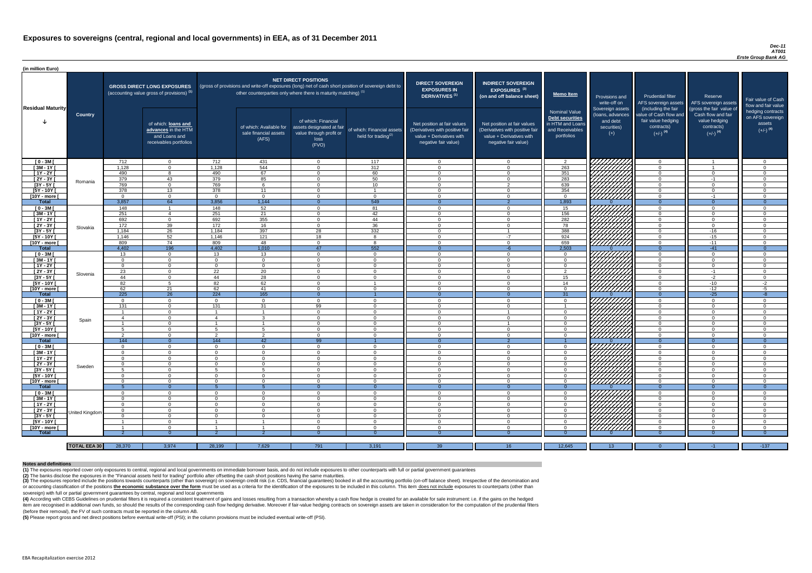#### *Dec-11 AT001 Erste Group Bank AG*

(4) According with CEBS Guidelines on prudential filters it is required a consistent treatment of gains and losses resulting from a transaction whereby a cash flow hedge is created for an available for sale instrument: i.e item are recognised in additional own funds, so should the results of the corresponding cash flow hedging derivative. Moreover if fair-value hedging contracts on sovereign assets are taken in consideration for the computat (before their removal), the FV of such contracts must be reported in the column AB.

| (in million Euro)           |                     |                      |                                                                                             |                      |                                                                            |                                                                                              |                                                                                                     |                                                                                                                    |                                                                                                                    |                                                                                              |                                                                          |                                                                                                             |                                                                                                         |                                                                           |
|-----------------------------|---------------------|----------------------|---------------------------------------------------------------------------------------------|----------------------|----------------------------------------------------------------------------|----------------------------------------------------------------------------------------------|-----------------------------------------------------------------------------------------------------|--------------------------------------------------------------------------------------------------------------------|--------------------------------------------------------------------------------------------------------------------|----------------------------------------------------------------------------------------------|--------------------------------------------------------------------------|-------------------------------------------------------------------------------------------------------------|---------------------------------------------------------------------------------------------------------|---------------------------------------------------------------------------|
| <b>Residual Maturity</b>    |                     |                      | <b>GROSS DIRECT LONG EXPOSURES</b><br>(accounting value gross of provisions) <sup>(1)</sup> |                      | other counterparties only where there is maturity matching) <sup>(1)</sup> | <b>NET DIRECT POSITIONS</b>                                                                  | (gross of provisions and write-off exposures (long) net of cash short position of sovereign debt to | <b>DIRECT SOVEREIGN</b><br><b>EXPOSURES IN</b><br><b>DERIVATIVES (1)</b>                                           | <b>INDIRECT SOVEREIGN</b><br><b>EXPOSURES<sup>(3)</sup></b><br>(on and off balance sheet)                          | <b>Memo Item</b>                                                                             | Provisions and<br>write-off on                                           | <b>Prudential filter</b><br>AFS sovereign assets                                                            | Reserve<br>AFS sovereign assets                                                                         | Fair value of Cash<br>flow and fair value                                 |
|                             | <b>Country</b>      |                      | of which: loans and<br>advances in the HTM<br>and Loans and<br>receivables portfolios       |                      | of which: Available for<br>sale financial assets<br>(AFS)                  | of which: Financial<br>assets designated at fair<br>value through profit or<br>loss<br>(FVO) | of which: Financial assets<br>held for trading <sup>(2)</sup>                                       | Net position at fair values<br>(Derivatives with positive fair<br>value + Derivatives with<br>negative fair value) | Net position at fair values<br>(Derivatives with positive fair<br>value + Derivatives with<br>negative fair value) | <b>Nominal Value</b><br>Debt securities<br>in HTM and Loans<br>and Receivables<br>portfolios | Sovereign assets<br>(Ioans, advances<br>and debt<br>securities)<br>$(+)$ | (including the fair<br>value of Cash flow and<br>fair value hedging<br>contracts)<br>$(+/-)$ <sup>(4)</sup> | (gross the fair value of<br>Cash flow and fair<br>value hedging<br>contracts)<br>$(+/-)$ <sup>(4)</sup> | hedging contracts<br>on AFS sovereign<br>assets<br>$(+/-)$ <sup>(4)</sup> |
| $[0 - 3M]$                  |                     | 712                  | $\Omega$                                                                                    | 712                  | 431                                                                        | $\Omega$                                                                                     | 117                                                                                                 | - റ                                                                                                                | $\Omega$                                                                                                           | 2                                                                                            | 7777777777                                                               | $\overline{0}$                                                                                              |                                                                                                         | - വ                                                                       |
| $[3M - 1Y]$                 |                     | 1,128                | $\Omega$                                                                                    | 1,128                | 544                                                                        | $\Omega$                                                                                     | 312                                                                                                 | $\Omega$                                                                                                           | $\Omega$                                                                                                           | 263                                                                                          | HAHAHA<br>HAHAHA                                                         | $\overline{0}$                                                                                              | $\overline{1}$                                                                                          | $\Omega$                                                                  |
| $[1Y - 2Y]$                 |                     | 490                  |                                                                                             | 490                  | 67                                                                         | $\cap$                                                                                       | 60                                                                                                  | $\Omega$                                                                                                           |                                                                                                                    | 351                                                                                          |                                                                          | $\Omega$                                                                                                    | $\Omega$                                                                                                |                                                                           |
| [2Y - 3Y [                  | Romania             | 379                  | 43                                                                                          | 379                  | 85                                                                         | $\cap$                                                                                       | 50                                                                                                  | $\cap$                                                                                                             | റ                                                                                                                  | 283                                                                                          |                                                                          | $\Omega$<br>$\Omega$                                                                                        | $-1$<br>$\Omega$                                                                                        |                                                                           |
| $[3Y - 5Y]$<br>$[5Y - 10Y]$ |                     | 769<br>378           | $\cap$<br>13                                                                                | 769<br>378           | $\epsilon$<br>11                                                           | ∩                                                                                            | 10 <sup>°</sup>                                                                                     |                                                                                                                    |                                                                                                                    | 639<br>354                                                                                   |                                                                          | $\Omega$                                                                                                    | $\Omega$                                                                                                |                                                                           |
| [10Y - more [               |                     | $\Omega$             | $\Omega$                                                                                    | $\Omega$             | $\Omega$                                                                   | ∩                                                                                            | $\Omega$                                                                                            | $\cap$                                                                                                             | ∩                                                                                                                  | $\Omega$                                                                                     | ШШЛ                                                                      | $\Omega$                                                                                                    | $-1$                                                                                                    |                                                                           |
| <b>Total</b>                |                     | 3,857                | 64                                                                                          | 3,856                | 1,144                                                                      |                                                                                              | 549                                                                                                 |                                                                                                                    |                                                                                                                    | 1,893                                                                                        |                                                                          | $\Omega$                                                                                                    | $\Omega$                                                                                                | $\Omega$                                                                  |
| $[0 - 3M]$                  |                     | 148                  | - 1                                                                                         | 148                  | 52                                                                         | $\cap$                                                                                       | 81                                                                                                  | $\cap$                                                                                                             | $\Omega$                                                                                                           | 15                                                                                           | 7777777777                                                               | $\Omega$                                                                                                    | $\Omega$                                                                                                | $\Omega$                                                                  |
| $[3M-1Y]$                   |                     | 251                  |                                                                                             | 251                  | 21                                                                         | $\cap$                                                                                       | 42                                                                                                  | $\Omega$                                                                                                           | $\Omega$                                                                                                           | 156                                                                                          | ШША                                                                      | $\overline{0}$                                                                                              | $\Omega$                                                                                                | $\cap$                                                                    |
| $[1Y - 2Y]$                 |                     | 692                  | $\Omega$                                                                                    | 692                  | 355                                                                        | $\cap$                                                                                       | 44                                                                                                  | $\cap$                                                                                                             | $\Omega$                                                                                                           | 282                                                                                          |                                                                          | $\overline{0}$                                                                                              | $\Omega$                                                                                                | $\cap$                                                                    |
| $[2Y - 3Y]$                 | Slovakia            | 172                  | 39                                                                                          | 172                  | 16                                                                         | $\cap$                                                                                       | 36                                                                                                  | $\Omega$                                                                                                           | $\Omega$                                                                                                           | 78                                                                                           | ШШ                                                                       | $\overline{0}$                                                                                              | $\Omega$                                                                                                | $\Omega$                                                                  |
| $[3Y - 5Y]$                 |                     | 1,184                | $\overline{26}$                                                                             | 1,184                | 397                                                                        | 28                                                                                           | 332                                                                                                 | $\Omega$                                                                                                           |                                                                                                                    | 388                                                                                          |                                                                          | $\overline{0}$                                                                                              | $-16$                                                                                                   | - 0                                                                       |
| $[5Y - 10Y]$                |                     | 1,146                | 52                                                                                          | 1,146                | 121                                                                        | 18                                                                                           | 8                                                                                                   | $\Omega$                                                                                                           | $-7$                                                                                                               | 924                                                                                          | <u>UMMA</u>                                                              | $\overline{0}$                                                                                              | $-15$                                                                                                   | - റ                                                                       |
| [10Y - more [               |                     | 809                  | 74                                                                                          | 809                  | 48                                                                         | $\Omega$                                                                                     | 8                                                                                                   | $\Omega$                                                                                                           | $\Omega$                                                                                                           | 659                                                                                          |                                                                          | $\overline{0}$                                                                                              | $-11$                                                                                                   | $\Omega$                                                                  |
| <b>Total</b>                |                     | 4,402                | 196                                                                                         | 4,402                | 1,010                                                                      | 47                                                                                           | 552                                                                                                 |                                                                                                                    |                                                                                                                    | 2,503                                                                                        |                                                                          | $\Omega$                                                                                                    | $-41$                                                                                                   | $\Omega$                                                                  |
| $[0 - 3M]$                  |                     | 13                   | $\Omega$                                                                                    | 13                   | 13                                                                         | $\Omega$                                                                                     | $\overline{0}$                                                                                      | $\Omega$                                                                                                           | $\Omega$                                                                                                           | $\overline{0}$                                                                               | FIFIFITA                                                                 | $\overline{0}$                                                                                              | $\Omega$                                                                                                | - 0                                                                       |
| $[3M - 1Y]$                 |                     | $\Omega$             | $\Omega$                                                                                    | $\Omega$             | $\Omega$                                                                   | $\Omega$                                                                                     | $\Omega$                                                                                            | $\Omega$                                                                                                           | $\Omega$                                                                                                           | $\Omega$                                                                                     |                                                                          | $\overline{0}$                                                                                              | $\Omega$                                                                                                | $\cap$                                                                    |
| $[1Y - 2Y]$                 |                     | $\Omega$             | $\Omega$<br>$\Omega$                                                                        | $\Omega$<br>22       | $\Omega$<br>20                                                             | $\Omega$<br>$\Omega$                                                                         | $\overline{0}$<br>$\Omega$                                                                          | - 0<br>$\cap$                                                                                                      | $\Omega$<br>$\Omega$                                                                                               | $\Omega$<br>$\mathcal{P}$                                                                    |                                                                          | $\Omega$<br>$\Omega$                                                                                        | $\Omega$<br>$-1$                                                                                        | - 0<br>$\cap$                                                             |
| $[2Y - 3Y]$                 | Slovenia            | 23                   |                                                                                             |                      |                                                                            |                                                                                              |                                                                                                     |                                                                                                                    |                                                                                                                    | 15 <sub>15</sub>                                                                             | HAAAN)                                                                   |                                                                                                             |                                                                                                         |                                                                           |
| [3Y - 5Y [<br>$[5Y - 10Y]$  |                     | 44<br>82             | -5                                                                                          | 44<br>82             | -28<br>62                                                                  | $\Omega$                                                                                     | 0                                                                                                   | $\Omega$                                                                                                           | $\Omega$                                                                                                           | 14                                                                                           |                                                                          | - 0<br>$\Omega$                                                                                             | -2<br>$-10$                                                                                             | $-2$                                                                      |
| [10Y - more [               |                     | 62                   | 21                                                                                          | 62                   | 41                                                                         | $\Omega$                                                                                     | $\Omega$                                                                                            | $\cap$                                                                                                             | $\Omega$                                                                                                           | $\Omega$                                                                                     |                                                                          | $\Omega$                                                                                                    | $-12$                                                                                                   | $-5$                                                                      |
| <b>Total</b>                |                     | 225                  | $\overline{26}$                                                                             | 224                  | 165                                                                        | $\Omega$                                                                                     |                                                                                                     | $\Omega$                                                                                                           |                                                                                                                    | 31                                                                                           |                                                                          | $\Omega$                                                                                                    | $-25$                                                                                                   | $-8$                                                                      |
| $[0 - 3M]$                  |                     | $\Omega$             | $\Omega$                                                                                    | $\Omega$             | $\Omega$                                                                   | $\Omega$                                                                                     | $\Omega$                                                                                            | $\cap$                                                                                                             | $\Omega$                                                                                                           | $\Omega$                                                                                     |                                                                          | $\Omega$                                                                                                    | - 0                                                                                                     | - വ                                                                       |
| $[3M - 1Y]$                 |                     | 131                  | $\Omega$                                                                                    | 131                  | 31                                                                         | 99                                                                                           | $\Omega$                                                                                            | $\Omega$                                                                                                           | $\Omega$                                                                                                           |                                                                                              |                                                                          | $\Omega$                                                                                                    | $\Omega$                                                                                                | $\Omega$                                                                  |
| $[1Y - 2Y]$                 |                     | - 1                  | $\Omega$                                                                                    |                      | - 1                                                                        | $\Omega$                                                                                     | $\Omega$                                                                                            | $\Omega$                                                                                                           |                                                                                                                    | $\Omega$                                                                                     |                                                                          | $\Omega$                                                                                                    | $\Omega$                                                                                                | $\Omega$                                                                  |
| [2Y - 3Y [                  | Spain               | -4                   | $\cap$                                                                                      | 4                    | $\mathbf{R}$                                                               | $\Omega$                                                                                     | $\Omega$                                                                                            | $\Omega$                                                                                                           | $\Omega$                                                                                                           | $\Omega$                                                                                     |                                                                          | $\Omega$                                                                                                    | $\Omega$                                                                                                | $\Omega$                                                                  |
| $[3Y - 5Y]$                 |                     |                      |                                                                                             |                      |                                                                            | $\Omega$                                                                                     | $\Omega$                                                                                            | $\cap$                                                                                                             |                                                                                                                    | $\Omega$                                                                                     |                                                                          | $\Omega$                                                                                                    | $\Omega$                                                                                                |                                                                           |
| $[5Y - 10Y]$                |                     | -5                   | $\cap$                                                                                      | -5                   | 5                                                                          | $\Omega$                                                                                     | $\Omega$                                                                                            | $\Omega$                                                                                                           | $\Omega$                                                                                                           | $\Omega$                                                                                     | THING<br>HIMA<br>HIMA                                                    | $\Omega$                                                                                                    | $\Omega$                                                                                                | $\cap$                                                                    |
| [10Y - more [               |                     | ົາ                   | $\cap$                                                                                      | ົາ                   | $\Omega$                                                                   | $\cap$                                                                                       | $\Omega$                                                                                            | $\Omega$                                                                                                           | $\Omega$                                                                                                           | $\cap$                                                                                       |                                                                          | $\Omega$                                                                                                    | $\Omega$                                                                                                | $\cap$                                                                    |
| <b>Total</b>                |                     | 144                  | $\overline{0}$                                                                              | 144                  | 42                                                                         | 99                                                                                           |                                                                                                     |                                                                                                                    | 2                                                                                                                  |                                                                                              |                                                                          | $\Omega$                                                                                                    | $\Omega$                                                                                                | $\Omega$                                                                  |
| $[0 - 3M]$                  |                     | $\Omega$             | $\Omega$                                                                                    | $\Omega$             | $\Omega$                                                                   | $\Omega$                                                                                     | $\overline{0}$                                                                                      | $\Omega$                                                                                                           | $\Omega$                                                                                                           | $\Omega$                                                                                     | 77777777X                                                                | $\Omega$                                                                                                    | $\Omega$                                                                                                | $\cap$<br>$\cap$                                                          |
| $[3M - 1Y]$                 |                     | $\Omega$             | $\Omega$<br>$\Omega$                                                                        | $\Omega$<br>$\Omega$ | $\Omega$<br>$\Omega$                                                       | $\Omega$<br>$\Omega$                                                                         | $\Omega$                                                                                            | $\Omega$<br>$\Omega$                                                                                               | $\Omega$<br>$\Omega$                                                                                               | $\Omega$                                                                                     | HATHA<br>HATHA                                                           | $\Omega$                                                                                                    | $\Omega$<br>$\Omega$                                                                                    | $\Omega$                                                                  |
| $[1Y - 2Y]$<br>[2Y - 3Y [   |                     | $\Omega$<br>$\Omega$ | $\Omega$                                                                                    | $\Omega$             | $\Omega$                                                                   | $\Omega$                                                                                     | $\overline{0}$<br>$\Omega$                                                                          | $\Omega$                                                                                                           | $\Omega$                                                                                                           | $\Omega$<br>$\overline{0}$                                                                   |                                                                          | $\overline{0}$<br>$\overline{0}$                                                                            | $\Omega$                                                                                                | $\Omega$                                                                  |
| $[3Y - 5Y]$                 | Sweden              | 5                    | $\Omega$                                                                                    |                      | 5                                                                          | $\Omega$                                                                                     | $\overline{0}$                                                                                      | $\Omega$                                                                                                           | $\Omega$                                                                                                           | $\Omega$                                                                                     |                                                                          | $\overline{0}$                                                                                              | $\Omega$                                                                                                | $\cap$                                                                    |
| $[5Y - 10Y]$                |                     | $\Omega$             | $\Omega$                                                                                    | $\Omega$             | $\Omega$                                                                   | $\Omega$                                                                                     | $\overline{0}$                                                                                      | $\Omega$                                                                                                           | $\Omega$                                                                                                           | $\overline{0}$                                                                               |                                                                          | $\overline{0}$                                                                                              | $\Omega$                                                                                                | $\Omega$                                                                  |
| [10Y - more ]               |                     | $\Omega$             | $\Omega$                                                                                    | $\Omega$             | $\Omega$                                                                   | $\Omega$                                                                                     | $\overline{0}$                                                                                      | $\Omega$                                                                                                           | $\Omega$                                                                                                           | $\overline{0}$                                                                               | <u>77777777</u>                                                          | $\overline{0}$                                                                                              | $\Omega$                                                                                                | $\Omega$                                                                  |
| <b>Total</b>                |                     |                      | $\Omega$                                                                                    |                      |                                                                            |                                                                                              | $\overline{0}$                                                                                      |                                                                                                                    |                                                                                                                    | $\Omega$                                                                                     |                                                                          | $\Omega$                                                                                                    | $\Omega$                                                                                                | $\Omega$                                                                  |
| $10 - 3M$                   |                     | $\Omega$             | $\Omega$                                                                                    | $\Omega$             | $\Omega$                                                                   | $\Omega$                                                                                     | $\Omega$                                                                                            | - 0                                                                                                                | $\Omega$                                                                                                           | $\Omega$                                                                                     |                                                                          | $\overline{0}$                                                                                              | $\Omega$                                                                                                | $\Omega$                                                                  |
| $[3M - 1Y]$                 |                     | $\Omega$             | $\Omega$                                                                                    | $\Omega$             | $\Omega$                                                                   | $\Omega$                                                                                     | $\Omega$                                                                                            | $\Omega$                                                                                                           | $\Omega$                                                                                                           | $\Omega$                                                                                     | HIIIIII                                                                  | $\overline{0}$                                                                                              | $\Omega$                                                                                                | $\Omega$                                                                  |
| $[1Y - 2Y]$                 |                     | - 0                  | $\Omega$                                                                                    | $\Omega$             | $\Omega$                                                                   | $\Omega$                                                                                     | $\overline{0}$                                                                                      | - 0                                                                                                                |                                                                                                                    | $\Omega$                                                                                     | UMMA.                                                                    | $\overline{0}$                                                                                              | $\Omega$                                                                                                | - 0                                                                       |
| $[2Y - 3Y]$                 | United Kingdom      | $\Omega$             | $\Omega$                                                                                    | $\Omega$             | $\Omega$                                                                   | $\Omega$                                                                                     | $\overline{0}$                                                                                      | $\Omega$                                                                                                           | $\Omega$                                                                                                           | $\Omega$                                                                                     |                                                                          | $\overline{0}$                                                                                              | $\Omega$                                                                                                | - 0                                                                       |
| $[3Y - 5Y]$                 |                     | $\Omega$             | $\Omega$                                                                                    | - റ                  | $\Omega$                                                                   | $\Omega$                                                                                     | $\overline{0}$                                                                                      | - 0                                                                                                                | $\Omega$                                                                                                           | $\Omega$                                                                                     |                                                                          | $\overline{0}$                                                                                              | $\Omega$                                                                                                | - 0                                                                       |
| $[5Y - 10Y]$                |                     |                      | $\Omega$                                                                                    |                      |                                                                            | $\Omega$                                                                                     | $\Omega$                                                                                            | റ                                                                                                                  | $\Omega$                                                                                                           | $\Omega$                                                                                     |                                                                          | $\Omega$                                                                                                    | $\Omega$                                                                                                | - വ                                                                       |
| [10Y - more [               |                     |                      | $\cap$                                                                                      |                      |                                                                            | $\cap$                                                                                       | $\Omega$                                                                                            | $\cap$                                                                                                             | $\cap$                                                                                                             | $\cap$                                                                                       | 777777777                                                                | $\Omega$                                                                                                    | $\cap$                                                                                                  | $\cap$                                                                    |
| <b>Total</b>                |                     |                      |                                                                                             |                      |                                                                            |                                                                                              |                                                                                                     |                                                                                                                    |                                                                                                                    |                                                                                              |                                                                          |                                                                                                             |                                                                                                         |                                                                           |
|                             |                     |                      |                                                                                             |                      |                                                                            |                                                                                              |                                                                                                     |                                                                                                                    |                                                                                                                    |                                                                                              |                                                                          |                                                                                                             |                                                                                                         |                                                                           |
|                             | <b>TOTAL EEA 30</b> | 28,370               | 3,974                                                                                       | 28,199               | 7,629                                                                      | 791                                                                                          | 3,191                                                                                               | 39                                                                                                                 | 16                                                                                                                 | 12,645                                                                                       | 13 <sup>°</sup>                                                          | $\Omega$                                                                                                    | $-1$                                                                                                    | $-137$                                                                    |

(3) The exposures reported include the positions towards counterparts (other than sovereign) on sovereign credit risk (i.e. CDS, financial guarantees) booked in all the accounting portfolio (on-off balance sheet). Irrespec or accounting classification of the positions the economic substance over the form must be used as a criteria for the identification of the exposures to be included in this column. This item does not include exposures to c sovereign) with full or partial government guarantees by central, regional and local governments

**(5)** Please report gross and net direct positions before eventual write-off (PSI); in the column provisions must be included eventual write-off (PSI).

### **Notes and definitions**

**(1)** The exposures reported cover only exposures to central, regional and local governments on immediate borrower basis, and do not include exposures to other counterparts with full or partial government guarantees **(2)** The banks disclose the exposures in the "Financial assets held for trading" portfolio after offsetting the cash short positions having the same maturities.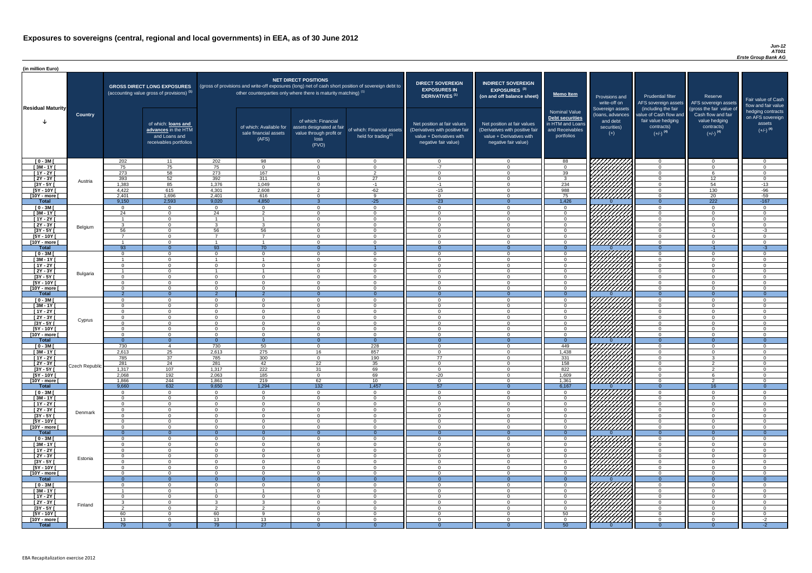#### *Jun-12 AT001 Erste Group Bank AG*

| (in million Euro)                     |                       |                         |                                                                                             |                         |                                                                                                                                                                                   |                                                                                              |                                                         |                                                                                                                    |                                                                                                                    |                                                                                              |                                                                          |                                                                                                             |                                                                                                         |                                                                           |
|---------------------------------------|-----------------------|-------------------------|---------------------------------------------------------------------------------------------|-------------------------|-----------------------------------------------------------------------------------------------------------------------------------------------------------------------------------|----------------------------------------------------------------------------------------------|---------------------------------------------------------|--------------------------------------------------------------------------------------------------------------------|--------------------------------------------------------------------------------------------------------------------|----------------------------------------------------------------------------------------------|--------------------------------------------------------------------------|-------------------------------------------------------------------------------------------------------------|---------------------------------------------------------------------------------------------------------|---------------------------------------------------------------------------|
| <b>Residual Maturity</b>              |                       |                         | <b>GROSS DIRECT LONG EXPOSURES</b><br>(accounting value gross of provisions) <sup>(1)</sup> |                         | (gross of provisions and write-off exposures (long) net of cash short position of sovereign debt to<br>other counterparties only where there is maturity matching) <sup>(1)</sup> | NET DIRECT POSITIONS                                                                         |                                                         | <b>DIRECT SOVEREIGN</b><br><b>EXPOSURES IN</b><br>DERIVATIVES <sup>(1)</sup>                                       | <b>INDIRECT SOVEREIGN</b><br><b>EXPOSURES<sup>(3)</sup></b><br>(on and off balance sheet)                          | <u>  Memo Item</u>                                                                           | Provisions and<br>write-off on                                           | <b>Prudential filter</b>                                                                                    | Reserve<br>AFS sovereign assets AFS sovereign assets                                                    | Fair value of Cash<br>flow and fair value                                 |
|                                       | <b>Country</b>        |                         | of which: loans and<br>advances in the HTM<br>and Loans and<br>receivables portfolios       |                         | of which: Available for<br>sale financial assets<br>(AFS)                                                                                                                         | of which: Financial<br>assets designated at fair<br>value through profit or<br>loss<br>(FVO) | of which: Financial assets<br>held for trading $^{(2)}$ | Net position at fair values<br>(Derivatives with positive fair<br>value + Derivatives with<br>negative fair value) | Net position at fair values<br>(Derivatives with positive fair<br>value + Derivatives with<br>negative fair value) | <b>Nominal Value</b><br>Debt securities<br>in HTM and Loans<br>and Receivables<br>portfolios | Sovereign assets<br>(Ioans, advances<br>and debt<br>securities)<br>$(+)$ | (including the fair<br>value of Cash flow and<br>fair value hedging<br>contracts)<br>$(+/-)$ <sup>(4)</sup> | (gross the fair value of<br>Cash flow and fair<br>value hedging<br>contracts)<br>$(+/-)$ <sup>(4)</sup> | hedging contracts<br>on AFS sovereign<br>assets<br>$(+/-)$ <sup>(4)</sup> |
| $[0 - 3M]$                            |                       | 202                     | 11                                                                                          | 202                     | 98                                                                                                                                                                                | $\Omega$                                                                                     | $\overline{0}$                                          | $\Omega$                                                                                                           |                                                                                                                    | 88                                                                                           |                                                                          | $\Omega$                                                                                                    | $\cap$                                                                                                  | - വ                                                                       |
| $[3M - 1Y]$<br>$[1Y - 2Y]$            |                       | 75<br>273               | 75<br>58                                                                                    | 75<br>273               | $\overline{0}$<br>167                                                                                                                                                             | $\Omega$                                                                                     | $\overline{0}$<br>$\overline{2}$                        | $-7$<br>$\bigcap$                                                                                                  |                                                                                                                    | $\overline{0}$<br>39                                                                         |                                                                          | $\overline{0}$<br>$\Omega$                                                                                  |                                                                                                         | $\Omega$<br>$\cap$                                                        |
| $[2Y - 3Y]$                           |                       | 393                     | 52                                                                                          | 392                     | 311                                                                                                                                                                               | $\Omega$                                                                                     | 27                                                      | - 0                                                                                                                |                                                                                                                    | $\mathbf{3}$                                                                                 |                                                                          | $\overline{0}$                                                                                              | 12                                                                                                      | $\Omega$                                                                  |
| $[3Y - 5Y]$                           | Austria               | 1,383                   | 85                                                                                          | 1,376                   | 1,049                                                                                                                                                                             | $\Omega$                                                                                     | $-1$                                                    | $-1$                                                                                                               |                                                                                                                    | 234                                                                                          | <u>VIIIIIIII</u>                                                         | $\overline{0}$                                                                                              | 54                                                                                                      | $-13$                                                                     |
| $[5Y - 10Y]$                          |                       | 4,422                   | 615                                                                                         | 4,301                   | 2,608                                                                                                                                                                             |                                                                                              | $-62$                                                   | $-15$                                                                                                              |                                                                                                                    | 988                                                                                          | VIIIIIA                                                                  | $\overline{0}$                                                                                              | 130                                                                                                     | $-96$                                                                     |
| [10Y - more [<br><b>Total</b>         |                       | 2,401<br>9,150          | 1,696<br>2,593                                                                              | 2,401<br>9,020          | 616<br>4,850                                                                                                                                                                      | $\Omega$                                                                                     | <b>Q</b><br>$-25$                                       | $\Omega$<br>$-23$                                                                                                  |                                                                                                                    | 75<br>1,426                                                                                  | 777777777                                                                | $\overline{0}$<br>$\Omega$                                                                                  | 20<br>222                                                                                               | $-59$<br>$-167$                                                           |
| $[0 - 3M]$                            |                       | $\cap$                  | $\Omega$                                                                                    | $\Omega$                | $\Omega$                                                                                                                                                                          | $\Omega$                                                                                     | $\Omega$                                                | $\cap$                                                                                                             | $\cap$                                                                                                             | $\Omega$                                                                                     |                                                                          | $\Omega$                                                                                                    | $\Omega$                                                                                                | $\cap$                                                                    |
| $[3M - 1Y]$                           |                       | 24                      | $\overline{0}$                                                                              | 24                      | $\overline{2}$                                                                                                                                                                    | $\Omega$                                                                                     | $\Omega$                                                | $\cap$                                                                                                             | $\Omega$                                                                                                           | $\Omega$                                                                                     | HAAAA<br>HAAAAA                                                          | $\overline{0}$                                                                                              | $\cap$                                                                                                  | $\Omega$                                                                  |
| $[1Y - 2Y]$                           |                       | $\overline{1}$          | $\overline{0}$                                                                              |                         | - 1                                                                                                                                                                               | $\Omega$                                                                                     | $\Omega$                                                | $\overline{0}$                                                                                                     | $\Omega$                                                                                                           | $\overline{0}$                                                                               |                                                                          | $\overline{0}$                                                                                              | $\Omega$                                                                                                | $\overline{0}$                                                            |
| $[2Y - 3Y]$<br>$[3Y - 5Y]$            | Belgium               | ູ<br>56                 | $\Omega$<br>$\overline{0}$                                                                  | ્વ<br>56                | $\mathcal{R}$<br>56                                                                                                                                                               | $\Omega$<br>$\Omega$                                                                         | $\Omega$<br>$\overline{0}$                              | <u>ິດ</u><br><u>ິດ</u>                                                                                             | $\cap$<br>$\Omega$                                                                                                 | $\overline{0}$<br>$\overline{0}$                                                             |                                                                          | $\overline{0}$<br>$\overline{0}$                                                                            | $\Omega$<br>$-1$                                                                                        | $\Omega$<br>$-3$                                                          |
| $[5Y - 10Y]$                          |                       | $\overline{7}$          | $\overline{0}$                                                                              | $\overline{z}$          | $\overline{7}$                                                                                                                                                                    | $\overline{0}$                                                                               | $\overline{0}$                                          | $\Omega$                                                                                                           | $\Omega$                                                                                                           | $\overline{0}$                                                                               |                                                                          | $\overline{0}$                                                                                              | $\Omega$                                                                                                | $\overline{0}$                                                            |
| [10Y - more [                         |                       | - 1                     | $\Omega$                                                                                    | $\overline{\mathbf{1}}$ | $\overline{\phantom{a}}$                                                                                                                                                          | $\Omega$                                                                                     | $\Omega$                                                | - 0                                                                                                                | $\cap$                                                                                                             | $\Omega$                                                                                     | <u>77777777</u> 7                                                        | $\overline{0}$                                                                                              | $\Omega$                                                                                                | - 0                                                                       |
| <b>Total</b>                          |                       | $\overline{93}$         | $\overline{0}$                                                                              | 93<br>$\Omega$          | $\overline{70}$                                                                                                                                                                   |                                                                                              |                                                         | - 0                                                                                                                | $\cap$                                                                                                             | $\Omega$                                                                                     |                                                                          | $\overline{0}$                                                                                              | $-1$                                                                                                    | $-3$                                                                      |
| $[0 - 3M]$<br>$[3M - 1Y]$             |                       | റ<br>- 1                | $\overline{0}$<br>$\Omega$                                                                  |                         | $\overline{0}$                                                                                                                                                                    | $\Omega$<br>$\Omega$                                                                         | $\Omega$<br>$\Omega$                                    | - 0<br>- 0                                                                                                         |                                                                                                                    | $\Omega$<br>$\Omega$                                                                         | <i>411111111</i>                                                         | $\overline{0}$<br>$\overline{0}$                                                                            | $\Omega$<br>$\Omega$                                                                                    | $\Omega$<br>- 0                                                           |
| $[1Y - 2Y]$                           |                       | റ                       | $\Omega$                                                                                    |                         | $\Omega$                                                                                                                                                                          | $\Omega$                                                                                     | $\Omega$                                                | - വ                                                                                                                |                                                                                                                    | $\Omega$                                                                                     |                                                                          | $\Omega$                                                                                                    | $\Omega$                                                                                                | $\cap$                                                                    |
| $[2Y - 3Y]$                           | Bulgaria              | $\overline{\mathbf{1}}$ | $\Omega$                                                                                    |                         |                                                                                                                                                                                   | $\Omega$                                                                                     | $\Omega$                                                | $\cap$                                                                                                             | $\cap$                                                                                                             | $\Omega$                                                                                     | <i>VAAAA</i> N                                                           | $\Omega$                                                                                                    | $\Omega$                                                                                                | $\cap$                                                                    |
| [3Y - 5Y [<br>$[5Y - 10Y]$            |                       |                         | $\Omega$                                                                                    |                         | $\Omega$                                                                                                                                                                          | $\Omega$                                                                                     | 0<br>$\Omega$                                           | $\cap$                                                                                                             |                                                                                                                    | $\Omega$                                                                                     |                                                                          | 0<br>$\Omega$                                                                                               | $\cap$                                                                                                  |                                                                           |
| [10Y - more [                         |                       | $\cap$                  | $\Omega$                                                                                    | $\cap$                  | $\Omega$                                                                                                                                                                          | $\Omega$                                                                                     | $\Omega$                                                | $\cap$                                                                                                             | $\cap$                                                                                                             | $\Omega$                                                                                     | HHHA.                                                                    | $\Omega$                                                                                                    | $\cap$                                                                                                  | $\cap$                                                                    |
| <b>Total</b>                          |                       | ່າ                      | $\Omega$                                                                                    | - 2                     | - 2                                                                                                                                                                               | $\Omega$                                                                                     | $\Omega$                                                | $\Omega$                                                                                                           |                                                                                                                    | $\Omega$                                                                                     |                                                                          | $\Omega$                                                                                                    | $\overline{0}$                                                                                          | - 0                                                                       |
| $[0 - 3M]$                            |                       |                         | $\Omega$                                                                                    |                         | $\Omega$                                                                                                                                                                          | $\Omega$                                                                                     | $\Omega$                                                | $\cap$                                                                                                             |                                                                                                                    | $\Omega$                                                                                     | ` <i>H∰∰</i> ∧\                                                          | $\Omega$                                                                                                    | $\Omega$                                                                                                | $\Omega$                                                                  |
| $[3M - 1Y]$<br>$[1Y - 2Y]$            |                       |                         | $\Omega$<br>$\Omega$                                                                        |                         | $\Omega$<br>$\Omega$                                                                                                                                                              | $\Omega$<br>$\Omega$                                                                         | $\Omega$<br>$\Omega$                                    | $\Omega$<br>$\cap$                                                                                                 |                                                                                                                    | $\Omega$<br>$\Omega$                                                                         |                                                                          | $\overline{0}$<br>$\Omega$                                                                                  | $\Omega$<br>$\Omega$                                                                                    | $\cap$<br>$\Omega$                                                        |
| $[2Y - 3Y]$                           |                       |                         | $\Omega$                                                                                    |                         | $\Omega$                                                                                                                                                                          | $\Omega$                                                                                     | $\Omega$                                                | - 0                                                                                                                |                                                                                                                    | $\Omega$                                                                                     |                                                                          | $\overline{0}$                                                                                              | $\Omega$                                                                                                |                                                                           |
| $[3Y - 5Y]$                           | Cyprus                |                         | $\Omega$                                                                                    |                         | $\Omega$                                                                                                                                                                          | $\Omega$                                                                                     | $\Omega$                                                | $\cap$                                                                                                             |                                                                                                                    | $\Omega$                                                                                     |                                                                          | $\Omega$                                                                                                    |                                                                                                         |                                                                           |
| $[5Y - 10Y]$                          |                       |                         | $\Omega$                                                                                    |                         | - 0                                                                                                                                                                               | $\Omega$                                                                                     | $\Omega$                                                | - 0                                                                                                                |                                                                                                                    | $\Omega$                                                                                     | 77777777                                                                 | $\Omega$                                                                                                    |                                                                                                         |                                                                           |
| [10Y - more [<br><b>Total</b>         |                       |                         | $\Omega$<br>$\Omega$                                                                        | $\cap$                  | $\Omega$<br>$\Omega$                                                                                                                                                              | $\Omega$                                                                                     | $\Omega$<br>$\theta$                                    | $\cap$                                                                                                             |                                                                                                                    | $\Omega$<br>$\Omega$                                                                         | 777777777                                                                | $\overline{0}$<br>$\Omega$                                                                                  | $\Omega$<br>$\Omega$                                                                                    | $\cap$<br>$\Omega$                                                        |
| $[0 - 3M]$                            |                       | 730                     | -4                                                                                          | 730                     | 50                                                                                                                                                                                | $\Omega$                                                                                     | 228                                                     | - വ                                                                                                                |                                                                                                                    | 449                                                                                          | 77777                                                                    | $\Omega$                                                                                                    | $\Omega$                                                                                                | ി                                                                         |
| $[3M - 1Y]$                           |                       | 2,613                   | 25                                                                                          | 2,613                   | 275                                                                                                                                                                               | 16                                                                                           | 857                                                     | - 0                                                                                                                | $\Omega$                                                                                                           | 1,438                                                                                        | 777777777                                                                | $\overline{0}$                                                                                              | $\Omega$                                                                                                | $\Omega$                                                                  |
| $[1Y - 2Y]$                           |                       | 785                     | 37                                                                                          | 785                     | 300                                                                                                                                                                               | $\Omega$                                                                                     | 190                                                     | 77                                                                                                                 | $\Omega$<br>$\Omega$                                                                                               | 331                                                                                          | UMMA                                                                     | $\overline{0}$                                                                                              | 3                                                                                                       | $\Omega$                                                                  |
| $[2Y - 3Y]$<br>$[3Y - 5Y]$            | <b>Czech Republic</b> | 281<br>1,317            | 24<br>107                                                                                   | 281<br>1,317            | 42<br>222                                                                                                                                                                         | 22<br>31                                                                                     | 35<br>69                                                | - 0<br>$\Omega$                                                                                                    | $\Omega$                                                                                                           | 158<br>822                                                                                   |                                                                          | $\overline{0}$<br>$\overline{0}$                                                                            | $\mathcal{P}$<br>2                                                                                      | $\cap$<br>$\Omega$                                                        |
| $[5Y - 10Y]$                          |                       | 2,068                   | 192                                                                                         | 2,063                   | 185                                                                                                                                                                               | $\overline{0}$                                                                               | 69                                                      | $-20$                                                                                                              | $\cap$                                                                                                             | 1,609                                                                                        | V <i>IIIIIII</i>                                                         | $\overline{0}$                                                                                              |                                                                                                         | $\Omega$                                                                  |
| [10Y - more ]                         |                       | 1,866                   | 244                                                                                         | 1,861                   | 219                                                                                                                                                                               | 62                                                                                           | 10                                                      | - 0                                                                                                                | $\Omega$                                                                                                           | 1,361                                                                                        | 77777777                                                                 | $\overline{0}$                                                                                              | $\mathcal{P}$                                                                                           | $\Omega$                                                                  |
| <b>Total</b>                          |                       | 9,660                   | 632                                                                                         | 9,650                   | 1,294                                                                                                                                                                             | $\overline{132}$                                                                             | 1,457                                                   | 57                                                                                                                 | $\cap$                                                                                                             | 6,167                                                                                        |                                                                          | $\overline{0}$                                                                                              | 16                                                                                                      | $\Omega$                                                                  |
| $\lceil 0 - 3M \rceil$<br>$[3M - 1Y]$ |                       | റ                       | $\overline{0}$<br>$\overline{0}$                                                            | $\Omega$<br>$\Omega$    | $\overline{0}$<br>$\Omega$                                                                                                                                                        | $\Omega$<br>$\Omega$                                                                         | $\overline{0}$<br>$\overline{0}$                        | - 0<br>- റ                                                                                                         | $\cap$                                                                                                             | $\overline{0}$<br>$\Omega$                                                                   | 7777777777<br>777777777                                                  | $\overline{0}$<br>$\overline{0}$                                                                            | $\Omega$<br>$\Omega$                                                                                    | $\Omega$<br>- 0                                                           |
| $[1Y - 2Y]$                           |                       | റ                       | $\overline{0}$                                                                              | $\Omega$                | $\Omega$                                                                                                                                                                          | $\Omega$                                                                                     | $\Omega$                                                | - 0                                                                                                                | $\cap$                                                                                                             | $\Omega$                                                                                     |                                                                          | $\overline{0}$                                                                                              | $\Omega$                                                                                                | $\Omega$                                                                  |
| $[2Y - 3Y]$                           | Denmark               | റ                       | $\overline{0}$                                                                              | $\cap$                  | $\Omega$                                                                                                                                                                          | $\Omega$                                                                                     | $\Omega$                                                | - 0                                                                                                                |                                                                                                                    | $\Omega$                                                                                     |                                                                          | $\overline{0}$                                                                                              | $\Omega$                                                                                                | - 0                                                                       |
| $[3Y - 5Y]$                           |                       |                         | $\overline{0}$                                                                              | $\cap$                  | $\Omega$                                                                                                                                                                          | $\Omega$                                                                                     | $\Omega$                                                | - വ                                                                                                                | $\cap$<br>$\cap$                                                                                                   | $\Omega$                                                                                     |                                                                          | $\overline{0}$                                                                                              | $\Omega$                                                                                                | $\cap$                                                                    |
| $[5Y - 10Y]$<br>[10Y - more [         |                       | $\cap$<br>$\cap$        | $\overline{0}$<br>$\overline{0}$                                                            | $\cap$<br>$\cap$        | $\Omega$<br>$\Omega$                                                                                                                                                              | $\Omega$<br>$\Omega$                                                                         | $\Omega$<br>$\Omega$                                    | - വ<br>$\cap$                                                                                                      | $\cap$                                                                                                             | $\Omega$<br>$\Omega$                                                                         | HHHH                                                                     | $\overline{0}$<br>$\overline{0}$                                                                            | $\Omega$<br>$\Omega$                                                                                    | - 0<br>$\cap$                                                             |
| <b>Total</b>                          |                       | റ                       | $\Omega$                                                                                    |                         | $\Omega$                                                                                                                                                                          |                                                                                              | $\Omega$                                                | - റ                                                                                                                |                                                                                                                    | $\Omega$                                                                                     |                                                                          | $\Omega$                                                                                                    | $\overline{0}$                                                                                          | $\Omega$                                                                  |
| $[0 - 3M]$                            |                       | $\cap$                  | $\Omega$                                                                                    | $\cap$                  | $\Omega$                                                                                                                                                                          | $\Omega$                                                                                     | $\Omega$                                                | $\cap$                                                                                                             | $\cap$                                                                                                             | $\Omega$                                                                                     |                                                                          | $\overline{0}$                                                                                              | $\Omega$                                                                                                | $\cap$                                                                    |
| $[3M - 1Y]$                           |                       |                         | $\Omega$<br>$\Omega$                                                                        | $\cap$                  | $\Omega$                                                                                                                                                                          | $\Omega$<br>$\Omega$                                                                         | $\Omega$<br>$\Omega$                                    | $\cap$<br>$\cap$                                                                                                   |                                                                                                                    | $\Omega$<br>$\Omega$                                                                         |                                                                          | $\overline{0}$                                                                                              | $\Omega$<br>$\Omega$                                                                                    | $\cap$<br>$\sqrt{ }$                                                      |
| $[1Y - 2Y]$<br>$[2Y - 3Y]$            |                       |                         | $\Omega$                                                                                    |                         | $\Omega$<br>$\Omega$                                                                                                                                                              | $\Omega$                                                                                     | $\Omega$                                                | $\cap$                                                                                                             |                                                                                                                    | $\Omega$                                                                                     | 777777775.                                                               | $\Omega$<br>$\Omega$                                                                                        | ∩                                                                                                       |                                                                           |
| $[3Y - 5Y]$                           | Estonia               |                         | $\Omega$                                                                                    |                         | $\Omega$                                                                                                                                                                          | $\Omega$                                                                                     | $\Omega$                                                | $\cap$                                                                                                             |                                                                                                                    | $\Omega$                                                                                     |                                                                          | $\Omega$                                                                                                    | $\Omega$                                                                                                |                                                                           |
| $[5Y - 10Y]$                          |                       |                         | $\Omega$                                                                                    |                         | $\Omega$                                                                                                                                                                          | $\Omega$                                                                                     | $\Omega$                                                | $\cap$                                                                                                             |                                                                                                                    | $\Omega$                                                                                     |                                                                          | $\Omega$                                                                                                    | ∩                                                                                                       |                                                                           |
| [10Y - more [<br><b>Total</b>         |                       |                         | $\Omega$<br>$\Omega$                                                                        |                         | $\Omega$                                                                                                                                                                          | $\Omega$                                                                                     | $\Omega$<br>$\Omega$                                    | - 0                                                                                                                |                                                                                                                    | $\Omega$<br>$\Omega$                                                                         | ////////                                                                 | $\overline{0}$<br>$\Omega$                                                                                  | $\Omega$                                                                                                | $\cap$<br>$\Omega$                                                        |
| $[0 - 3M]$                            |                       |                         | $\Omega$                                                                                    |                         | $\cap$                                                                                                                                                                            | $\Omega$                                                                                     | $\Omega$                                                | റ                                                                                                                  |                                                                                                                    | $\Omega$                                                                                     | 777777777                                                                | $\Omega$                                                                                                    |                                                                                                         |                                                                           |
| $[3M - 1Y]$                           |                       |                         | $\overline{0}$                                                                              |                         |                                                                                                                                                                                   | $\Omega$                                                                                     | $\mathbf 0$                                             | $\Omega$                                                                                                           |                                                                                                                    | $\Omega$                                                                                     | William                                                                  | $\overline{0}$                                                                                              | $\Omega$                                                                                                |                                                                           |
| $[1Y - 2Y]$                           |                       | $\cap$                  | $\overline{0}$                                                                              | $\Omega$                | $\Omega$                                                                                                                                                                          | $\Omega$                                                                                     | $\overline{0}$                                          | $\Omega$                                                                                                           | $\Omega$                                                                                                           | $\overline{0}$                                                                               |                                                                          | $\overline{0}$                                                                                              | $\Omega$                                                                                                | $\Omega$                                                                  |
| $[2Y - 3Y]$<br>$[3Y - 5Y]$            | Finland               | ົດ                      | $\overline{0}$<br>$\overline{0}$                                                            | 3<br>$\overline{2}$     | $\mathbf{3}$<br>$\overline{2}$                                                                                                                                                    | $\Omega$<br>$\overline{0}$                                                                   | $\overline{0}$<br>$\overline{0}$                        | $\Omega$<br>$\overline{\mathbf{0}}$                                                                                | $\Omega$<br>$\Omega$                                                                                               | $\overline{0}$<br>$\overline{0}$                                                             |                                                                          | $\overline{0}$<br>$\overline{0}$                                                                            | $\Omega$<br>$\Omega$                                                                                    | $\Omega$<br>$\Omega$                                                      |
| $[5Y - 10Y]$                          |                       | 60                      | $\overline{0}$                                                                              | 60                      | -9                                                                                                                                                                                | $\Omega$                                                                                     | $\overline{0}$                                          | - 0                                                                                                                | $\Omega$                                                                                                           | 50                                                                                           |                                                                          | $\Omega$                                                                                                    | $\Omega$                                                                                                | $\Omega$                                                                  |
| [10Y - more [                         |                       | 13                      | $\overline{0}$                                                                              | 13                      | 13                                                                                                                                                                                | $\overline{0}$                                                                               | $\overline{0}$                                          | - 0                                                                                                                | $\Omega$                                                                                                           | $\overline{0}$                                                                               |                                                                          | $\overline{0}$                                                                                              | $\Omega$                                                                                                | $-2$                                                                      |
| <b>Total</b>                          |                       | 79                      | $\overline{0}$                                                                              | 79                      | 27                                                                                                                                                                                |                                                                                              | $\overline{0}$                                          | - 0                                                                                                                |                                                                                                                    | 50                                                                                           |                                                                          | - റ                                                                                                         |                                                                                                         | $-2$                                                                      |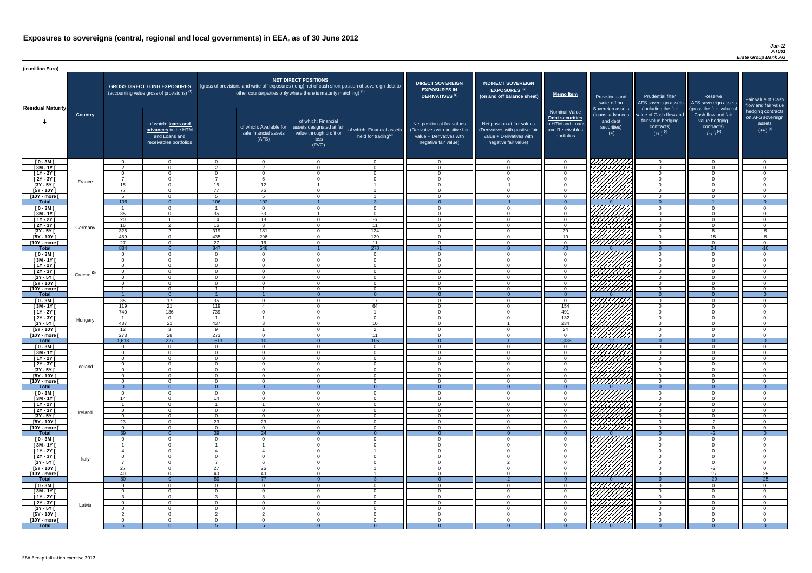#### *Jun-12 AT001 Erste Group Bank AG*

| (in million Euro)             |                       |                 |                                                                                             |                         |                                                                                                     |                                                                                                           |                                                      |                                                                                                                    |                                                                                                                    |                                                                                                     |                                                                          |                                                                                                             |                                                                                                         |                                                                           |
|-------------------------------|-----------------------|-----------------|---------------------------------------------------------------------------------------------|-------------------------|-----------------------------------------------------------------------------------------------------|-----------------------------------------------------------------------------------------------------------|------------------------------------------------------|--------------------------------------------------------------------------------------------------------------------|--------------------------------------------------------------------------------------------------------------------|-----------------------------------------------------------------------------------------------------|--------------------------------------------------------------------------|-------------------------------------------------------------------------------------------------------------|---------------------------------------------------------------------------------------------------------|---------------------------------------------------------------------------|
| <b>Residual Maturity</b>      |                       |                 | <b>GROSS DIRECT LONG EXPOSURES</b><br>(accounting value gross of provisions) <sup>(1)</sup> |                         | (gross of provisions and write-off exposures (long) net of cash short position of sovereign debt to | <b>NET DIRECT POSITIONS</b><br>other counterparties only where there is maturity matching) <sup>(1)</sup> |                                                      | <b>DIRECT SOVEREIGN</b><br><b>EXPOSURES IN</b><br><b>DERIVATIVES (1)</b>                                           | <b>INDIRECT SOVEREIGN</b><br><b>EXPOSURES<sup>(3)</sup></b><br>(on and off balance sheet)                          | <b>Memo Item</b>                                                                                    | Provisions and<br>write-off on                                           | <b>Prudential filter</b>                                                                                    | Reserve<br>AFS sovereign assets AFS sovereign assets                                                    | Fair value of Cash<br>flow and fair value                                 |
|                               | <b>Country</b>        |                 | of which: loans and<br>advances in the HTM<br>and Loans and<br>receivables portfolios       |                         | of which: Available for<br>sale financial assets<br>(AFS)                                           | of which: Financial<br>assets designated at fair<br>value through profit or<br>loss<br>(FVO)              | of which: Financial assets<br>held for trading $(2)$ | Net position at fair values<br>(Derivatives with positive fair<br>value + Derivatives with<br>negative fair value) | Net position at fair values<br>(Derivatives with positive fair<br>value + Derivatives with<br>negative fair value) | <b>Nominal Value</b><br><b>Debt securities</b><br>in HTM and Loans<br>and Receivables<br>portfolios | Sovereign assets<br>(Ioans, advances<br>and debt<br>securities)<br>$(+)$ | (including the fair<br>value of Cash flow and<br>fair value hedging<br>contracts)<br>$(+/-)$ <sup>(4)</sup> | (gross the fair value of<br>Cash flow and fair<br>value hedging<br>contracts)<br>$(+/-)$ <sup>(4)</sup> | hedging contracts<br>on AFS sovereign<br>assets<br>$(+/-)$ <sup>(4)</sup> |
| $[0 - 3M]$                    |                       | $\Omega$        | $\overline{0}$                                                                              | $\Omega$                | $\overline{0}$                                                                                      | $\Omega$                                                                                                  | $\overline{0}$                                       | - റ                                                                                                                | $\Omega$                                                                                                           | $\Omega$                                                                                            |                                                                          | $\cap$                                                                                                      | $\overline{0}$                                                                                          | $\Omega$                                                                  |
| $[3M - 1Y]$<br>$[1Y - 2Y]$    |                       | ົດ<br>$\Omega$  | $\Omega$<br>$\Omega$                                                                        | റ<br>$\Omega$           | $\overline{2}$<br>$\Omega$                                                                          | $\Omega$<br>$\Omega$                                                                                      | $\Omega$<br>$\Omega$                                 | $\Omega$<br>$\cap$                                                                                                 | $\Omega$<br>$\Omega$                                                                                               | $\Omega$                                                                                            |                                                                          | $\cap$<br>$\Omega$                                                                                          | $\Omega$<br>$\Omega$                                                                                    | $\Omega$<br>$\Omega$                                                      |
| [2Y - 3Y [                    |                       | $\overline{7}$  | $\Omega$                                                                                    | $\overline{z}$          | 6                                                                                                   | $\Omega$                                                                                                  | $\Omega$                                             | $\cap$                                                                                                             | $\Omega$                                                                                                           | $\cap$                                                                                              |                                                                          | $\cap$                                                                                                      | $\overline{0}$                                                                                          | $\Omega$                                                                  |
| $[3Y - 5Y]$                   | France                | 15              | $\Omega$                                                                                    | 15                      | 12                                                                                                  |                                                                                                           |                                                      | $\cap$                                                                                                             | $-1$                                                                                                               | $\cap$                                                                                              | HAAAA<br>HAAAAA                                                          | $\cap$                                                                                                      | $\overline{0}$                                                                                          | $\Omega$                                                                  |
| $[5Y - 10Y]$                  |                       | 77              | $\overline{0}$                                                                              | 77                      | 76                                                                                                  | $\Omega$                                                                                                  |                                                      | $\cap$                                                                                                             | $\Omega$                                                                                                           | $\cap$                                                                                              |                                                                          | $\cap$                                                                                                      | $\Omega$                                                                                                | $\Omega$                                                                  |
| [10Y - more [                 |                       | 5               | $\overline{0}$                                                                              | $\sqrt{2}$              | $5\overline{)}$                                                                                     | $\Omega$                                                                                                  |                                                      | $\cap$                                                                                                             | $\Omega$                                                                                                           | $\Omega$                                                                                            |                                                                          | $\Omega$                                                                                                    | $\Omega$                                                                                                | $\Omega$                                                                  |
| <b>Total</b>                  |                       | 106             | $\overline{0}$<br>$\Omega$                                                                  | 106                     | 102<br>$\overline{0}$                                                                               | $\Omega$                                                                                                  | -3<br>$\overline{0}$                                 | - 0<br>$\cap$                                                                                                      | $-1$<br>$\Omega$                                                                                                   | $\Omega$<br>$\Omega$                                                                                |                                                                          | $\Omega$<br>$\Omega$                                                                                        | $\Omega$                                                                                                | $\overline{0}$<br>$\Omega$                                                |
| $[0 - 3M]$<br>$[3M - 1Y]$     |                       | 35              | $\overline{0}$                                                                              | 35                      | 33                                                                                                  |                                                                                                           | $\overline{0}$                                       | $\cap$                                                                                                             | $\Omega$                                                                                                           | $\Omega$                                                                                            |                                                                          | $\cap$                                                                                                      | $\overline{0}$                                                                                          | $\Omega$                                                                  |
| $[1Y - 2Y]$                   |                       | $\overline{20}$ |                                                                                             | 14                      | 18                                                                                                  | $\Omega$                                                                                                  | $-6$                                                 | $\cap$                                                                                                             | $\Omega$                                                                                                           | $\Omega$                                                                                            |                                                                          | $\Omega$                                                                                                    | $\Omega$                                                                                                | $\Omega$                                                                  |
| $[2Y - 3Y]$                   | Germany               | 16              | $\overline{2}$                                                                              | 16                      | $\mathbf{3}$                                                                                        | $\Omega$                                                                                                  | 11                                                   | $\Omega$                                                                                                           | $\Omega$                                                                                                           | $\Omega$                                                                                            |                                                                          | $\Omega$                                                                                                    | $\overline{0}$                                                                                          | $\Omega$                                                                  |
| $[3Y - 5Y]$                   |                       | 325             | $\overline{2}$                                                                              | 319                     | 181                                                                                                 | ∩                                                                                                         | $\overline{124}$                                     | $-1$                                                                                                               |                                                                                                                    | 30                                                                                                  |                                                                          | $\Omega$                                                                                                    | $\Omega$                                                                                                | $-5$                                                                      |
| $[5Y - 10Y]$<br>[10Y - more [ |                       | 459<br>27       | $\Omega$<br>$\Omega$                                                                        | 435<br>27               | 296<br>16                                                                                           | $\Omega$<br>$\cap$                                                                                        | 129<br>11                                            | $\cap$<br>$\cap$                                                                                                   |                                                                                                                    | 10 <sup>°</sup><br>$\Omega$                                                                         |                                                                          | $\Omega$<br>$\cap$                                                                                          | 15<br>$\Omega$                                                                                          | $-5$<br>- 0                                                               |
| <b>Total</b>                  |                       | 884             |                                                                                             | 847                     | 548                                                                                                 |                                                                                                           | 270                                                  | $-1$                                                                                                               |                                                                                                                    | 40                                                                                                  |                                                                          | $\Omega$                                                                                                    | 24                                                                                                      | $-10$                                                                     |
| $[0 - 3M]$                    |                       | $\cap$          | $\Omega$                                                                                    | $\cap$                  | $\Omega$                                                                                            | $\cap$                                                                                                    | $\overline{0}$                                       | $\cap$                                                                                                             | $\cap$                                                                                                             | റ                                                                                                   | 777777777                                                                | $\cap$                                                                                                      | $\overline{0}$                                                                                          | $\Omega$                                                                  |
| $[3M - 1Y]$                   |                       | $\cap$          | $\Omega$                                                                                    | $\Omega$                | $\Omega$                                                                                            | $\cap$                                                                                                    | $\overline{0}$                                       | $\cap$                                                                                                             | $\cap$                                                                                                             | $\cap$                                                                                              | ШШ                                                                       | $\cap$                                                                                                      | $\overline{0}$                                                                                          | $\Omega$                                                                  |
| $[1Y - 2Y]$                   |                       | $\Omega$        | $\Omega$                                                                                    | $\cap$                  | $\Omega$                                                                                            | $\cap$                                                                                                    | $\overline{0}$                                       | - 0                                                                                                                | $\Omega$                                                                                                           | $\Omega$                                                                                            |                                                                          | $\overline{0}$                                                                                              | $\Omega$                                                                                                | $\overline{0}$                                                            |
| $[2Y - 3Y]$<br>$[3Y - 5Y]$    | Greece <sup>(5)</sup> | $\Omega$        | $\Omega$                                                                                    | $\Omega$                | $\Omega$                                                                                            | $\Omega$                                                                                                  | $\Omega$                                             | $\cap$                                                                                                             | $\Omega$                                                                                                           | $\Omega$                                                                                            | <i>VIIIIIA</i>                                                           | $\Omega$                                                                                                    | $\Omega$                                                                                                | $\Omega$                                                                  |
| $[5Y - 10Y]$                  |                       | $\Omega$        | $\overline{0}$                                                                              | $\Omega$                | $\Omega$                                                                                            | $\Omega$                                                                                                  | $\Omega$                                             | $\Omega$                                                                                                           | $\Omega$                                                                                                           | $\Omega$                                                                                            | UMM                                                                      | $\Omega$                                                                                                    | $\overline{0}$                                                                                          | $\Omega$                                                                  |
| $[10Y - more]$                |                       |                 | $\Omega$                                                                                    |                         |                                                                                                     | $\Omega$                                                                                                  | $\Omega$                                             | $\cap$                                                                                                             | $\Omega$                                                                                                           | $\Omega$                                                                                            | 777777777                                                                | $\Omega$                                                                                                    | $\Omega$                                                                                                | $\cap$                                                                    |
| <b>Total</b>                  |                       |                 | $\overline{0}$                                                                              |                         |                                                                                                     |                                                                                                           | $\Omega$                                             |                                                                                                                    |                                                                                                                    |                                                                                                     |                                                                          |                                                                                                             | $\Omega$                                                                                                |                                                                           |
| $[0 - 3M]$<br>$[3M - 1Y]$     |                       | 35<br>119       | 17<br>21                                                                                    | 35<br>119               | $\Omega$<br>$\overline{4}$                                                                          | $\Omega$<br>$\Omega$                                                                                      | 17<br>64                                             | $\Omega$<br>$\Omega$                                                                                               | $\Omega$<br>$\Omega$                                                                                               | $\Omega$<br>154                                                                                     | 77777777                                                                 | $\Omega$<br>$\Omega$                                                                                        | $\overline{0}$<br>$\overline{0}$                                                                        | $\Omega$<br>$\Omega$                                                      |
| $[1Y - 2Y]$                   |                       | 740             | 136                                                                                         | 739                     | $\Omega$                                                                                            | $\Omega$                                                                                                  |                                                      | - 0                                                                                                                | $\Omega$                                                                                                           | 491                                                                                                 |                                                                          | $\Omega$                                                                                                    | $\overline{0}$                                                                                          | $\Omega$                                                                  |
| $[2Y - 3Y]$                   | Hungary               | - 1             | $\overline{0}$                                                                              | $\overline{\mathbf{1}}$ | - 1                                                                                                 | $\Omega$                                                                                                  | $\overline{0}$                                       | $\cap$                                                                                                             | $\Omega$                                                                                                           | 132                                                                                                 |                                                                          | $\Omega$                                                                                                    | $\overline{0}$                                                                                          | $\Omega$                                                                  |
| $[3Y - 5Y]$                   |                       | 437             | 21                                                                                          | 437                     | $\mathbf{3}$                                                                                        | $\Omega$                                                                                                  | 10 <sup>1</sup>                                      | $\cap$                                                                                                             |                                                                                                                    | 234                                                                                                 |                                                                          | $\Omega$                                                                                                    | $\Omega$                                                                                                | $\Omega$                                                                  |
| $[5Y - 10Y]$                  |                       | 12              | $\mathbf{3}$                                                                                | <b>Q</b>                | - 1<br>$\Omega$                                                                                     | $\Omega$<br>$\Omega$                                                                                      | 2<br>11                                              | $\Omega$<br>$\cap$                                                                                                 | $\Omega$<br>$\Omega$                                                                                               | 24<br>$\Omega$                                                                                      | HHHH                                                                     | $\Omega$<br>$\cap$                                                                                          | $\overline{0}$<br>$\Omega$                                                                              | $\Omega$<br>$\Omega$                                                      |
| [10Y - more [<br><b>Total</b> |                       | 273<br>1,618    | 28<br>$\overline{227}$                                                                      | 273<br>1,613            | 10 <sup>°</sup>                                                                                     | $\Omega$                                                                                                  | 105                                                  | - 0                                                                                                                |                                                                                                                    | 1,036                                                                                               | 12 <sup>2</sup>                                                          | $\Omega$                                                                                                    | $\Omega$                                                                                                | $\overline{0}$                                                            |
| $[0 - 3M]$                    |                       | $\Omega$        | $\overline{0}$                                                                              | $\overline{0}$          | $\overline{0}$                                                                                      | $\Omega$                                                                                                  | $\overline{0}$                                       | $\Omega$                                                                                                           | $\Omega$                                                                                                           | $\Omega$                                                                                            |                                                                          | $\Omega$                                                                                                    | $\Omega$                                                                                                | $\Omega$                                                                  |
| $[3M - 1Y]$                   |                       | $\Omega$        | $\overline{0}$                                                                              | $\Omega$                | $\overline{0}$                                                                                      | $\Omega$                                                                                                  | $\overline{0}$                                       | $\Omega$                                                                                                           | $\Omega$                                                                                                           | $\cap$                                                                                              |                                                                          | $\Omega$                                                                                                    | $\overline{0}$                                                                                          | $\Omega$                                                                  |
| $[1Y - 2Y]$                   |                       | $\Omega$        | $\Omega$                                                                                    | $\Omega$<br>$\Omega$    | $\Omega$<br>$\Omega$                                                                                | $\Omega$                                                                                                  | $\Omega$                                             | $\Omega$<br>$\cap$                                                                                                 | $\Omega$<br>∩                                                                                                      | $\Omega$<br>$\Omega$                                                                                |                                                                          | $\Omega$<br>$\Omega$                                                                                        | $\Omega$<br>$\Omega$                                                                                    | $\Omega$<br>$\Omega$                                                      |
| $[2Y - 3Y]$<br>$[3Y - 5Y]$    | Iceland               | $\Omega$        | $\Omega$<br>$\Omega$                                                                        | $\Omega$                | $\Omega$                                                                                            | $\Omega$<br>$\Omega$                                                                                      | $\overline{0}$<br>$\Omega$                           |                                                                                                                    |                                                                                                                    |                                                                                                     |                                                                          | $\Omega$                                                                                                    | $\Omega$                                                                                                |                                                                           |
| $[5Y - 10Y]$                  |                       | $\Omega$        | $\Omega$                                                                                    | $\Omega$                | $\Omega$                                                                                            | $\Omega$                                                                                                  | $\Omega$                                             |                                                                                                                    |                                                                                                                    |                                                                                                     |                                                                          | $\cap$                                                                                                      | $\Omega$                                                                                                |                                                                           |
| [10Y - more [                 |                       | - 0             | $\Omega$                                                                                    | $\Omega$                | $\Omega$                                                                                            | $\Omega$                                                                                                  | $\Omega$                                             |                                                                                                                    |                                                                                                                    | $\Omega$                                                                                            | //////////                                                               | $\Omega$                                                                                                    | $\Omega$                                                                                                |                                                                           |
| <b>Total</b>                  |                       | - റ             | $\Omega$                                                                                    | $\Omega$                | $\Omega$                                                                                            | $\Omega$                                                                                                  | $\Omega$                                             |                                                                                                                    | $\Omega$                                                                                                           | $\Omega$                                                                                            |                                                                          | $\Omega$                                                                                                    | $\Omega$                                                                                                | $\Omega$                                                                  |
| $[0 - 3M]$<br>$1$ Y I - ME    |                       | $\cap$<br>14    | $\Omega$<br>$\overline{0}$                                                                  | $\Omega$<br>14          | $\Omega$<br>$\Omega$                                                                                | $\Omega$<br>$\Omega$                                                                                      | $\overline{0}$<br>$\overline{0}$                     | $\cap$<br>$\cap$                                                                                                   | $\Omega$<br>$\Omega$                                                                                               | $\cap$<br>$\cap$                                                                                    |                                                                          | $\Omega$<br>$\overline{0}$                                                                                  | $\Omega$<br>$\overline{0}$                                                                              | $\cap$<br>$\Omega$                                                        |
| $\overline{[1Y-2Y]}$          |                       |                 | $\overline{0}$                                                                              |                         |                                                                                                     | $\Omega$                                                                                                  | $\overline{0}$                                       | $\Omega$                                                                                                           | $\Omega$                                                                                                           | $\Omega$                                                                                            | 7777777                                                                  | $\overline{0}$                                                                                              | $\overline{0}$                                                                                          | $\Omega$                                                                  |
| $[2Y - 3Y]$                   | Ireland               | $\Omega$        | $\overline{0}$                                                                              | $\Omega$                | $\Omega$                                                                                            | $\Omega$                                                                                                  | $\overline{0}$                                       | $\Omega$                                                                                                           | $\Omega$                                                                                                           | $\Omega$                                                                                            | 77777777                                                                 | $\Omega$                                                                                                    | $\overline{0}$                                                                                          | $\Omega$                                                                  |
| $[3Y - 5Y]$                   |                       | $\Omega$        | $\overline{0}$                                                                              | $\Omega$                | $\Omega$                                                                                            | $\Omega$                                                                                                  | $\overline{0}$                                       | $\Omega$                                                                                                           | $\Omega$                                                                                                           | $\Omega$                                                                                            | 777777777                                                                | $\overline{0}$                                                                                              | $\overline{0}$                                                                                          | $\Omega$                                                                  |
| $[5Y - 10Y]$<br>[10Y - more [ |                       | 23<br>$\Omega$  | $\Omega$<br>$\Omega$                                                                        | 23<br>$\Omega$          | 23<br>$\Omega$                                                                                      | $\Omega$<br>$\Omega$                                                                                      | $\overline{0}$<br>$\Omega$                           | $\Omega$<br>$\cap$                                                                                                 | $\Omega$<br>$\Omega$                                                                                               | $\Omega$<br>$\Omega$                                                                                | 777777777<br><u> 77777777</u>                                            | $\Omega$<br>$\Omega$                                                                                        | $-2$<br>$\Omega$                                                                                        | $\Omega$<br>$\Omega$                                                      |
| <b>Total</b>                  |                       | 39              | $\Omega$                                                                                    | 39                      | 24                                                                                                  |                                                                                                           |                                                      |                                                                                                                    |                                                                                                                    |                                                                                                     |                                                                          | $\Omega$                                                                                                    | $-2$                                                                                                    |                                                                           |
| $[0 - 3M]$                    |                       | $\Omega$        | $\overline{0}$                                                                              | $\Omega$                | $\Omega$                                                                                            | $\Omega$                                                                                                  | $\Omega$                                             | $\Omega$                                                                                                           | $\Omega$                                                                                                           | $\Omega$                                                                                            | HHHH                                                                     | $\Omega$                                                                                                    | $\overline{0}$                                                                                          | ∩                                                                         |
| $[3M - 1Y]$                   |                       |                 | $\Omega$                                                                                    |                         |                                                                                                     | $\Omega$                                                                                                  | $\Omega$                                             | $\Omega$                                                                                                           | $\Omega$                                                                                                           | $\Omega$                                                                                            |                                                                          | $\Omega$                                                                                                    | $\Omega$                                                                                                | $\Omega$                                                                  |
| $[1Y - 2Y]$<br>$[2Y - 3Y]$    |                       | -4<br>$\Omega$  | $\Omega$<br>$\Omega$                                                                        | $\Omega$                | $\overline{4}$<br>$\Omega$                                                                          | $\Omega$<br>$\Omega$                                                                                      | $\Omega$                                             | $\Omega$<br>$\Omega$                                                                                               | $\Omega$<br>$\Omega$                                                                                               | $\Omega$<br>- റ                                                                                     |                                                                          | $\Omega$<br>$\Omega$                                                                                        | $\overline{0}$<br>$\overline{0}$                                                                        | $\Omega$<br>$\Omega$                                                      |
| $[3Y - 5Y]$                   | Italy                 | - 7             | $\Omega$                                                                                    | $\overline{7}$          | -6                                                                                                  | $\Omega$                                                                                                  | $\Omega$                                             | $\Omega$                                                                                                           | $\Omega$                                                                                                           | $\Omega$                                                                                            |                                                                          | $\Omega$                                                                                                    | $\overline{0}$                                                                                          | $\Omega$                                                                  |
| $[5Y - 10Y]$                  |                       | 27              | $\Omega$                                                                                    | 27                      | 26                                                                                                  | $\Omega$                                                                                                  |                                                      | $\Omega$                                                                                                           | $\Omega$                                                                                                           | $\Omega$                                                                                            |                                                                          | $\Omega$                                                                                                    | $-2$                                                                                                    | $\overline{0}$                                                            |
| [10Y - more [                 |                       | 40              | $\Omega$                                                                                    | 40                      | 40                                                                                                  | $\cap$                                                                                                    |                                                      | $\cap$                                                                                                             | $\cap$                                                                                                             | $\cap$                                                                                              |                                                                          | $\cap$                                                                                                      | $-27$                                                                                                   | $-25$                                                                     |
| <b>Total</b>                  |                       | 80<br>$\Omega$  | $\Omega$<br>$\Omega$                                                                        | 80<br>$\Omega$          | $\overline{77}$<br>$\Omega$                                                                         | $\Omega$                                                                                                  | $\Omega$                                             | $\cap$                                                                                                             |                                                                                                                    | $\cap$                                                                                              | <i>77777777</i>                                                          | $\Omega$<br>$\cap$                                                                                          | $-29$<br>$\Omega$                                                                                       | $-25$                                                                     |
| $[0 - 3M]$<br>$[3M - 1Y]$     |                       | $\Omega$        | $\overline{0}$                                                                              | $\Omega$                | $\overline{0}$                                                                                      | $\Omega$                                                                                                  | $\overline{0}$                                       | $\Omega$                                                                                                           | $\Omega$                                                                                                           | $\Omega$                                                                                            |                                                                          | $\Omega$                                                                                                    | $\overline{0}$                                                                                          | $\Omega$                                                                  |
| $[1Y - 2Y]$                   |                       |                 | $\Omega$                                                                                    | ີ                       | $\mathbf{3}$                                                                                        | $\Omega$                                                                                                  | $\overline{0}$                                       | $\Omega$                                                                                                           | $\Omega$                                                                                                           | $\Omega$                                                                                            |                                                                          | $\Omega$                                                                                                    | $\Omega$                                                                                                | $\Omega$                                                                  |
| $[2Y - 3Y]$                   | Latvia                | $\Omega$        | $\overline{0}$                                                                              | $\Omega$                | $\Omega$                                                                                            | $\Omega$                                                                                                  | $\overline{0}$                                       | $\Omega$                                                                                                           | $\Omega$                                                                                                           | $\Omega$                                                                                            |                                                                          | $\Omega$                                                                                                    | $\Omega$                                                                                                | $\Omega$                                                                  |
| $[3Y - 5Y]$                   |                       | ົດ              | $\Omega$                                                                                    | $\Omega$<br>ົດ          | $\Omega$<br>ົາ                                                                                      | $\Omega$                                                                                                  | $\overline{0}$                                       | $\cap$                                                                                                             | $\Omega$                                                                                                           | $\Omega$                                                                                            |                                                                          | $\cap$                                                                                                      | $\Omega$                                                                                                | $\Omega$                                                                  |
| $[5Y - 10Y]$<br>[10Y - more [ |                       | - 0             | $\Omega$<br>$\Omega$                                                                        | $\Omega$                | $\Omega$                                                                                            | $\Omega$<br>$\Omega$                                                                                      | $\overline{0}$<br>$\Omega$                           | $\Omega$                                                                                                           | $\Omega$<br>$\Omega$                                                                                               | $\Omega$<br>$\Omega$                                                                                | HATHAR<br>HATHAR                                                         | $\Omega$<br>$\Omega$                                                                                        | $\Omega$<br>$\Omega$                                                                                    | $\Omega$<br>$\Omega$                                                      |
| <b>Total</b>                  |                       |                 | $\Omega$                                                                                    | -5                      |                                                                                                     | $\Omega$                                                                                                  | $\Omega$                                             |                                                                                                                    |                                                                                                                    | $\Omega$                                                                                            |                                                                          |                                                                                                             | $\Omega$                                                                                                | $\Omega$                                                                  |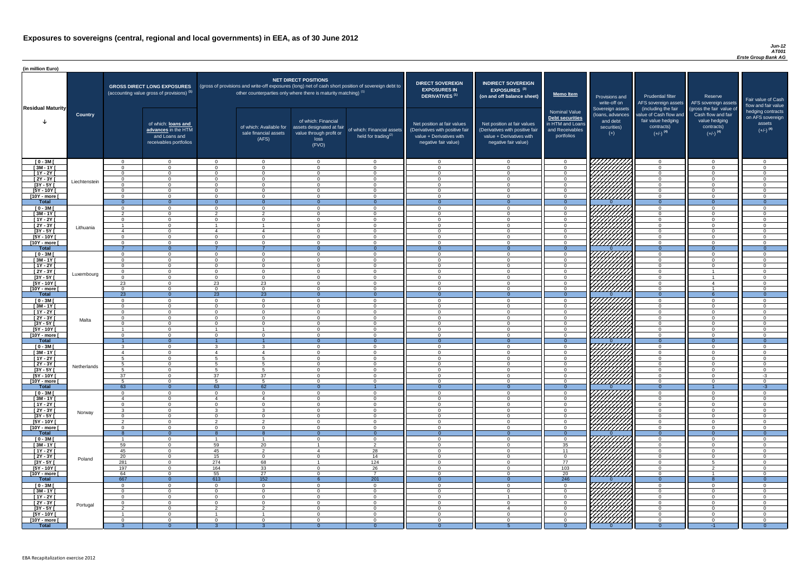#### *Jun-12 AT001 Erste Group Bank AG*

| <b>DIRECT SOVEREIGN</b><br><b>EXPOSURES IN</b><br>DERIVATIVES <sup>(1)</sup><br>Net position at fair values<br>(Derivatives with positive fair<br>value + Derivatives with<br>negative fair value) | <b>INDIRECT SOVEREIGN</b><br><b>EXPOSURES<sup>(3)</sup></b><br>(on and off balance sheet)<br>Net position at fair values<br>(Derivatives with positive fair<br>value + Derivatives with<br>negative fair value) | <b>Memo Item</b><br><b>Nominal Value</b><br><b>Debt securities</b><br>in HTM and Loans<br>and Receivables<br>portfolios | Provisions and<br>write-off on<br>Sovereign assets<br>(loans, advances<br>and debt<br>securities)<br>$(+)$ | <b>Prudential filter</b><br>AFS sovereign assets<br>(including the fair<br>value of Cash flow and<br>fair value hedging<br>contracts)<br>$(+/-)$ <sup>(4)</sup> | Reserve<br>AFS sovereign assets<br>(gross the fair value of<br>Cash flow and fair<br>value hedging<br>contracts)<br>$(+/-)$ <sup>(4)</sup> | Fair value of Cash<br>flow and fair value<br>hedging contracts<br>on AFS sovereign<br>assets<br>$(+/-)$ <sup>(4)</sup> |
|----------------------------------------------------------------------------------------------------------------------------------------------------------------------------------------------------|-----------------------------------------------------------------------------------------------------------------------------------------------------------------------------------------------------------------|-------------------------------------------------------------------------------------------------------------------------|------------------------------------------------------------------------------------------------------------|-----------------------------------------------------------------------------------------------------------------------------------------------------------------|--------------------------------------------------------------------------------------------------------------------------------------------|------------------------------------------------------------------------------------------------------------------------|
| $\mathbf 0$                                                                                                                                                                                        | $\overline{0}$                                                                                                                                                                                                  | $\mathbf 0$                                                                                                             |                                                                                                            | $\overline{0}$                                                                                                                                                  | $\overline{0}$                                                                                                                             | $\mathbf 0$                                                                                                            |
| $\mathbf 0$                                                                                                                                                                                        | $\mathbf 0$                                                                                                                                                                                                     | $\mathbf 0$                                                                                                             |                                                                                                            | $\mathbf 0$                                                                                                                                                     | $\overline{0}$                                                                                                                             | $\mathbf 0$                                                                                                            |
| $\mathbf 0$                                                                                                                                                                                        | $\mathbf 0$                                                                                                                                                                                                     | $\pmb{0}$                                                                                                               |                                                                                                            | $\mathbf 0$                                                                                                                                                     | $\overline{0}$                                                                                                                             | $\pmb{0}$                                                                                                              |
| $\mathbf 0$                                                                                                                                                                                        | $\mathbf 0$                                                                                                                                                                                                     | $\mathbf 0$                                                                                                             |                                                                                                            | $\mathbf 0$                                                                                                                                                     | $\overline{0}$                                                                                                                             | $\mathbf 0$                                                                                                            |
| $\mathbf 0$<br>$\mathbf 0$                                                                                                                                                                         | $\mathbf 0$<br>$\mathbf 0$                                                                                                                                                                                      | $\pmb{0}$<br>$\pmb{0}$                                                                                                  |                                                                                                            | $\mathbf 0$<br>$\mathbf 0$                                                                                                                                      | $\overline{0}$<br>$\mathbf 0$                                                                                                              | $\mathbf 0$<br>$\mathbf 0$                                                                                             |
| $\mathbf 0$                                                                                                                                                                                        | $\mathbf 0$                                                                                                                                                                                                     | $\mathbf 0$                                                                                                             |                                                                                                            | $\mathbf 0$                                                                                                                                                     | $\mathbf 0$                                                                                                                                | $\mathbf 0$                                                                                                            |
| $\mathbf{0}$                                                                                                                                                                                       | $\overline{0}$                                                                                                                                                                                                  | $\overline{0}$                                                                                                          | $\Omega$                                                                                                   | $\overline{0}$                                                                                                                                                  | $\overline{0}$                                                                                                                             | $\overline{0}$                                                                                                         |
| $\mathbf 0$                                                                                                                                                                                        | $\mathbf 0$                                                                                                                                                                                                     | $\mathbf 0$                                                                                                             |                                                                                                            | $\mathbf 0$                                                                                                                                                     | $\mathbf 0$                                                                                                                                | $\mathbf 0$                                                                                                            |
| $\mathbf 0$                                                                                                                                                                                        | $\mathbf 0$                                                                                                                                                                                                     | $\mathbf 0$                                                                                                             |                                                                                                            | $\mathbf 0$                                                                                                                                                     | $\overline{0}$                                                                                                                             | $\pmb{0}$                                                                                                              |
| $\mathbf 0$<br>$\mathbf 0$                                                                                                                                                                         | $\mathbf 0$<br>$\mathbf 0$                                                                                                                                                                                      | $\mathbf 0$<br>0                                                                                                        |                                                                                                            | $\overline{0}$<br>$\mathbf 0$                                                                                                                                   | $\overline{0}$<br>$\mathbf 0$                                                                                                              | $\mathbf 0$<br>$\mathbf 0$                                                                                             |
| $\mathbf 0$                                                                                                                                                                                        | $\mathbf 0$                                                                                                                                                                                                     | $\mathbf 0$                                                                                                             |                                                                                                            | $\mathbf 0$                                                                                                                                                     | $\mathbf 0$                                                                                                                                | $\mathbf 0$                                                                                                            |
| $\mathbf 0$                                                                                                                                                                                        | $\mathbf 0$                                                                                                                                                                                                     | $\mathbf 0$                                                                                                             |                                                                                                            | $\mathbf 0$                                                                                                                                                     | $\mathbf 0$                                                                                                                                | $\mathbf 0$                                                                                                            |
| $\mathbf 0$                                                                                                                                                                                        | $\mathbf 0$                                                                                                                                                                                                     | 0                                                                                                                       |                                                                                                            | $\mathbf 0$                                                                                                                                                     | $\mathbf 0$                                                                                                                                | $\mathbf 0$                                                                                                            |
| $\mathbf{0}$                                                                                                                                                                                       | $\overline{0}$                                                                                                                                                                                                  | $\overline{0}$                                                                                                          | $\Omega$                                                                                                   | $\overline{0}$                                                                                                                                                  | $\overline{0}$                                                                                                                             | $\overline{0}$                                                                                                         |
| $\mathbf 0$                                                                                                                                                                                        | $\mathbf 0$                                                                                                                                                                                                     | $\mathbf 0$                                                                                                             |                                                                                                            | $\mathbf 0$                                                                                                                                                     | $\overline{0}$                                                                                                                             | $\mathbf 0$                                                                                                            |
| $\pmb{0}$<br>$\pmb{0}$                                                                                                                                                                             | $\mathbf 0$<br>$\mathbf 0$                                                                                                                                                                                      | $\pmb{0}$<br>$\pmb{0}$                                                                                                  |                                                                                                            | $\mathbf 0$<br>$\mathbf 0$                                                                                                                                      | $\mathbf 0$<br>$\mathbf 0$                                                                                                                 | $\mathbf 0$<br>$\mathbf 0$                                                                                             |
| $\mathbf 0$                                                                                                                                                                                        | $\mathbf 0$                                                                                                                                                                                                     | $\pmb{0}$                                                                                                               |                                                                                                            | $\mathbf 0$                                                                                                                                                     | 1                                                                                                                                          | $\mathbf 0$                                                                                                            |
| $\overline{0}$                                                                                                                                                                                     | $\mathbf 0$                                                                                                                                                                                                     | 0                                                                                                                       |                                                                                                            | $\overline{0}$                                                                                                                                                  |                                                                                                                                            | $\mathbf 0$                                                                                                            |
| 0                                                                                                                                                                                                  | 0                                                                                                                                                                                                               | 0                                                                                                                       |                                                                                                            | 0                                                                                                                                                               | 4                                                                                                                                          | 0                                                                                                                      |
| 0                                                                                                                                                                                                  | $\mathbf 0$                                                                                                                                                                                                     | 0                                                                                                                       |                                                                                                            | 0                                                                                                                                                               |                                                                                                                                            | 0                                                                                                                      |
| $\mathbf{0}$                                                                                                                                                                                       | $\overline{0}$                                                                                                                                                                                                  | $\overline{0}$                                                                                                          | $\overline{0}$                                                                                             | $\overline{0}$                                                                                                                                                  | $6\phantom{1}$                                                                                                                             | $\overline{0}$                                                                                                         |
| $\mathbf 0$<br>$\mathbf 0$                                                                                                                                                                         | $\mathbf 0$<br>$\mathbf 0$                                                                                                                                                                                      | $\pmb{0}$<br>0                                                                                                          |                                                                                                            | $\mathbf 0$<br>$\mathbf 0$                                                                                                                                      | $\mathbf 0$<br>$\mathbf 0$                                                                                                                 | $\mathbf 0$<br>$\mathbf 0$                                                                                             |
| $\mathbf 0$                                                                                                                                                                                        | $\mathbf 0$                                                                                                                                                                                                     | $\pmb{0}$                                                                                                               |                                                                                                            | $\mathbf 0$                                                                                                                                                     | $\mathbf 0$                                                                                                                                | $\mathbf 0$                                                                                                            |
| 0                                                                                                                                                                                                  | 0                                                                                                                                                                                                               | $\pmb{0}$                                                                                                               |                                                                                                            | $\mathbf 0$                                                                                                                                                     | 0                                                                                                                                          | $\mathbf 0$                                                                                                            |
| 0                                                                                                                                                                                                  | 0                                                                                                                                                                                                               | $\mathbf 0$                                                                                                             |                                                                                                            | 0                                                                                                                                                               | 0                                                                                                                                          | $\mathbf 0$                                                                                                            |
| $\mathbf 0$                                                                                                                                                                                        | 0                                                                                                                                                                                                               | $\,0\,$                                                                                                                 |                                                                                                            | $\mathbf 0$                                                                                                                                                     | 0                                                                                                                                          | $\mathbf 0$                                                                                                            |
| $\mathbf 0$<br>$\overline{0}$                                                                                                                                                                      | 0<br>$\overline{0}$                                                                                                                                                                                             | $\mathbf 0$<br>$\overline{0}$                                                                                           | <u> 7777 A</u><br>$\overline{0}$                                                                           | $\mathbf 0$<br>$\overline{0}$                                                                                                                                   | 0<br>$\overline{0}$                                                                                                                        | $\mathbf 0$<br>$\overline{0}$                                                                                          |
| $\mathbf 0$                                                                                                                                                                                        | 0                                                                                                                                                                                                               | $\boldsymbol{0}$                                                                                                        |                                                                                                            | $\mathbf 0$                                                                                                                                                     | 0                                                                                                                                          | 0                                                                                                                      |
| $\mathbf 0$                                                                                                                                                                                        | $\mathbf 0$                                                                                                                                                                                                     | $\boldsymbol{0}$                                                                                                        |                                                                                                            | $\overline{0}$                                                                                                                                                  | 0                                                                                                                                          | 0                                                                                                                      |
| $\mathbf 0$                                                                                                                                                                                        | 0                                                                                                                                                                                                               | 0                                                                                                                       |                                                                                                            | 0                                                                                                                                                               | 0                                                                                                                                          | 0                                                                                                                      |
| $\mathbf 0$                                                                                                                                                                                        | 0                                                                                                                                                                                                               | 0                                                                                                                       |                                                                                                            | 0                                                                                                                                                               | 0                                                                                                                                          | 0                                                                                                                      |
| $\mathbf 0$                                                                                                                                                                                        | 0<br>$\mathbf 0$                                                                                                                                                                                                | 0                                                                                                                       |                                                                                                            | $\overline{0}$                                                                                                                                                  | 0                                                                                                                                          | 0<br>$-3$                                                                                                              |
| $\mathbf 0$<br>$\mathbf 0$                                                                                                                                                                         | 0                                                                                                                                                                                                               | 0<br>0                                                                                                                  |                                                                                                            | $\mathbf 0$<br>$\mathbf 0$                                                                                                                                      | 0<br>0                                                                                                                                     | 0                                                                                                                      |
| $\mathbf{0}$                                                                                                                                                                                       | $\overline{0}$                                                                                                                                                                                                  | $\overline{0}$                                                                                                          | $\overline{0}$                                                                                             | $\overline{0}$                                                                                                                                                  |                                                                                                                                            | $-3$                                                                                                                   |
| 0                                                                                                                                                                                                  | 0                                                                                                                                                                                                               | 0                                                                                                                       |                                                                                                            | 0                                                                                                                                                               | 0                                                                                                                                          | 0                                                                                                                      |
| $\mathbf 0$                                                                                                                                                                                        | 0                                                                                                                                                                                                               | 0                                                                                                                       |                                                                                                            | 0                                                                                                                                                               | 0                                                                                                                                          | $\mathbf 0$                                                                                                            |
| $\mathbf 0$<br>$\mathbf 0$                                                                                                                                                                         | 0<br>$\mathbf 0$                                                                                                                                                                                                | $\boldsymbol{0}$<br>$\pmb{0}$                                                                                           |                                                                                                            | $\mathbf 0$<br>0                                                                                                                                                | $\mathbf 0$<br>$\mathbf 0$                                                                                                                 | $\mathbf 0$<br>$\mathbf 0$                                                                                             |
| $\mathbf 0$                                                                                                                                                                                        | $\mathbf 0$                                                                                                                                                                                                     | $\pmb{0}$                                                                                                               |                                                                                                            | $\mathbf 0$                                                                                                                                                     | $\mathbf 0$                                                                                                                                | $\mathbf 0$                                                                                                            |
| $\mathbf 0$                                                                                                                                                                                        | $\mathbf 0$                                                                                                                                                                                                     | $\mathbf 0$                                                                                                             |                                                                                                            | $\mathbf 0$                                                                                                                                                     | $\mathbf 0$                                                                                                                                | $\mathbf 0$                                                                                                            |
| $\mathbf 0$                                                                                                                                                                                        | 0                                                                                                                                                                                                               | 0                                                                                                                       |                                                                                                            | 0                                                                                                                                                               | $\mathbf 0$                                                                                                                                | 0                                                                                                                      |
| $\mathbf{0}$                                                                                                                                                                                       | $\overline{0}$                                                                                                                                                                                                  | $\boldsymbol{0}$                                                                                                        | $\overline{0}$                                                                                             | $\overline{0}$                                                                                                                                                  | $\overline{0}$                                                                                                                             | $\overline{0}$                                                                                                         |
| $\mathbf 0$<br>$\pmb{0}$                                                                                                                                                                           | 0<br>$\pmb{0}$                                                                                                                                                                                                  | $\pmb{0}$<br>35                                                                                                         |                                                                                                            | $\mathbf 0$<br>$\mathbf 0$                                                                                                                                      | $\mathbf 0$<br>$\mathbf 0$                                                                                                                 | 0<br>0                                                                                                                 |
| $\mathbf 0$                                                                                                                                                                                        | $\mathbf 0$                                                                                                                                                                                                     | 11                                                                                                                      |                                                                                                            | $\mathbf 0$                                                                                                                                                     | $\mathbf 0$                                                                                                                                | $\mathbf 0$                                                                                                            |
| $\mathbf 0$                                                                                                                                                                                        | $\mathbf 0$                                                                                                                                                                                                     | $\mathbf 0$                                                                                                             |                                                                                                            | $\mathbf 0$                                                                                                                                                     | $\overline{0}$                                                                                                                             | $\mathbf 0$                                                                                                            |
| $\mathbf 0$                                                                                                                                                                                        | $\mathbf 0$                                                                                                                                                                                                     | 77                                                                                                                      |                                                                                                            | $\mathbf 0$                                                                                                                                                     | 5                                                                                                                                          | $\mathbf 0$                                                                                                            |
| $\mathbf 0$                                                                                                                                                                                        | 0                                                                                                                                                                                                               | 103                                                                                                                     |                                                                                                            | $\mathbf 0$                                                                                                                                                     | $\overline{c}$                                                                                                                             | $\mathbf 0$                                                                                                            |
| $\mathbf 0$                                                                                                                                                                                        | $\mathbf 0$                                                                                                                                                                                                     | $\overline{20}$                                                                                                         |                                                                                                            | $\mathbf 0$                                                                                                                                                     | 1                                                                                                                                          | $\mathbf 0$                                                                                                            |
| $\mathbf{0}$                                                                                                                                                                                       | $\mathbf 0$                                                                                                                                                                                                     | 246                                                                                                                     | $\overline{0}$                                                                                             | $\overline{0}$                                                                                                                                                  | 8                                                                                                                                          | $\overline{0}$                                                                                                         |
| $\mathbf 0$<br>$\mathbf 0$                                                                                                                                                                         | $\mathbf 0$<br>$\mathbf 0$                                                                                                                                                                                      | 0<br>$\overline{0}$                                                                                                     |                                                                                                            | 0<br>$\overline{0}$                                                                                                                                             | 0<br>$\overline{0}$                                                                                                                        | 0<br>$\mathbf 0$                                                                                                       |
| $\mathbf 0$                                                                                                                                                                                        | -1                                                                                                                                                                                                              | $\mathbf 0$                                                                                                             |                                                                                                            | $\overline{0}$                                                                                                                                                  | $\mathbf 0$                                                                                                                                | $\mathbf 0$                                                                                                            |
| $\mathbf 0$                                                                                                                                                                                        | $\overline{0}$                                                                                                                                                                                                  | $\mathbf 0$                                                                                                             |                                                                                                            | $\overline{0}$                                                                                                                                                  | $\mathbf 0$                                                                                                                                | 0                                                                                                                      |
| $\mathbf 0$                                                                                                                                                                                        | $\overline{4}$                                                                                                                                                                                                  | $\pmb{0}$                                                                                                               |                                                                                                            | $\overline{0}$                                                                                                                                                  | $\mathbf 0$                                                                                                                                | $\mathbf 0$                                                                                                            |
| $\mathbf 0$                                                                                                                                                                                        | $\overline{0}$                                                                                                                                                                                                  | $\pmb{0}$                                                                                                               |                                                                                                            | $\overline{0}$                                                                                                                                                  | $\overline{0}$                                                                                                                             | $\mathbf 0$                                                                                                            |
| $\mathbf 0$<br>$\overline{0}$                                                                                                                                                                      | $\mathbf 0$<br>$\overline{5}$                                                                                                                                                                                   | $\pmb{0}$<br>$\overline{0}$                                                                                             |                                                                                                            | $\overline{0}$<br>$\overline{0}$                                                                                                                                | $\mathbf 0$<br>$-1$                                                                                                                        | $\mathbf 0$<br>$\overline{0}$                                                                                          |
|                                                                                                                                                                                                    |                                                                                                                                                                                                                 |                                                                                                                         | $\overline{0}$                                                                                             |                                                                                                                                                                 |                                                                                                                                            |                                                                                                                        |

| (in million Euro)                   |                |                           |                                                                                       |                           |                                                                   |                                                                                              |                                                                                                     |                                                                                                                    |                                                                                                                    |                                                                                              |                                                                          |                                                                                                             |                                                                                                         |                                          |
|-------------------------------------|----------------|---------------------------|---------------------------------------------------------------------------------------|---------------------------|-------------------------------------------------------------------|----------------------------------------------------------------------------------------------|-----------------------------------------------------------------------------------------------------|--------------------------------------------------------------------------------------------------------------------|--------------------------------------------------------------------------------------------------------------------|----------------------------------------------------------------------------------------------|--------------------------------------------------------------------------|-------------------------------------------------------------------------------------------------------------|---------------------------------------------------------------------------------------------------------|------------------------------------------|
| <b>Residual Maturity</b>            |                |                           | <b>GROSS DIRECT LONG EXPOSURES</b><br>(accounting value gross of provisions) (1)      |                           | other counterparties only where there is maturity matching) $(1)$ | <b>NET DIRECT POSITIONS</b>                                                                  | (gross of provisions and write-off exposures (long) net of cash short position of sovereign debt to | <b>DIRECT SOVEREIGN</b><br><b>EXPOSURES IN</b><br><b>DERIVATIVES<sup>(1)</sup></b>                                 | <b>INDIRECT SOVEREIGN</b><br><b>EXPOSURES<sup>(3)</sup></b><br>(on and off balance sheet)                          | <b>Memo Item</b>                                                                             | Provisions and<br>write-off on                                           | <b>Prudential filter</b><br>AFS sovereign assets                                                            | Reserve<br>AFS sovereign assets                                                                         | Fair value<br>flow and f                 |
|                                     | <b>Country</b> |                           | of which: loans and<br>advances in the HTM<br>and Loans and<br>receivables portfolios |                           | of which: Available for<br>sale financial assets<br>(AFS)         | of which: Financial<br>assets designated at fair<br>value through profit or<br>loss<br>(FVO) | of which: Financial assets<br>held for trading <sup>(2)</sup>                                       | Net position at fair values<br>(Derivatives with positive fair<br>value + Derivatives with<br>negative fair value) | Net position at fair values<br>(Derivatives with positive fair<br>value + Derivatives with<br>negative fair value) | <b>Nominal Value</b><br>Debt securities<br>in HTM and Loans<br>and Receivables<br>portfolios | Sovereign assets<br>(loans, advances<br>and debt<br>securities)<br>$(+)$ | (including the fair<br>value of Cash flow and<br>fair value hedging<br>contracts)<br>$(+/-)$ <sup>(4)</sup> | (gross the fair value of<br>Cash flow and fair<br>value hedging<br>contracts)<br>$(+/-)$ <sup>(4)</sup> | hedging c<br>on AFS so<br>ass<br>$(+/-)$ |
| $[0 - 3M]$                          |                | $\Omega$                  | $\Omega$                                                                              | $\Omega$                  | $\overline{0}$                                                    | $\overline{0}$                                                                               | $\overline{0}$                                                                                      | $\overline{0}$                                                                                                     | $\Omega$                                                                                                           | $\overline{0}$                                                                               |                                                                          | $\Omega$                                                                                                    | $\overline{0}$                                                                                          |                                          |
| $[3M - 1Y]$<br>$[1Y - 2Y]$          |                | $\cap$<br>$\Omega$        | $\Omega$<br>$\Omega$                                                                  | $\Omega$<br>$\Omega$      | $\Omega$<br>$\Omega$                                              | $\Omega$<br>$\Omega$                                                                         | $\Omega$<br>$\Omega$                                                                                | $\Omega$<br>$\Omega$                                                                                               | $\Omega$<br>$\Omega$                                                                                               | $\Omega$<br>$\Omega$                                                                         |                                                                          | $\cap$<br>$\cap$                                                                                            | $\Omega$<br>$\Omega$                                                                                    |                                          |
| $[2Y - 3Y]$                         | Liechtenstein  | $\Omega$                  | $\Omega$                                                                              | $\Omega$                  | $\Omega$                                                          | $\Omega$                                                                                     | $\Omega$                                                                                            | $\Omega$                                                                                                           | $\Omega$                                                                                                           | $\overline{0}$                                                                               |                                                                          | $\Omega$                                                                                                    | $\Omega$                                                                                                |                                          |
| $[3Y - 5Y]$                         |                | $\Omega$                  | $\Omega$                                                                              | $\Omega$                  | $\Omega$                                                          | $\Omega$                                                                                     | $\overline{0}$                                                                                      | $\Omega$                                                                                                           | $\Omega$                                                                                                           | $\overline{0}$                                                                               | <b>THERE</b>                                                             | $\Omega$                                                                                                    | $\Omega$                                                                                                |                                          |
| $[5Y - 10Y]$<br>[10Y - more [       |                | $\Omega$<br>$\Omega$      | $\Omega$<br>$\Omega$                                                                  | $\Omega$<br>$\Omega$      | $\Omega$<br>$\overline{0}$                                        | $\Omega$<br>$\Omega$                                                                         | $\Omega$<br>$\Omega$                                                                                | $\Omega$<br>$\Omega$                                                                                               | $\cap$<br>$\Omega$                                                                                                 | $\Omega$<br>$\overline{0}$                                                                   |                                                                          | $\Omega$<br>$\Omega$                                                                                        | $\Omega$<br>$\Omega$                                                                                    |                                          |
| <b>Total</b>                        |                | $\overline{0}$            | $\Omega$                                                                              | $\Omega$                  | $\Omega$                                                          | $\Omega$                                                                                     |                                                                                                     |                                                                                                                    | $\Omega$                                                                                                           | $\overline{0}$                                                                               |                                                                          | $\Omega$                                                                                                    | $\Omega$                                                                                                |                                          |
| $[0 - 3M]$                          |                | $\Omega$<br>$\mathcal{D}$ | $\Omega$<br>$\Omega$                                                                  | $\Omega$<br>$\mathcal{P}$ | $\Omega$<br>$\mathcal{P}$                                         | $\Omega$<br>$\Omega$                                                                         | $\Omega$<br>$\Omega$                                                                                | $\Omega$<br>$\Omega$                                                                                               | $\Omega$<br>$\cap$                                                                                                 | $\overline{0}$                                                                               |                                                                          | $\cap$<br>$\cap$                                                                                            | $\Omega$<br>$\Omega$                                                                                    |                                          |
| $\sqrt{3M-1Y}$<br>$[1Y - 2Y]$       |                | $\cap$                    | $\Omega$                                                                              | $\Omega$                  | $\Omega$                                                          | $\Omega$                                                                                     | $\Omega$                                                                                            | $\Omega$                                                                                                           | $\cap$                                                                                                             | $\overline{0}$<br>റ                                                                          |                                                                          | $\cap$                                                                                                      | $\Omega$                                                                                                |                                          |
| $[2Y - 3Y]$                         | Lithuania      |                           | $\Omega$                                                                              |                           |                                                                   | $\Omega$                                                                                     | $\Omega$                                                                                            | $\Omega$                                                                                                           |                                                                                                                    | $\Omega$                                                                                     |                                                                          |                                                                                                             | $\Omega$                                                                                                |                                          |
| $[3Y - 5Y]$                         |                | $\cap$                    | $\Omega$<br>$\Omega$                                                                  | . റ                       | $\boldsymbol{\mathcal{A}}$<br>$\Omega$                            | $\Omega$                                                                                     | $\Omega$<br>$\cap$                                                                                  | $\Omega$<br>$\Omega$                                                                                               | $\Omega$                                                                                                           | $\Omega$<br>$\Omega$                                                                         |                                                                          | $\cap$<br>$\cap$                                                                                            | $\Omega$<br>$\Omega$                                                                                    |                                          |
| $[5Y - 10Y]$<br>[10Y - more [       |                | $\cap$                    | $\Omega$                                                                              | $\cap$                    | $\cap$                                                            | $\Omega$<br>$\Omega$                                                                         | $\Omega$                                                                                            | $\Omega$                                                                                                           | $\cap$                                                                                                             | $\Omega$                                                                                     |                                                                          | $\cap$                                                                                                      | $\Omega$                                                                                                |                                          |
| <b>Total</b>                        |                |                           | റ                                                                                     |                           |                                                                   | $\Omega$                                                                                     |                                                                                                     | $\Omega$                                                                                                           | റ                                                                                                                  | $\Omega$                                                                                     |                                                                          | $\cap$                                                                                                      | $\Omega$                                                                                                |                                          |
| $[0 - 3M]$<br>$[3M - 1Y]$           |                | റ<br>$\cap$               | $\Omega$<br>$\Omega$                                                                  | . റ<br>$\Omega$           | $\Omega$<br>$\cap$                                                | $\Omega$<br>$\Omega$                                                                         | $\cap$<br>$\Omega$                                                                                  | $\Omega$<br>$\Omega$                                                                                               | $\Omega$<br>$\cap$                                                                                                 | $\Omega$<br>$\Omega$                                                                         | FIFIFIAN<br>FIFIFIAN                                                     | $\cap$<br>$\cap$                                                                                            | - റ<br>$\Omega$                                                                                         |                                          |
| $[1Y - 2Y]$                         |                | $\Omega$                  | $\Omega$                                                                              | $\Omega$                  | $\Omega$                                                          | $\Omega$                                                                                     | $\Omega$                                                                                            | $\overline{0}$                                                                                                     | $\Omega$                                                                                                           | $\overline{0}$                                                                               |                                                                          | $\Omega$                                                                                                    | $\Omega$                                                                                                |                                          |
| $[2Y - 3Y]$                         | Luxembourg     | $\Omega$                  | $\Omega$                                                                              | $\Omega$                  | $\Omega$                                                          | $\Omega$                                                                                     | $\Omega$                                                                                            | $\Omega$                                                                                                           | $\Omega$                                                                                                           | $\Omega$                                                                                     |                                                                          | $\Omega$                                                                                                    | $\overline{A}$                                                                                          |                                          |
| $[3Y - 5Y]$<br>$[5Y - 10Y]$         |                | 23                        | $\Omega$                                                                              | 23                        | 23                                                                | $\Omega$                                                                                     |                                                                                                     | $\Omega$                                                                                                           |                                                                                                                    | $\Omega$                                                                                     | VHHHH                                                                    |                                                                                                             |                                                                                                         |                                          |
| [10Y - more [                       |                | $\Omega$                  | $\Omega$                                                                              | - 0                       | $\Omega$                                                          | $\Omega$                                                                                     | $\Omega$                                                                                            | $\Omega$                                                                                                           |                                                                                                                    | $\cap$                                                                                       | 777777777                                                                |                                                                                                             |                                                                                                         |                                          |
| <b>Total</b>                        |                | 23                        | $\Omega$                                                                              | $\overline{23}$           | $\overline{23}$                                                   | $\Omega$                                                                                     | $\Omega$                                                                                            | $\Omega$                                                                                                           | $\Omega$                                                                                                           | $\Omega$                                                                                     |                                                                          | $\Omega$                                                                                                    |                                                                                                         |                                          |
| $[0 - 3M]$<br>$[3M - 1Y]$           |                | $\Omega$<br>$\Omega$      | $\overline{0}$<br>$\Omega$                                                            | $\Omega$<br>$\Omega$      | $\overline{0}$<br>$\overline{0}$                                  | $\Omega$<br>- 0                                                                              | $\Omega$<br>$\Omega$                                                                                | $\Omega$<br>$\Omega$                                                                                               | $\Omega$                                                                                                           | $\Omega$<br>$\Omega$                                                                         | MANA<br>MANA<br>MUUTA                                                    | $\cap$                                                                                                      | $\Omega$<br>$\Omega$                                                                                    |                                          |
| $[1Y - 2Y]$                         |                | $\Omega$                  | $\Omega$                                                                              | $\Omega$                  | $\Omega$                                                          | $\Omega$                                                                                     | $\Omega$                                                                                            | $\Omega$                                                                                                           | $\Omega$                                                                                                           | $\Omega$                                                                                     |                                                                          | $\cap$                                                                                                      | $\Omega$                                                                                                |                                          |
| $[2Y - 3Y]$                         | Malta          | $\cap$                    | $\Omega$                                                                              | $\Omega$                  | $\Omega$                                                          | $\Omega$                                                                                     | $\Omega$                                                                                            | $\Omega$                                                                                                           | $\Omega$                                                                                                           | $\cap$                                                                                       |                                                                          | $\cap$                                                                                                      | $\Omega$                                                                                                |                                          |
| $[3Y - 5Y]$<br>$[5Y - 10Y]$         |                | $\Omega$                  | $\Omega$<br>$\Omega$                                                                  | $\Omega$<br>-1            | $\Omega$<br>- 1                                                   | $\Omega$<br>$\Omega$                                                                         | $\Omega$<br>$\Omega$                                                                                | $\Omega$<br>$\Omega$                                                                                               | $\cap$<br>$\Omega$                                                                                                 | $\cap$<br>$\overline{0}$                                                                     |                                                                          | $\cap$<br>$\Omega$                                                                                          | $\Omega$<br>$\Omega$                                                                                    |                                          |
| [10Y - more [                       |                | $\cap$                    | $\Omega$                                                                              | $\Omega$                  | $\Omega$                                                          | $\Omega$                                                                                     | $\Omega$                                                                                            | $\Omega$                                                                                                           | $\Omega$                                                                                                           | $\Omega$                                                                                     |                                                                          | $\Omega$                                                                                                    | $\Omega$                                                                                                |                                          |
| <b>Total</b>                        |                |                           | $\Omega$                                                                              |                           |                                                                   | $\Omega$                                                                                     | $\overline{0}$                                                                                      | $\Omega$                                                                                                           | $\Omega$                                                                                                           | $\Omega$                                                                                     |                                                                          | $\Omega$                                                                                                    | $\theta$                                                                                                |                                          |
| $[0 - 3M]$<br>$[3M - 1Y]$           |                | -3<br>$\overline{4}$      | $\overline{0}$<br>$\Omega$                                                            | -3<br>- 4                 | -3<br>-4                                                          | $\Omega$<br>$\Omega$                                                                         | $\overline{0}$<br>$\Omega$                                                                          | $\Omega$<br>$\Omega$                                                                                               | $\Omega$<br>$\Omega$                                                                                               | $\overline{0}$<br>$\Omega$                                                                   |                                                                          | $\Omega$                                                                                                    | $\overline{0}$<br>$\Omega$                                                                              |                                          |
| $[1Y - 2Y]$                         |                |                           | $\Omega$                                                                              | .5                        | 5                                                                 | $\Omega$                                                                                     | $\mathbf{0}$                                                                                        | $\Omega$                                                                                                           |                                                                                                                    | $\Omega$                                                                                     | ШША<br>ШШША                                                              |                                                                                                             | $\Omega$                                                                                                |                                          |
| $[2Y - 3Y]$                         | Netherlands    |                           | $\overline{0}$                                                                        | .5                        | -5                                                                | $\Omega$                                                                                     | $\mathbf 0$                                                                                         | $\Omega$                                                                                                           |                                                                                                                    | $\Omega$                                                                                     |                                                                          | $\cap$                                                                                                      | $\Omega$                                                                                                |                                          |
| $[3Y - 5Y]$<br>$[5Y - 10Y]$         |                | 37                        | $\Omega$<br>$\Omega$                                                                  | -5<br>37                  | 5<br>37                                                           | $\Omega$<br>$\Omega$                                                                         | $\Omega$<br>$\Omega$                                                                                | $\Omega$<br>$\Omega$                                                                                               | $\cap$                                                                                                             | $\Omega$<br>$\cap$                                                                           |                                                                          |                                                                                                             | $\Omega$<br>$\Omega$                                                                                    |                                          |
| [10Y - more [                       |                | -5                        | $\Omega$                                                                              | 5                         | .5                                                                | $\Omega$                                                                                     | $\Omega$                                                                                            | $\Omega$                                                                                                           | $\Omega$                                                                                                           | $\Omega$                                                                                     | <u>VIIIIIII</u>                                                          | $\cap$                                                                                                      | $\Omega$                                                                                                |                                          |
| <b>Total</b><br>$[0 - 3M]$          |                | 63<br>$\cap$              | -0<br>$\Omega$                                                                        | 63<br>$\Omega$            | 62<br>$\Omega$                                                    | $\Omega$                                                                                     | $\Omega$                                                                                            | $\Omega$                                                                                                           | $\cap$                                                                                                             | $\Omega$<br>$\cap$                                                                           |                                                                          | $\Omega$                                                                                                    | $\Omega$                                                                                                |                                          |
| $[3M - 1Y]$                         |                | $\overline{4}$            | $\overline{0}$                                                                        |                           | $\overline{4}$                                                    | $\Omega$                                                                                     | $\overline{0}$                                                                                      | $\Omega$                                                                                                           | $\Omega$                                                                                                           | $\Omega$                                                                                     | HAAAD<br>HAAAD                                                           | $\Omega$                                                                                                    | $\overline{0}$                                                                                          |                                          |
| $[1Y - 2Y]$                         |                | $\Omega$                  | $\Omega$                                                                              | $\Omega$                  | $\Omega$                                                          | $\Omega$                                                                                     | $\Omega$                                                                                            | $\overline{0}$                                                                                                     | $\Omega$                                                                                                           | $\Omega$                                                                                     |                                                                          | $\Omega$                                                                                                    | $\Omega$                                                                                                |                                          |
| $[2Y - 3Y]$<br>$[3Y - 5Y]$          | Norway         | ્ર<br>$\Omega$            | $\Omega$<br>$\overline{0}$                                                            | -3<br>$\Omega$            | -3<br>$\Omega$                                                    | $\Omega$<br>$\Omega$                                                                         | $\Omega$<br>$\overline{0}$                                                                          | $\Omega$<br>$\overline{0}$                                                                                         | $\Omega$<br>$\Omega$                                                                                               | $\Omega$<br>$\Omega$                                                                         | WWW.                                                                     | $\cap$<br>$\Omega$                                                                                          | $\Omega$<br>$\overline{0}$                                                                              |                                          |
| $[5Y - 10Y]$                        |                | ົາ                        | $\Omega$                                                                              | $\mathcal{P}$             | $\overline{2}$                                                    | $\Omega$                                                                                     | $\Omega$                                                                                            | $\Omega$                                                                                                           | $\Omega$                                                                                                           | $\Omega$                                                                                     | 777777 <u>777</u>                                                        | $\cap$                                                                                                      | $\overline{0}$                                                                                          |                                          |
| [10Y - more [                       |                | $\cap$                    | $\Omega$                                                                              | $\Omega$                  | $\Omega$                                                          | റ                                                                                            | $\Omega$                                                                                            | $\Omega$                                                                                                           | $\cap$                                                                                                             | $\cap$                                                                                       | <u>77777777</u>                                                          |                                                                                                             | $\Omega$                                                                                                |                                          |
| <b>Total</b><br>$[0 - 3M]$          |                |                           | $\Omega$<br>$\Omega$                                                                  |                           |                                                                   | $\Omega$                                                                                     | $\Omega$                                                                                            | $\Omega$                                                                                                           |                                                                                                                    | $\Omega$<br>$\Omega$                                                                         |                                                                          | $\Omega$                                                                                                    | $\Omega$<br>$\Omega$                                                                                    |                                          |
| $[3M - 1Y]$                         |                | 59                        | $\Omega$                                                                              | 59                        | 20                                                                |                                                                                              | $\mathcal{D}$                                                                                       | $\Omega$                                                                                                           |                                                                                                                    | 35                                                                                           | <b>HATHA</b>                                                             |                                                                                                             | $\Omega$                                                                                                |                                          |
| $\boxed{1Y - 2Y}$                   |                | 45                        | $\Omega$                                                                              | 45                        | $\overline{2}$                                                    |                                                                                              | 28                                                                                                  | $\Omega$                                                                                                           | $\Omega$                                                                                                           | 11                                                                                           |                                                                          | $\cap$                                                                                                      | $\overline{0}$                                                                                          |                                          |
| $\overline{2Y - 3Y}$<br>$[3Y - 5Y]$ | Poland         | 20<br>281                 | $\Omega$<br>$\Omega$                                                                  | 15<br>274                 | $\overline{0}$<br>68                                              | $\Omega$                                                                                     | 14<br>124                                                                                           | $\Omega$<br>$\Omega$                                                                                               | $\Omega$<br>റ                                                                                                      | റ<br>77                                                                                      |                                                                          | $\cap$<br>$\cap$                                                                                            | $\Omega$<br>Б                                                                                           |                                          |
| $[5Y - 10Y]$                        |                | 197                       | $\Omega$                                                                              | 164                       | 33                                                                | $\Omega$                                                                                     | 26                                                                                                  | $\Omega$                                                                                                           | $\cap$                                                                                                             | 103                                                                                          |                                                                          | $\cap$                                                                                                      | $\overline{2}$                                                                                          |                                          |
| [10Y - more [                       |                | 64                        | $\Omega$                                                                              | 55                        | 27                                                                | $\Omega$                                                                                     | $\overline{z}$                                                                                      | $\Omega$                                                                                                           |                                                                                                                    | 20                                                                                           |                                                                          | $\cap$                                                                                                      |                                                                                                         |                                          |
| <b>Total</b><br>$[0 - 3M]$          |                | 667<br>$\Omega$           | $\cap$<br>$\Omega$                                                                    | 613<br>$\Omega$           | 152<br>$\overline{0}$                                             | $\Omega$                                                                                     | 201<br>$\overline{0}$                                                                               | $\Omega$                                                                                                           | $\Omega$                                                                                                           | 246<br>$\Omega$                                                                              | 777777777                                                                | $\Omega$<br>$\Omega$                                                                                        | $\Omega$                                                                                                |                                          |
| $[3M - 1Y]$                         |                |                           | $\overline{0}$                                                                        | $\Omega$                  | $\overline{0}$                                                    | - 0                                                                                          | $\mathbf 0$                                                                                         | $\Omega$                                                                                                           | $\Omega$                                                                                                           |                                                                                              |                                                                          |                                                                                                             | $\overline{0}$                                                                                          |                                          |
| $[1Y - 2Y]$                         |                | $\Omega$                  | $\overline{0}$                                                                        | $\Omega$                  | $\Omega$                                                          | $\Omega$                                                                                     | $\overline{0}$                                                                                      | $\overline{0}$                                                                                                     |                                                                                                                    | $\Omega$                                                                                     | HAHA<br>HAHA                                                             |                                                                                                             | $\Omega$                                                                                                |                                          |
| $[2Y - 3Y]$<br>$[3Y - 5Y]$          | Portugal       | $\Omega$<br>ົດ            | $\overline{0}$<br>$\overline{0}$                                                      | $\Omega$<br>2             | $\overline{0}$<br>2                                               | $\overline{0}$<br>$\Omega$                                                                   | $\Omega$<br>$\Omega$                                                                                | $\overline{0}$<br>$\overline{0}$                                                                                   | $\Omega$                                                                                                           | $\overline{0}$<br>$\Omega$                                                                   |                                                                          | $\Omega$                                                                                                    | $\overline{0}$<br>$\Omega$                                                                              |                                          |
| $[5Y - 10Y]$                        |                |                           | $\overline{0}$                                                                        |                           |                                                                   | $\Omega$                                                                                     | $\Omega$                                                                                            | $\Omega$                                                                                                           | $\Omega$                                                                                                           | $\Omega$                                                                                     |                                                                          | $\cap$                                                                                                      | $\Omega$                                                                                                |                                          |
| [10Y - more [                       |                | റ                         | $\Omega$                                                                              | $\Omega$                  | $\Omega$                                                          | $\Omega$                                                                                     | $\Omega$                                                                                            | $\Omega$                                                                                                           | റ                                                                                                                  | $\cap$                                                                                       |                                                                          | റ                                                                                                           | $\Omega$                                                                                                |                                          |
| <b>Total</b>                        |                | $\mathbf{3}$              | -0                                                                                    |                           | -3                                                                | $\Omega$                                                                                     |                                                                                                     |                                                                                                                    |                                                                                                                    |                                                                                              |                                                                          |                                                                                                             |                                                                                                         |                                          |